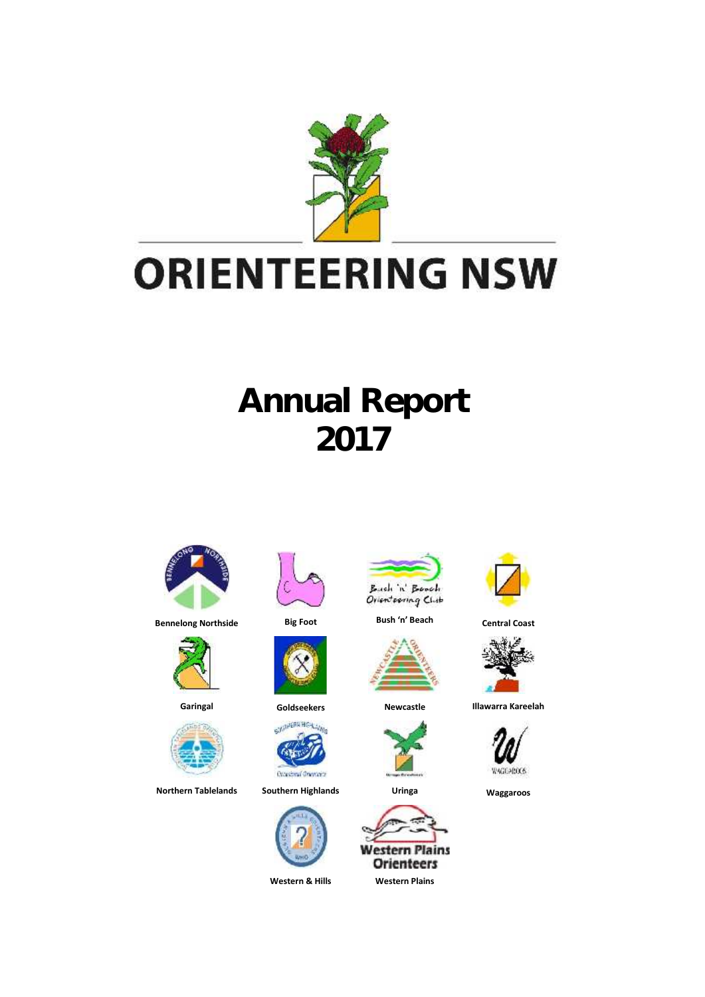

# **Annual Report 2017**





60











**Northern Tablelands Southern Highlands Uringa Waggaroos**





**Bennelong Northside Big Foot Bush 'n' Beach Central Coast**











**Garingal Goldseekers Newcastle Illawarra Kareelah**

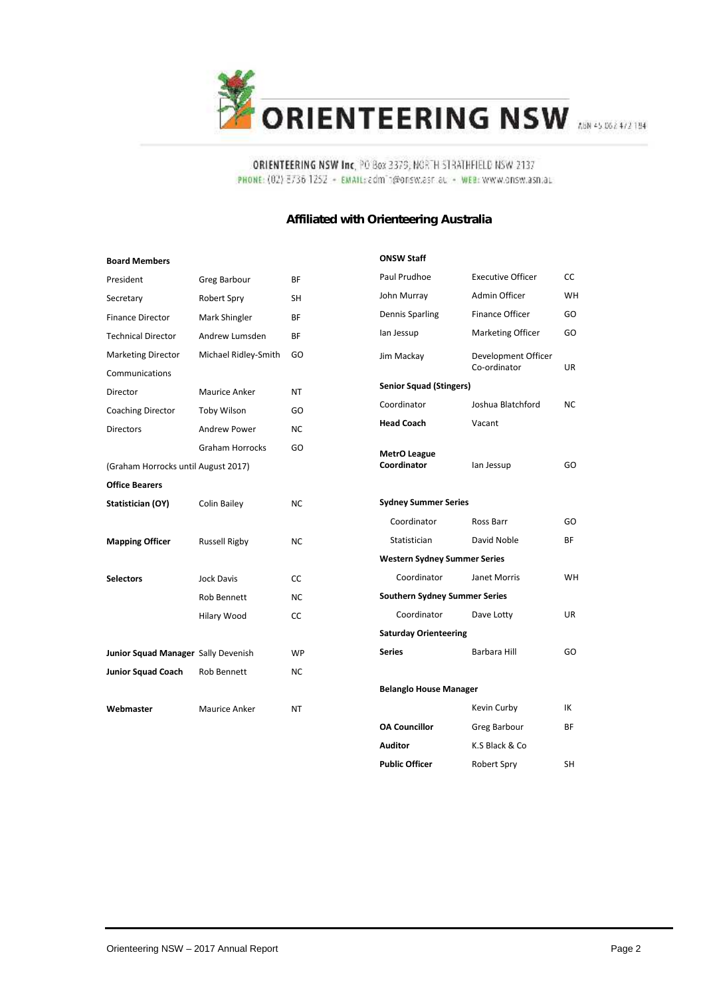

#### ORIENTEERING NSW Inc, PO Box 3379, NORTH STRATHFIELD NSW 2137 PHONE: (02) 3736 1252 - EMAIL: admin@onsw.asr.au - WEB: www.onsw.asn.au

#### **Affiliated with Orienteering Australia**

| <b>Board Members</b>                |                      |           |
|-------------------------------------|----------------------|-----------|
| President                           | Greg Barbour         | BF        |
| Secretary                           | Robert Spry          | SH        |
| <b>Finance Director</b>             | Mark Shingler        | BF        |
| <b>Technical Director</b>           | Andrew Lumsden       | BF        |
| <b>Marketing Director</b>           | Michael Ridley-Smith | GO        |
| Communications                      |                      |           |
| Director                            | Maurice Anker        | NT        |
| <b>Coaching Director</b>            | Toby Wilson          | GO        |
| <b>Directors</b>                    | Andrew Power         | NC        |
|                                     | Graham Horrocks      | GO        |
| (Graham Horrocks until August 2017) |                      |           |
| <b>Office Bearers</b>               |                      |           |
| Statistician (OY)                   | Colin Bailey         | NC        |
|                                     |                      |           |
| <b>Mapping Officer</b>              | <b>Russell Rigby</b> | NC        |
|                                     |                      |           |
| <b>Selectors</b>                    | <b>Jock Davis</b>    | CC        |
|                                     | Rob Bennett          | NC        |
|                                     | Hilary Wood          | CC        |
|                                     |                      |           |
| Junior Squad Manager Sally Devenish |                      | <b>WP</b> |
| Junior Squad Coach Rob Bennett      |                      | NC        |
|                                     |                      |           |
| Webmaster                           | Maurice Anker        | NT        |
|                                     |                      |           |

| <b>ONSW Staff</b>                    |                                     |           |
|--------------------------------------|-------------------------------------|-----------|
| Paul Prudhoe                         | <b>Executive Officer</b>            | CC        |
| John Murray                          | Admin Officer                       | WH        |
|                                      | Finance Officer                     | GO        |
| Dennis Sparling                      |                                     |           |
| lan Jessup                           | Marketing Officer                   | GO        |
| Jim Mackay                           | Development Officer<br>Co-ordinator | UR        |
| <b>Senior Squad (Stingers)</b>       |                                     |           |
| Coordinator                          | Joshua Blatchford                   | <b>NC</b> |
| <b>Head Coach</b>                    | Vacant                              |           |
| <b>MetrO League</b><br>Coordinator   | lan Jessup                          | GO        |
| <b>Sydney Summer Series</b>          |                                     |           |
| Coordinator                          | Ross Barr                           | GO        |
| Statistician                         | David Noble                         | BF        |
| <b>Western Sydney Summer Series</b>  |                                     |           |
| Coordinator                          | Janet Morris                        | <b>WH</b> |
| <b>Southern Sydney Summer Series</b> |                                     |           |
| Coordinator                          | Dave Lotty                          | <b>UR</b> |
| <b>Saturday Orienteering</b>         |                                     |           |
| <b>Series</b>                        | <b>Barbara Hill</b>                 | GO        |
|                                      |                                     |           |
| <b>Belanglo House Manager</b>        |                                     |           |
|                                      | Kevin Curby                         | IK        |
| <b>OA Councillor</b>                 | Greg Barbour                        | BF        |
| Auditor                              | K.S Black & Co                      |           |
| <b>Public Officer</b>                | Robert Spry                         | SH        |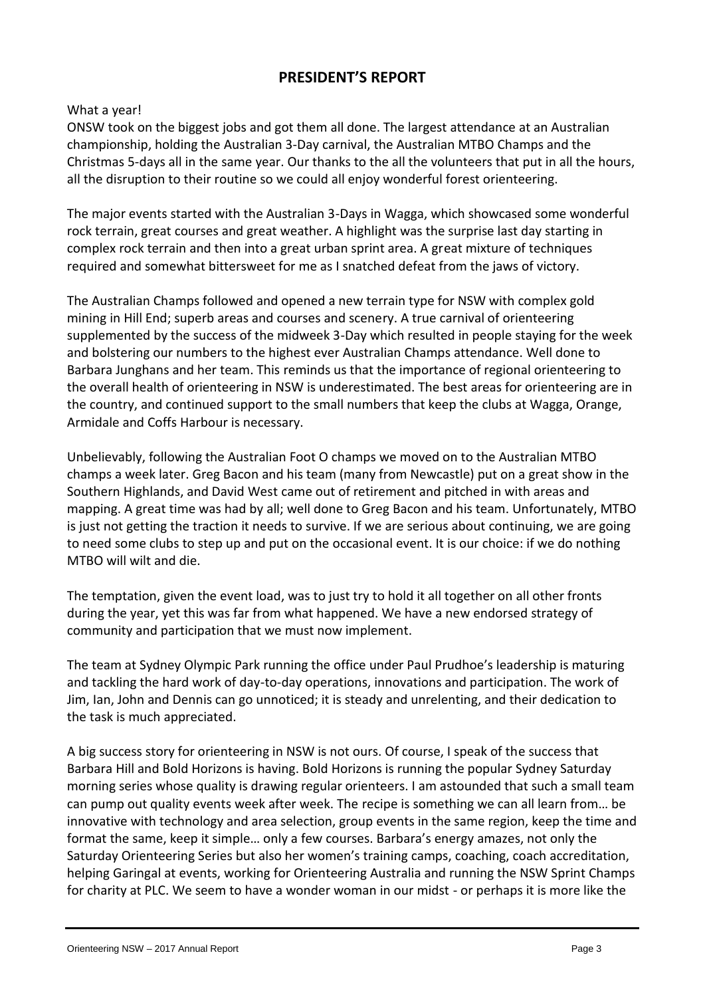# **PRESIDENT'S REPORT**

#### What a year!

ONSW took on the biggest jobs and got them all done. The largest attendance at an Australian championship, holding the Australian 3-Day carnival, the Australian MTBO Champs and the Christmas 5-days all in the same year. Our thanks to the all the volunteers that put in all the hours, all the disruption to their routine so we could all enjoy wonderful forest orienteering.

The major events started with the Australian 3-Days in Wagga, which showcased some wonderful rock terrain, great courses and great weather. A highlight was the surprise last day starting in complex rock terrain and then into a great urban sprint area. A great mixture of techniques required and somewhat bittersweet for me as I snatched defeat from the jaws of victory.

The Australian Champs followed and opened a new terrain type for NSW with complex gold mining in Hill End; superb areas and courses and scenery. A true carnival of orienteering supplemented by the success of the midweek 3-Day which resulted in people staying for the week and bolstering our numbers to the highest ever Australian Champs attendance. Well done to Barbara Junghans and her team. This reminds us that the importance of regional orienteering to the overall health of orienteering in NSW is underestimated. The best areas for orienteering are in the country, and continued support to the small numbers that keep the clubs at Wagga, Orange, Armidale and Coffs Harbour is necessary.

Unbelievably, following the Australian Foot O champs we moved on to the Australian MTBO champs a week later. Greg Bacon and his team (many from Newcastle) put on a great show in the Southern Highlands, and David West came out of retirement and pitched in with areas and mapping. A great time was had by all; well done to Greg Bacon and his team. Unfortunately, MTBO is just not getting the traction it needs to survive. If we are serious about continuing, we are going to need some clubs to step up and put on the occasional event. It is our choice: if we do nothing MTBO will wilt and die.

The temptation, given the event load, was to just try to hold it all together on all other fronts during the year, yet this was far from what happened. We have a new endorsed strategy of community and participation that we must now implement.

The team at Sydney Olympic Park running the office under Paul Prudhoe's leadership is maturing and tackling the hard work of day-to-day operations, innovations and participation. The work of Jim, Ian, John and Dennis can go unnoticed; it is steady and unrelenting, and their dedication to the task is much appreciated.

A big success story for orienteering in NSW is not ours. Of course, I speak of the success that Barbara Hill and Bold Horizons is having. Bold Horizons is running the popular Sydney Saturday morning series whose quality is drawing regular orienteers. I am astounded that such a small team can pump out quality events week after week. The recipe is something we can all learn from… be innovative with technology and area selection, group events in the same region, keep the time and format the same, keep it simple… only a few courses. Barbara's energy amazes, not only the Saturday Orienteering Series but also her women's training camps, coaching, coach accreditation, helping Garingal at events, working for Orienteering Australia and running the NSW Sprint Champs for charity at PLC. We seem to have a wonder woman in our midst - or perhaps it is more like the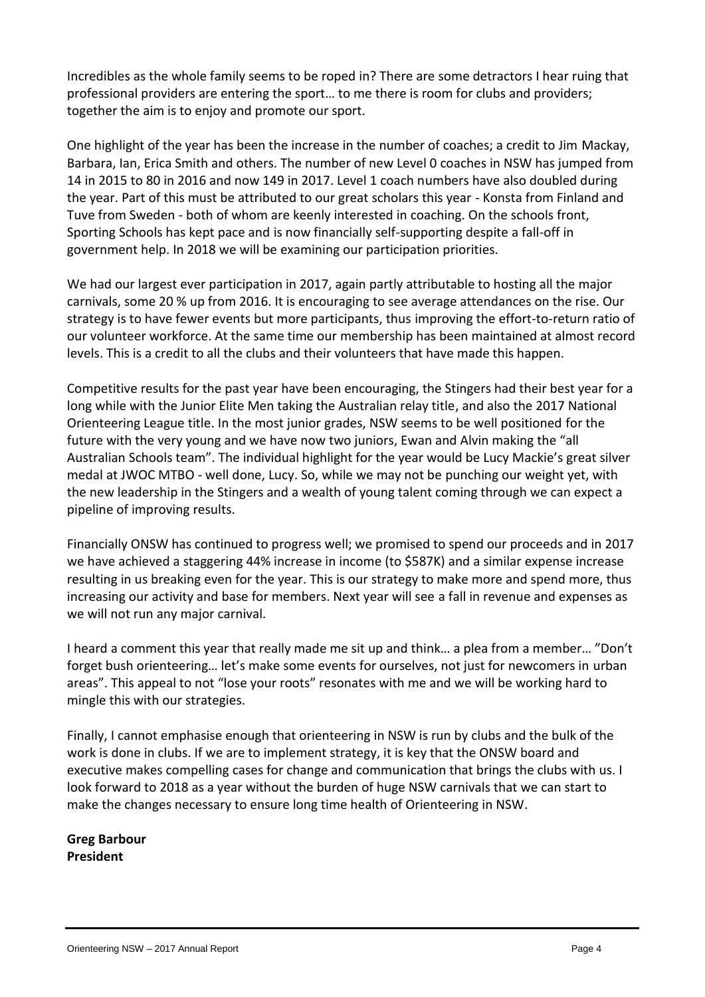Incredibles as the whole family seems to be roped in? There are some detractors I hear ruing that professional providers are entering the sport… to me there is room for clubs and providers; together the aim is to enjoy and promote our sport. Incredibles as the whole family seems to be roped in? There are some detractors I hear ruing that<br>professional providers are entering the sport... to me there is room for clubs and providers;<br>together the aim is to enjoy a

Barbara, Ian, Erica Smith and others. The number of new Level 0 coaches in NSW has jumped from 14 in 2015 to 80 in 2016 and now 149 in 2017. Level 1 coach numbers have also doubled during One highlight of the year has been the increase in the number of coaches; a credit to Jim Mackay,<br>Barbara, Ian, Erica Smith and others. The number of new Level 0 coaches in NSW has jumped from<br>14 in 2015 to 80 in 2016 and One highlight of the year has been the increase in the number of coaches; a credit to Jim Mackay, Barbara, Ian, Erica Smith and others. The number of new Level 0 coaches in NSW has jumped from 14 in 2015 to 80 in 2016 and the year. Part of this must be attributed to our great scholars this year - Konsta from Finland and government help. In 2018 we will be examining our participation priorities.

We had our largest ever participation in 2017, again partly attributable to hosting all the major carnivals, some 20 % up from 2016. It is encouraging to see average attendances on the rise. Our strategy is to have fewer events but more participants, thus improving the effort-to-return ratio of our volunteer workforce. At the same time our membership has been maintained at almost record levels. This is a credit to all the clubs and their volunteers that have made this happen.

Competitive results for the past year have been encouraging, the Stingers had their best year for a long while with the Junior Elite Men taking the Australian relay title, and also the 2017 National Orienteering League title. In the most junior grades, NSW seems to be well positioned for the future with the very young and we have now two juniors, Ewan and Alvin making the "all Australian Schools team". The individual highlight for the year would be Lucy Mackie's great silver medal at JWOC MTBO - well done, Lucy. So, while we may not be punching our weight yet, with the new leadership in the Stingers and a wealth of young talent coming through we can expect a pipeline of improving results.

Financially ONSW has continued to progress well; we promised to spend our proceeds and in 2017 we have achieved a staggering 44% increase in income (to \$587K) and a similar expense increase resulting in us breaking even for the year. This is our strategy to make more and spend more, thus increasing our activity and base for members. Next year will see a fall in revenue and expenses as we will not run any major carnival.

I heard a comment this year that really made me sit up and think… a plea from a member… "Don't forget bush orienteering… let's make some events for ourselves, not just for newcomers in urban areas". This appeal to not "lose your roots" resonates with me and we will be working hard to mingle this with our strategies.

Finally, I cannot emphasise enough that orienteering in NSW is run by clubs and the bulk of the work is done in clubs. If we are to implement strategy, it is key that the ONSW board and executive makes compelling cases for change and communication that brings the clubs with us. I look forward to 2018 as a year without the burden of huge NSW carnivals that we can start to make the changes necessary to ensure long time health of Orienteering in NSW.

**Greg Barbour President**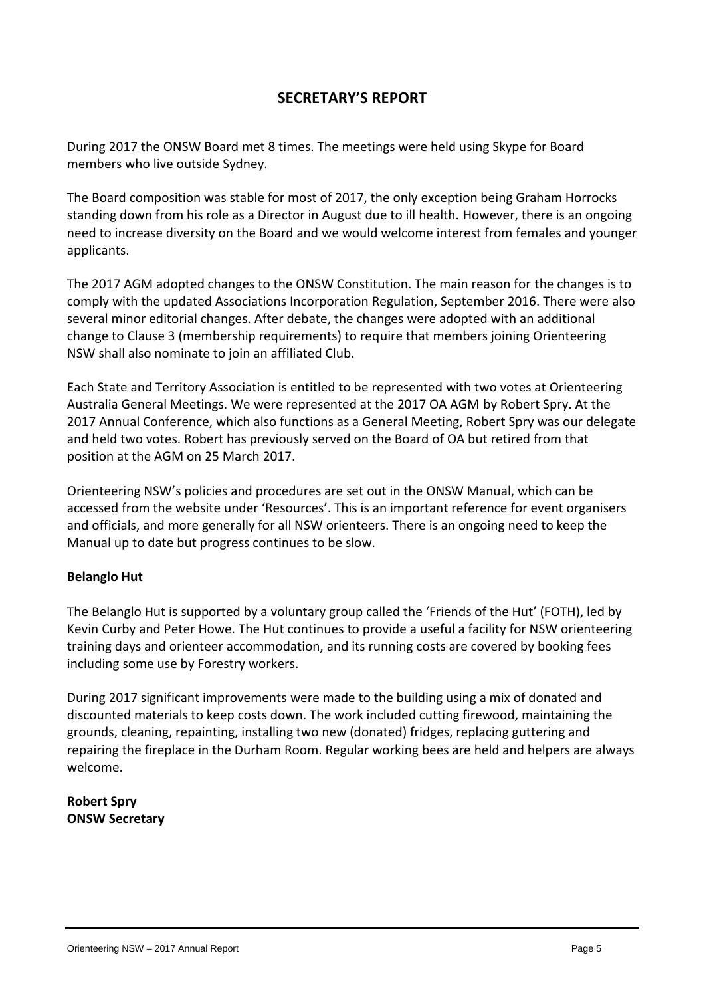# **SECRETARY'S REPORT**

During 2017 the ONSW Board met 8 times. The meetings were held using Skype for Board members who live outside Sydney.

The Board composition was stable for most of 2017, the only exception being Graham Horrocks standing down from his role as a Director in August due to ill health. However, there is an ongoing need to increase diversity on the Board and we would welcome interest from females and younger applicants.

The 2017 AGM adopted changes to the ONSW Constitution. The main reason for the changes is to comply with the updated Associations Incorporation Regulation, September 2016. There were also several minor editorial changes. After debate, the changes were adopted with an additional change to Clause 3 (membership requirements) to require that members joining Orienteering NSW shall also nominate to join an affiliated Club.

Each State and Territory Association is entitled to be represented with two votes at Orienteering Australia General Meetings. We were represented at the 2017 OA AGM by Robert Spry. At the 2017 Annual Conference, which also functions as a General Meeting, Robert Spry was our delegate and held two votes. Robert has previously served on the Board of OA but retired from that position at the AGM on 25 March 2017.

Orienteering NSW's policies and procedures are set out in the ONSW Manual, which can be accessed from the website under 'Resources'. This is an important reference for event organisers and officials, and more generally for all NSW orienteers. There is an ongoing need to keep the Manual up to date but progress continues to be slow.

#### **Belanglo Hut**

The Belanglo Hut is supported by a voluntary group called the 'Friends of the Hut' (FOTH), led by Kevin Curby and Peter Howe. The Hut continues to provide a useful a facility for NSW orienteering training days and orienteer accommodation, and its running costs are covered by booking fees including some use by Forestry workers.

During 2017 significant improvements were made to the building using a mix of donated and discounted materials to keep costs down. The work included cutting firewood, maintaining the grounds, cleaning, repainting, installing two new (donated) fridges, replacing guttering and repairing the fireplace in the Durham Room. Regular working bees are held and helpers are always welcome.

**Robert Spry ONSW Secretary**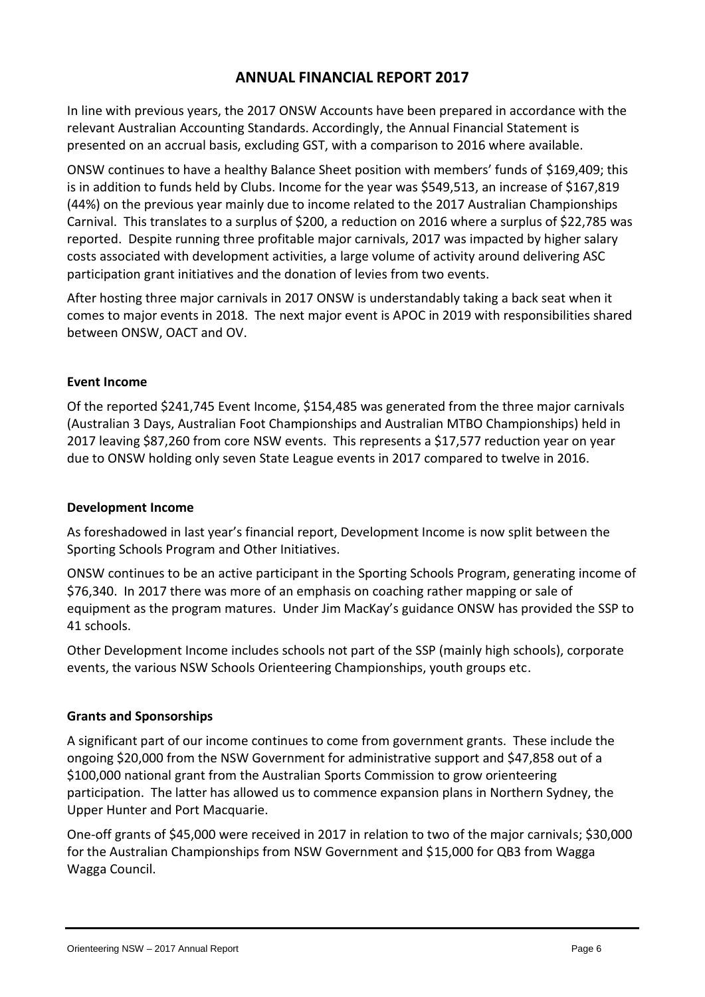# **ANNUAL FINANCIAL REPORT 2017**

In line with previous years, the 2017 ONSW Accounts have been prepared in accordance with the relevant Australian Accounting Standards. Accordingly, the Annual Financial Statement is presented on an accrual basis, excluding GST, with a comparison to 2016 where available.

ONSW continues to have a healthy Balance Sheet position with members' funds of \$169,409; this is in addition to funds held by Clubs. Income for the year was \$549,513, an increase of \$167,819 (44%) on the previous year mainly due to income related to the 2017 Australian Championships Carnival. This translates to a surplus of \$200, a reduction on 2016 where a surplus of \$22,785 was reported. Despite running three profitable major carnivals, 2017 was impacted by higher salary costs associated with development activities, a large volume of activity around delivering ASC participation grant initiatives and the donation of levies from two events.

After hosting three major carnivals in 2017 ONSW is understandably taking a back seat when it comes to major events in 2018. The next major event is APOC in 2019 with responsibilities shared between ONSW, OACT and OV.

#### **Event Income**

Of the reported \$241,745 Event Income, \$154,485 was generated from the three major carnivals (Australian 3 Days, Australian Foot Championships and Australian MTBO Championships) held in 2017 leaving \$87,260 from core NSW events. This represents a \$17,577 reduction year on year due to ONSW holding only seven State League events in 2017 compared to twelve in 2016.

#### **Development Income**

As foreshadowed in last year's financial report, Development Income is now split between the Sporting Schools Program and Other Initiatives.

ONSW continues to be an active participant in the Sporting Schools Program, generating income of \$76,340. In 2017 there was more of an emphasis on coaching rather mapping or sale of equipment as the program matures. Under Jim MacKay's guidance ONSW has provided the SSP to 41 schools.

Other Development Income includes schools not part of the SSP (mainly high schools), corporate events, the various NSW Schools Orienteering Championships, youth groups etc.

#### **Grants and Sponsorships**

A significant part of our income continues to come from government grants. These include the ongoing \$20,000 from the NSW Government for administrative support and \$47,858 out of a Grants and Sponsorships<br>A significant part of our income continues to come from government grants. These include th<br>ongoing \$20,000 from the NSW Government for administrative support and \$47,858 out of a<br>\$100,000 national participation. The latter has allowed us to commence expansion plans in Northern Sydney, the Upper Hunter and Port Macquarie.

One-off grants of \$45,000 were received in 2017 in relation to two of the major carnivals; \$30,000 for the Australian Championships from NSW Government and \$15,000 for QB3 from Wagga Wagga Council.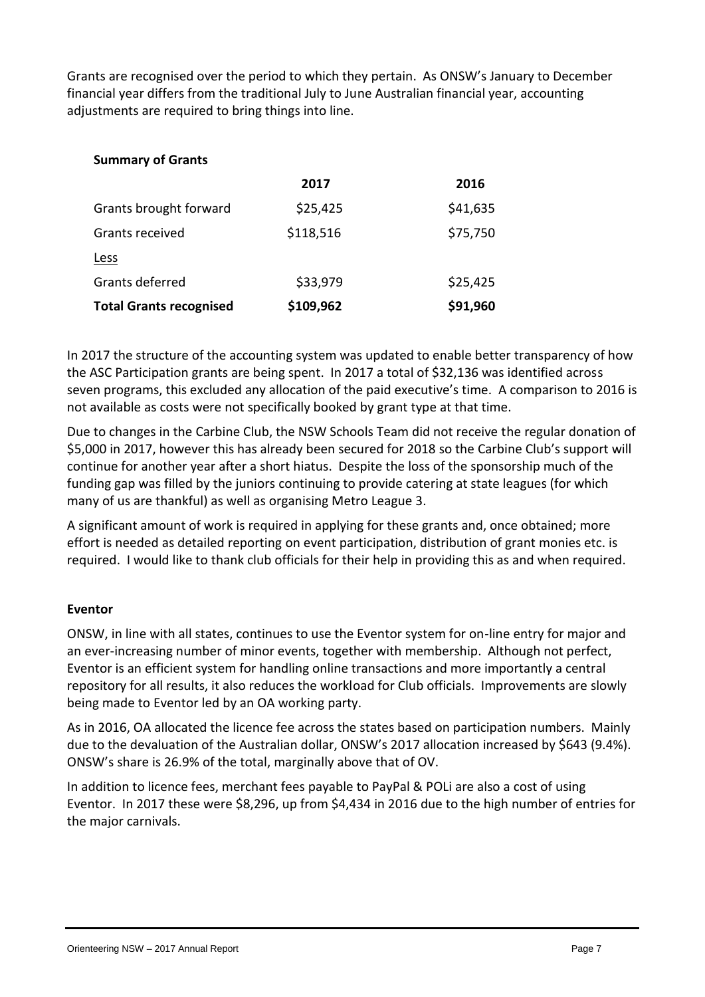Grants are recognised over the period to which they pertain. As ONSW's January to December financial year differs from the traditional July to June Australian financial year, accounting adjustments are required to bring things into line.

| <b>Summary of Grants</b>       |           |          |
|--------------------------------|-----------|----------|
|                                | 2017      | 2016     |
| Grants brought forward         | \$25,425  | \$41,635 |
| Grants received                | \$118,516 | \$75,750 |
| Less                           |           |          |
| Grants deferred                | \$33,979  | \$25,425 |
| <b>Total Grants recognised</b> | \$109,962 | \$91,960 |

In 2017 the structure of the accounting system was updated to enable better transparency of how the ASC Participation grants are being spent. In 2017 a total of \$32,136 was identified across seven programs, this excluded any allocation of the paid executive's time. A comparison to 2016 is not available as costs were not specifically booked by grant type at that time.

Due to changes in the Carbine Club, the NSW Schools Team did not receive the regular donation of \$5,000 in 2017, however this has already been secured for 2018 so the Carbine Club's support will continue for another year after a short hiatus. Despite the loss of the sponsorship much of the funding gap was filled by the juniors continuing to provide catering at state leagues (for which many of us are thankful) as well as organising Metro League 3.

A significant amount of work is required in applying for these grants and, once obtained; more effort is needed as detailed reporting on event participation, distribution of grant monies etc. is required. I would like to thank club officials for their help in providing this as and when required.

### **Eventor**

ONSW, in line with all states, continues to use the Eventor system for on-line entry for major and an ever-increasing number of minor events, together with membership. Although not perfect, Eventor is an efficient system for handling online transactions and more importantly a central repository for all results, it also reduces the workload for Club officials. Improvements are slowly being made to Eventor led by an OA working party.

As in 2016, OA allocated the licence fee across the states based on participation numbers. Mainly due to the devaluation of the Australian dollar, ONSW's 2017 allocation increased by \$643 (9.4%). ONSW's share is 26.9% of the total, marginally above that of OV.

In addition to licence fees, merchant fees payable to PayPal & POLi are also a cost of using Eventor. In 2017 these were \$8,296, up from \$4,434 in 2016 due to the high number of entries for the major carnivals.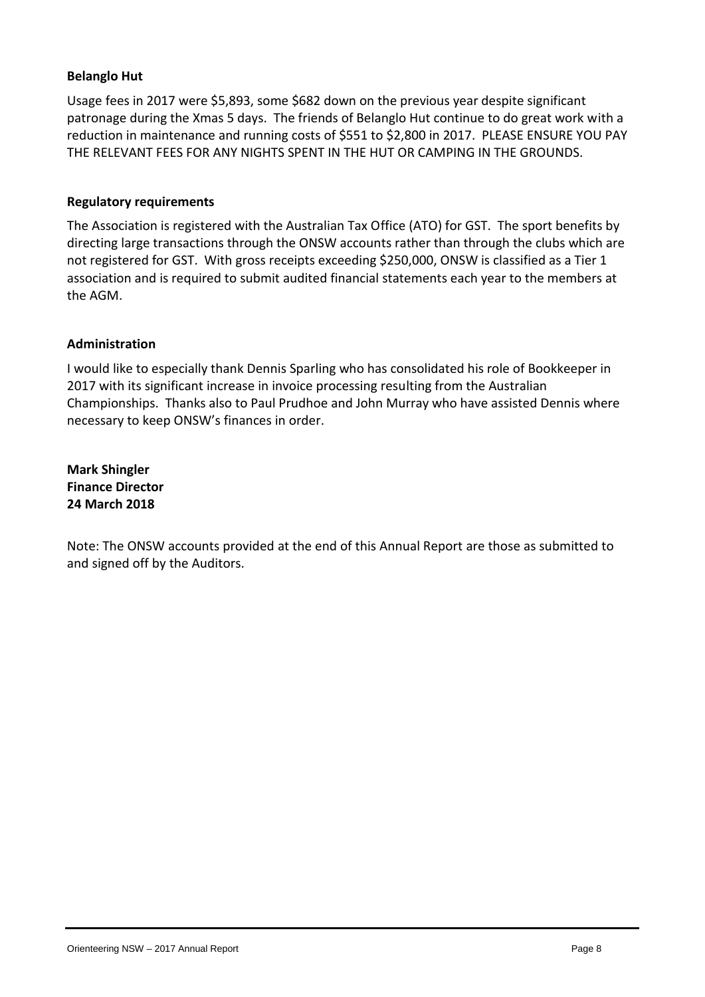#### **Belanglo Hut**

Usage fees in 2017 were \$5,893, some \$682 down on the previous year despite significant patronage during the Xmas 5 days. The friends of Belanglo Hut continue to do great work with a reduction in maintenance and running costs of \$551 to \$2,800 in 2017. PLEASE ENSURE YOU PAY THE RELEVANT FEES FOR ANY NIGHTS SPENT IN THE HUT OR CAMPING IN THE GROUNDS.

#### **Regulatory requirements**

The Association is registered with the Australian Tax Office (ATO) for GST. The sport benefits by directing large transactions through the ONSW accounts rather than through the clubs which are not registered for GST. With gross receipts exceeding \$250,000, ONSW is classified as a Tier 1 association and is required to submit audited financial statements each year to the members at the AGM.

#### **Administration**

I would like to especially thank Dennis Sparling who has consolidated his role of Bookkeeper in 2017 with its significant increase in invoice processing resulting from the Australian Championships. Thanks also to Paul Prudhoe and John Murray who have assisted Dennis where necessary to keep ONSW's finances in order.

**Mark Shingler Finance Director 24 March 2018**

Note: The ONSW accounts provided at the end of this Annual Report are those as submitted to and signed off by the Auditors.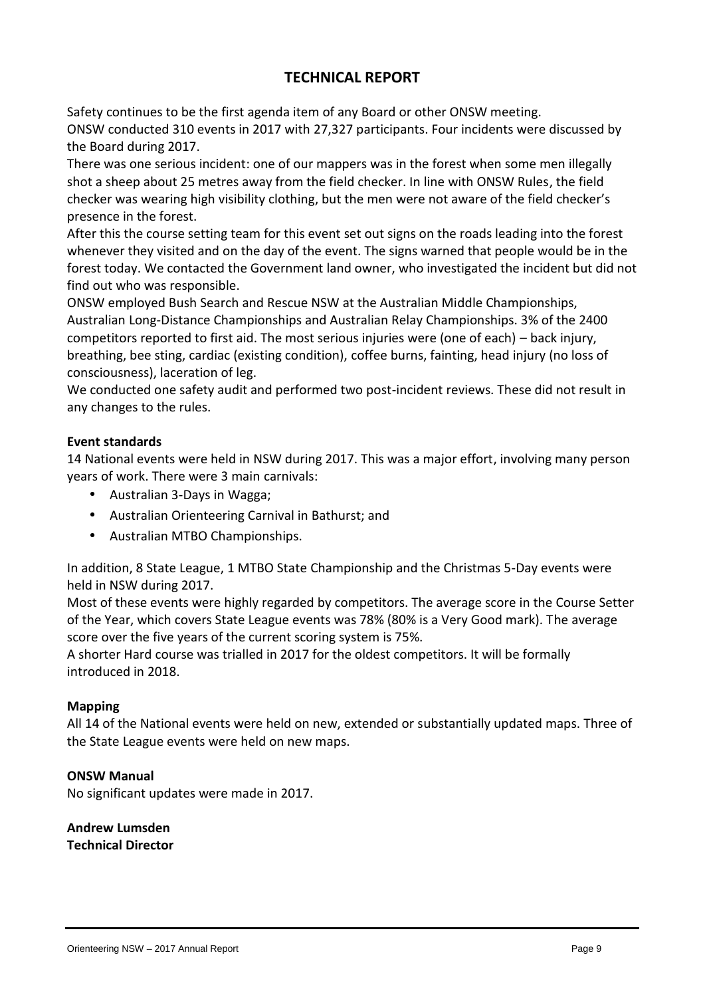# **TECHNICAL REPORT**

Safety continues to be the first agenda item of any Board or other ONSW meeting. ONSW conducted 310 events in 2017 with 27,327 participants. Four incidents were discussed by the Board during 2017.

There was one serious incident: one of our mappers was in the forest when some men illegally shot a sheep about 25 metres away from the field checker. In line with ONSW Rules, the field checker was wearing high visibility clothing, but the men were not aware of the field checker's presence in the forest.

After this the course setting team for this event set out signs on the roads leading into the forest whenever they visited and on the day of the event. The signs warned that people would be in the forest today. We contacted the Government land owner, who investigated the incident but did not find out who was responsible.

ONSW employed Bush Search and Rescue NSW at the Australian Middle Championships, Australian Long-Distance Championships and Australian Relay Championships. 3% of the 2400 competitors reported to first aid. The most serious injuries were (one of each) – back injury, breathing, bee sting, cardiac (existing condition), coffee burns, fainting, head injury (no loss of consciousness), laceration of leg.

We conducted one safety audit and performed two post-incident reviews. These did not result in any changes to the rules.

#### **Event standards**

14 National events were held in NSW during 2017. This was a major effort, involving many person years of work. There were 3 main carnivals:

- Australian 3-Days in Wagga;
- Australian Orienteering Carnival in Bathurst; and
- Australian MTBO Championships.

In addition, 8 State League, 1 MTBO State Championship and the Christmas 5-Day events were held in NSW during 2017.

Most of these events were highly regarded by competitors. The average score in the Course Setter of the Year, which covers State League events was 78% (80% is a Very Good mark). The average score over the five years of the current scoring system is 75%.

A shorter Hard course was trialled in 2017 for the oldest competitors. It will be formally introduced in 2018.

#### **Mapping**

All 14 of the National events were held on new, extended or substantially updated maps. Three of the State League events were held on new maps.

#### **ONSW Manual**

No significant updates were made in 2017.

#### **Andrew Lumsden Technical Director**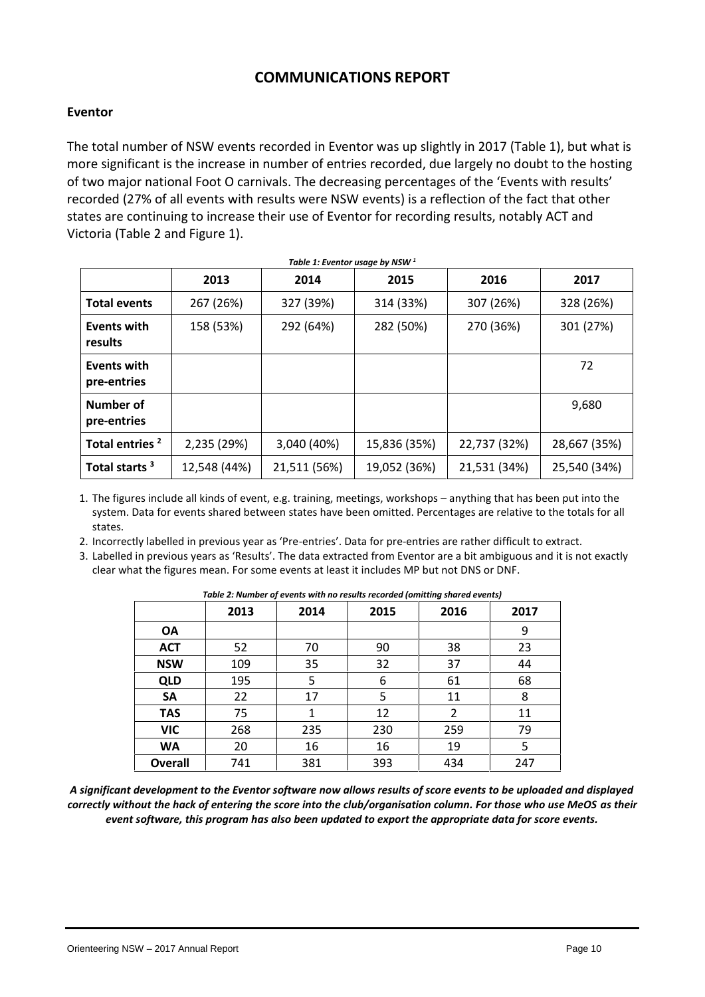# **COMMUNICATIONS REPORT**

#### **Eventor**

The total number of NSW events recorded in Eventor was up slightly in 2017 (Table 1), but what is more significant is the increase in number of entries recorded, due largely no doubt to the hosting of two major national Foot O carnivals. The decreasing percentages of the 'Events with results' recorded (27% of all events with results were NSW events) is a reflection of the fact that other states are continuing to increase their use of Eventor for recording results, notably ACT and Victoria (Table 2 and Figure 1).

|                               | 2013         | 2014         | 2015         | 2016         | 2017         |
|-------------------------------|--------------|--------------|--------------|--------------|--------------|
| <b>Total events</b>           | 267 (26%)    | 327 (39%)    | 314 (33%)    | 307 (26%)    | 328 (26%)    |
| <b>Events with</b><br>results | 158 (53%)    | 292 (64%)    | 282 (50%)    | 270 (36%)    | 301 (27%)    |
| Events with<br>pre-entries    |              |              |              |              | 72           |
| Number of<br>pre-entries      |              |              |              |              | 9,680        |
| Total entries <sup>2</sup>    | 2,235 (29%)  | 3,040 (40%)  | 15,836 (35%) | 22,737 (32%) | 28,667 (35%) |
| Total starts <sup>3</sup>     | 12,548 (44%) | 21,511 (56%) | 19,052 (36%) | 21,531 (34%) | 25,540 (34%) |

1. The figures include all kinds of event, e.g. training, meetings, workshops – anything that has been put into the system. Data for events shared between states have been omitted. Percentages are relative to the totals for all states.

2. Incorrectly labelled in previous year as 'Pre-entries'. Data for pre-entries are rather difficult to extract.

3. Labelled in previous years as 'Results'. The data extracted from Eventor are a bit ambiguous and it is not exactly clear what the figures mean. For some events at least it includes MP but not DNS or DNF.

| rapic 2. Mannocr of cyclifs with no results recorded formening shared events) |      |      |      |      |      |  |  |  |
|-------------------------------------------------------------------------------|------|------|------|------|------|--|--|--|
|                                                                               | 2013 | 2014 | 2015 | 2016 | 2017 |  |  |  |
| OA                                                                            |      |      |      |      | 9    |  |  |  |
| <b>ACT</b>                                                                    | 52   | 70   | 90   | 38   | 23   |  |  |  |
| <b>NSW</b>                                                                    | 109  | 35   | 32   | 37   | 44   |  |  |  |
| <b>QLD</b>                                                                    | 195  | 5    | 6    | 61   | 68   |  |  |  |
| <b>SA</b>                                                                     | 22   | 17   | 5.   | 11   | 8    |  |  |  |
| <b>TAS</b>                                                                    | 75   |      | 12   | 2    | 11   |  |  |  |
| <b>VIC</b>                                                                    | 268  | 235  | 230  | 259  | 79   |  |  |  |
| <b>WA</b>                                                                     | 20   | 16   | 16   | 19   | 5    |  |  |  |
| <b>Overall</b>                                                                | 741  | 381  | 393  | 434  | 247  |  |  |  |

*Table 2: Number of events with no results recorded (omitting shared events)*

*A significant development to the Eventor software now allows results of score events to be uploaded and displayed correctly without the hack of entering the score into the club/organisation column. For those who use MeOS as their event software, this program has also been updated to export the appropriate data for score events.*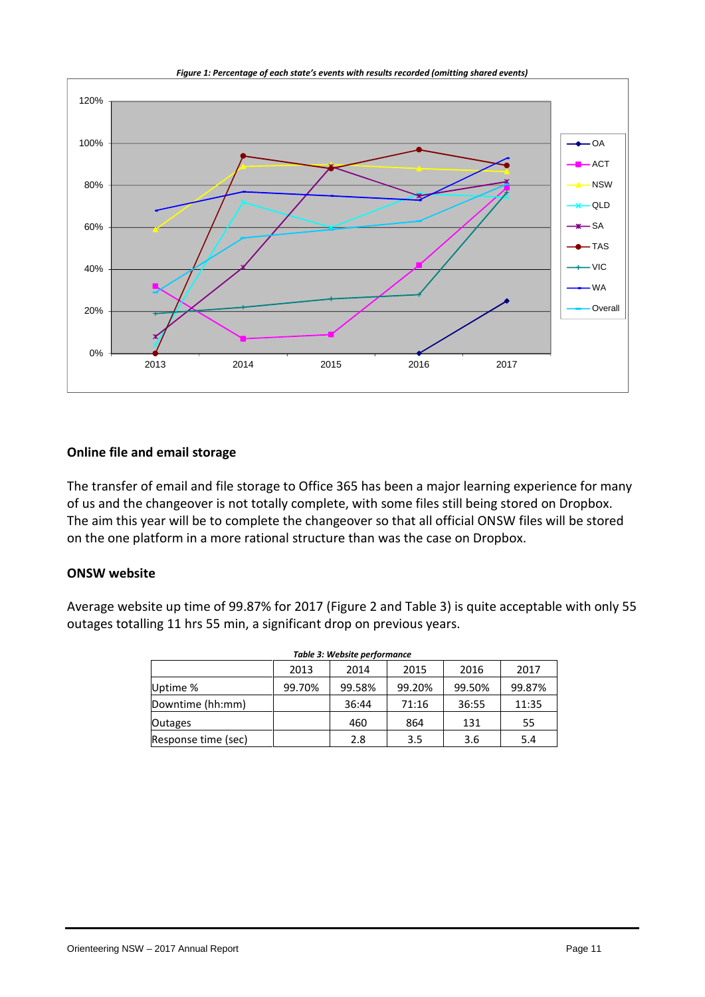

#### *Figure 1: Percentage of each state's events with results recorded (omitting shared events)*

#### **Online file and email storage**

The transfer of email and file storage to Office 365 has been a major learning experience for many of us and the changeover is not totally complete, with some files still being stored on Dropbox. The aim this year will be to complete the changeover so that all official ONSW files will be stored on the one platform in a more rational structure than was the case on Dropbox.

#### **ONSW website**

Average website up time of 99.87% for 2017 (Figure 2 and Table 3) is quite acceptable with only 55 outages totalling 11 hrs 55 min, a significant drop on previous years.

| Table 3: Website performance |        |        |        |        |        |  |  |  |  |
|------------------------------|--------|--------|--------|--------|--------|--|--|--|--|
|                              | 2013   | 2014   | 2015   | 2016   | 2017   |  |  |  |  |
| Uptime %                     | 99.70% | 99.58% | 99.20% | 99.50% | 99.87% |  |  |  |  |
| Downtime (hh:mm)             |        | 36:44  | 71:16  | 36:55  | 11:35  |  |  |  |  |
| <b>Outages</b>               |        | 460    | 864    | 131    | 55     |  |  |  |  |
| Response time (sec)          |        | 2.8    | 3.5    | 3.6    | 5.4    |  |  |  |  |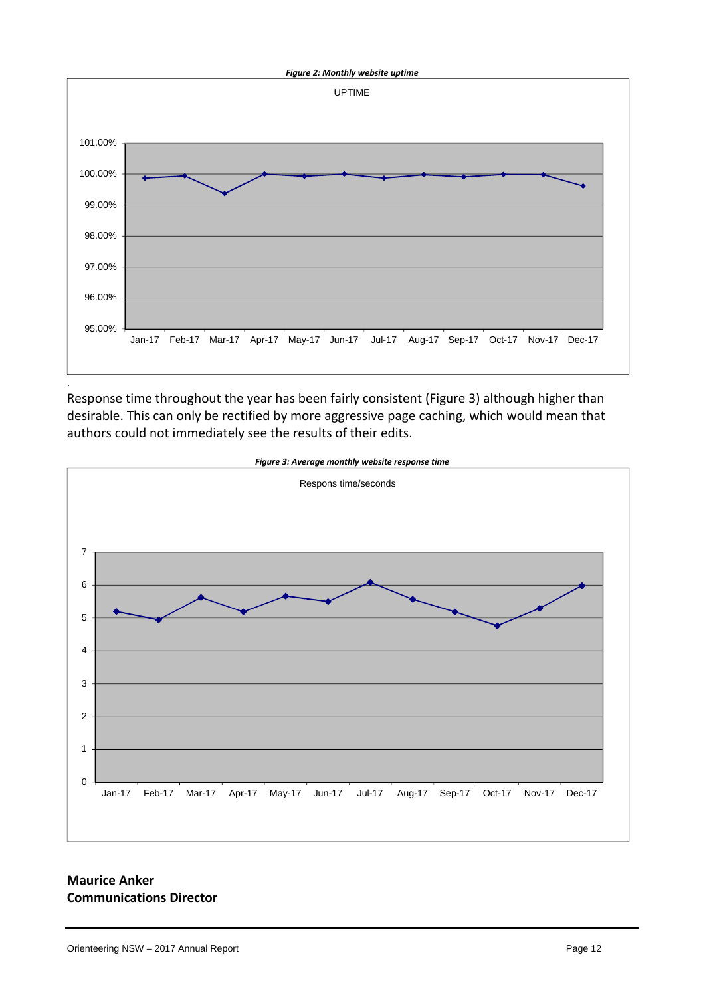

Response time throughout the year has been fairly consistent (Figure 3) although higher than desirable. This can only be rectified by more aggressive page caching, which would mean that authors could not immediately see the results of their edits.



**Communications Director**

**Maurice Anker**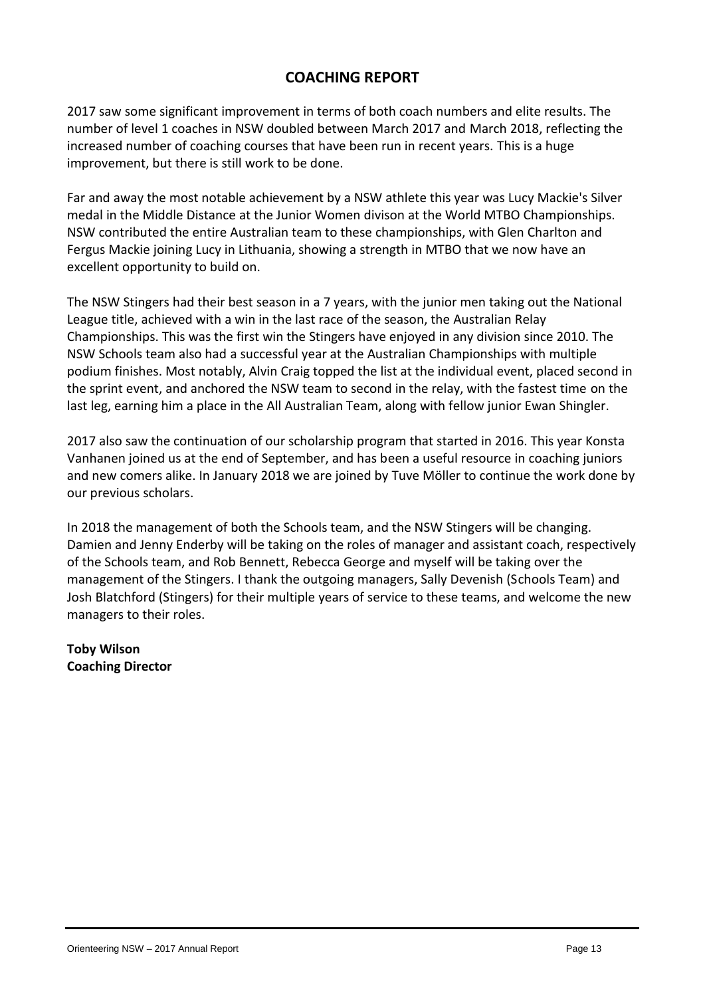# **COACHING REPORT**

2017 saw some significant improvement in terms of both coach numbers and elite results. The number of level 1 coaches in NSW doubled between March 2017 and March 2018, reflecting the increased number of coaching courses that have been run in recent years. This is a huge improvement, but there is still work to be done.

Far and away the most notable achievement by a NSW athlete this year was Lucy Mackie's Silver medal in the Middle Distance at the Junior Women divison at the World MTBO Championships. NSW contributed the entire Australian team to these championships, with Glen Charlton and Fergus Mackie joining Lucy in Lithuania, showing a strength in MTBO that we now have an excellent opportunity to build on.

The NSW Stingers had their best season in a 7 years, with the junior men taking out the National League title, achieved with a win in the last race of the season, the Australian Relay Championships. This was the first win the Stingers have enjoyed in any division since 2010. The NSW Schools team also had a successful year at the Australian Championships with multiple podium finishes. Most notably, Alvin Craig topped the list at the individual event, placed second in the sprint event, and anchored the NSW team to second in the relay, with the fastest time on the last leg, earning him a place in the All Australian Team, along with fellow junior Ewan Shingler.

2017 also saw the continuation of our scholarship program that started in 2016. This year Konsta Vanhanen joined us at the end of September, and has been a useful resource in coaching juniors and new comers alike. In January 2018 we are joined by Tuve Möller to continue the work done by our previous scholars.

In 2018 the management of both the Schools team, and the NSW Stingers will be changing. Damien and Jenny Enderby will be taking on the roles of manager and assistant coach, respectively of the Schools team, and Rob Bennett, Rebecca George and myself will be taking over the management of the Stingers. I thank the outgoing managers, Sally Devenish (Schools Team) and Josh Blatchford (Stingers) for their multiple years of service to these teams, and welcome the new managers to their roles.

**Toby Wilson Coaching Director**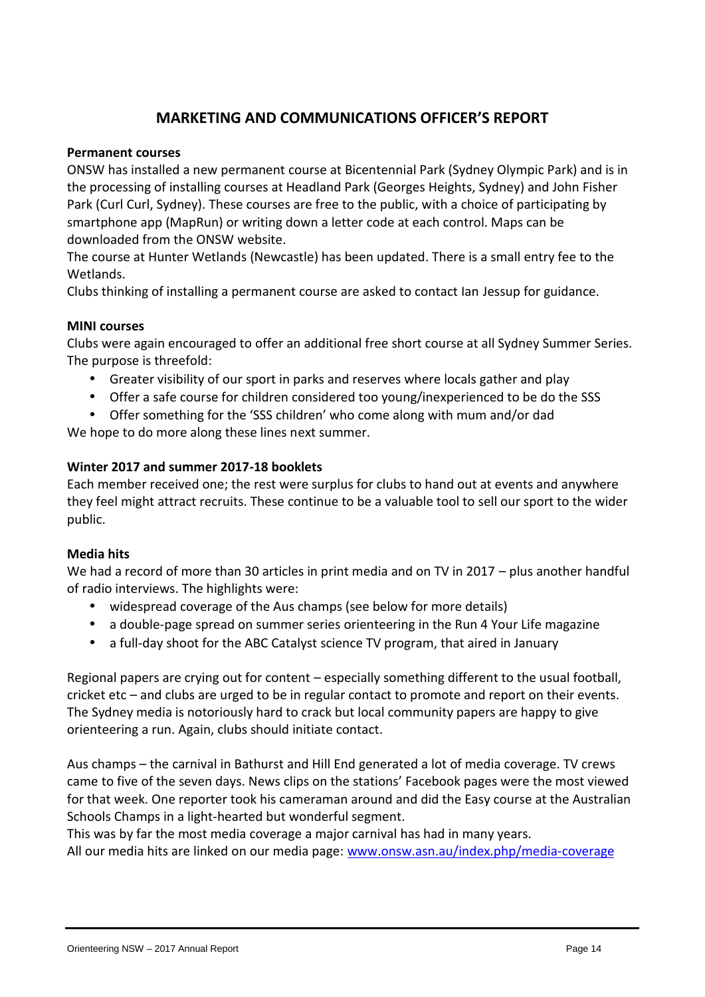# **MARKETING AND COMMUNICATIONS OFFICER'S REPORT**

#### **Permanent courses**

ONSW has installed a new permanent course at Bicentennial Park (Sydney Olympic Park) and is in the processing of installing courses at Headland Park (Georges Heights, Sydney) and John Fisher Park (Curl Curl, Sydney). These courses are free to the public, with a choice of participating by smartphone app (MapRun) or writing down a letter code at each control. Maps can be downloaded from the ONSW website.

The course at Hunter Wetlands (Newcastle) has been updated. There is a small entry fee to the Wetlands.

Clubs thinking of installing a permanent course are asked to contact Ian Jessup for guidance.

#### **MINI courses**

Clubs were again encouraged to offer an additional free short course at all Sydney Summer Series. The purpose is threefold:

Greater visibility of our sport in parks and reserves where locals gather and play

Offer a safe course for children considered too young/inexperienced to be do the SSS

 Offer something for the 'SSS children' who come along with mum and/or dad We hope to do more along these lines next summer.

#### **Winter 2017 and summer 2017-18 booklets**

Each member received one; the rest were surplus for clubs to hand out at events and anywhere they feel might attract recruits. These continue to be a valuable tool to sell our sport to the wider public.

#### **Media hits**

We had a record of more than 30 articles in print media and on TV in 2017 – plus another handful of radio interviews. The highlights were:

- widespread coverage of the Aus champs (see below for more details)
- a double-page spread on summer series orienteering in the Run 4 Your Life magazine
- a full-day shoot for the ABC Catalyst science TV program, that aired in January

Regional papers are crying out for content – especially something different to the usual football, cricket etc – and clubs are urged to be in regular contact to promote and report on their events. The Sydney media is notoriously hard to crack but local community papers are happy to give orienteering a run. Again, clubs should initiate contact.

Aus champs – the carnival in Bathurst and Hill End generated a lot of media coverage. TV crews came to five of the seven days. News clips on the stations' Facebook pages were the most viewed for that week. One reporter took his cameraman around and did the Easy course at the Australian Schools Champs in a light-hearted but wonderful segment.

This was by far the most media coverage a major carnival has had in many years.

All our media hits are linked on our media page: www.onsw.asn.au/index.php/media-coverage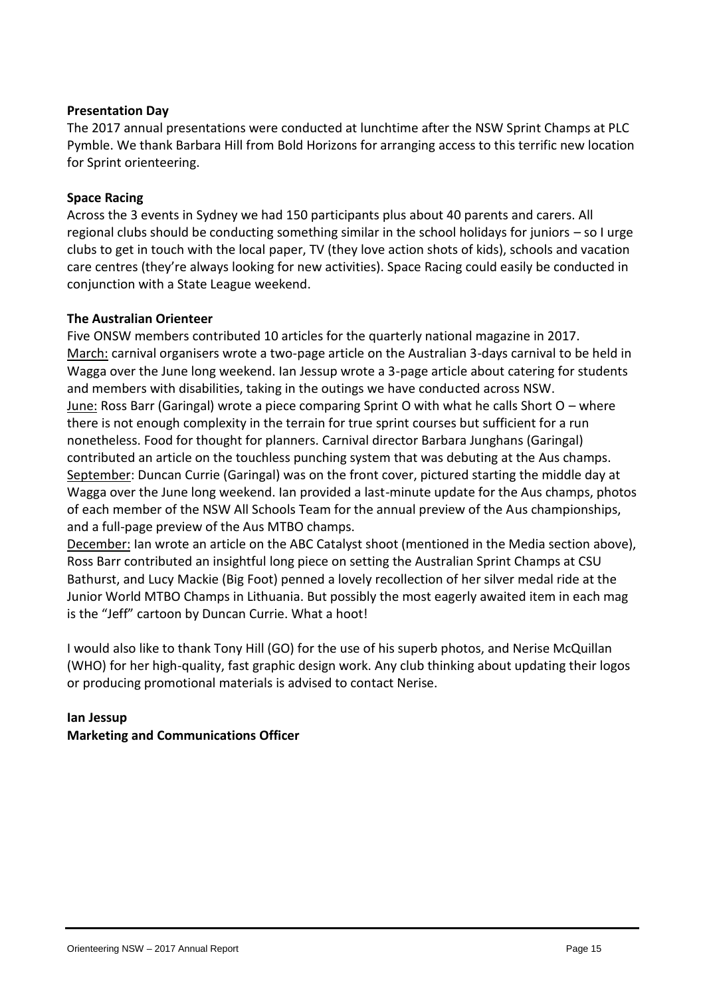#### **Presentation Day**

The 2017 annual presentations were conducted at lunchtime after the NSW Sprint Champs at PLC Pymble. We thank Barbara Hill from Bold Horizons for arranging access to this terrific new location for Sprint orienteering.

#### **Space Racing**

Across the 3 events in Sydney we had 150 participants plus about 40 parents and carers. All regional clubs should be conducting something similar in the school holidays for juniors – so I urge clubs to get in touch with the local paper, TV (they love action shots of kids), schools and vacation care centres (they're always looking for new activities). Space Racing could easily be conducted in conjunction with a State League weekend.

#### **The Australian Orienteer**

Five ONSW members contributed 10 articles for the quarterly national magazine in 2017. March: carnival organisers wrote a two-page article on the Australian 3-days carnival to be held in Wagga over the June long weekend. Ian Jessup wrote a 3-page article about catering for students and members with disabilities, taking in the outings we have conducted across NSW. June: Ross Barr (Garingal) wrote a piece comparing Sprint O with what he calls Short O – where there is not enough complexity in the terrain for true sprint courses but sufficient for a run nonetheless. Food for thought for planners. Carnival director Barbara Junghans (Garingal) contributed an article on the touchless punching system that was debuting at the Aus champs. September: Duncan Currie (Garingal) was on the front cover, pictured starting the middle day at Wagga over the June long weekend. Ian provided a last-minute update for the Aus champs, photos of each member of the NSW All Schools Team for the annual preview of the Aus championships, and a full-page preview of the Aus MTBO champs.

December: Ian wrote an article on the ABC Catalyst shoot (mentioned in the Media section above), Ross Barr contributed an insightful long piece on setting the Australian Sprint Champs at CSU Bathurst, and Lucy Mackie (Big Foot) penned a lovely recollection of her silver medal ride at the Junior World MTBO Champs in Lithuania. But possibly the most eagerly awaited item in each mag is the "Jeff" cartoon by Duncan Currie. What a hoot!

I would also like to thank Tony Hill (GO) for the use of his superb photos, and Nerise McQuillan (WHO) for her high-quality, fast graphic design work. Any club thinking about updating their logos or producing promotional materials is advised to contact Nerise.

#### **Ian Jessup Marketing and Communications Officer**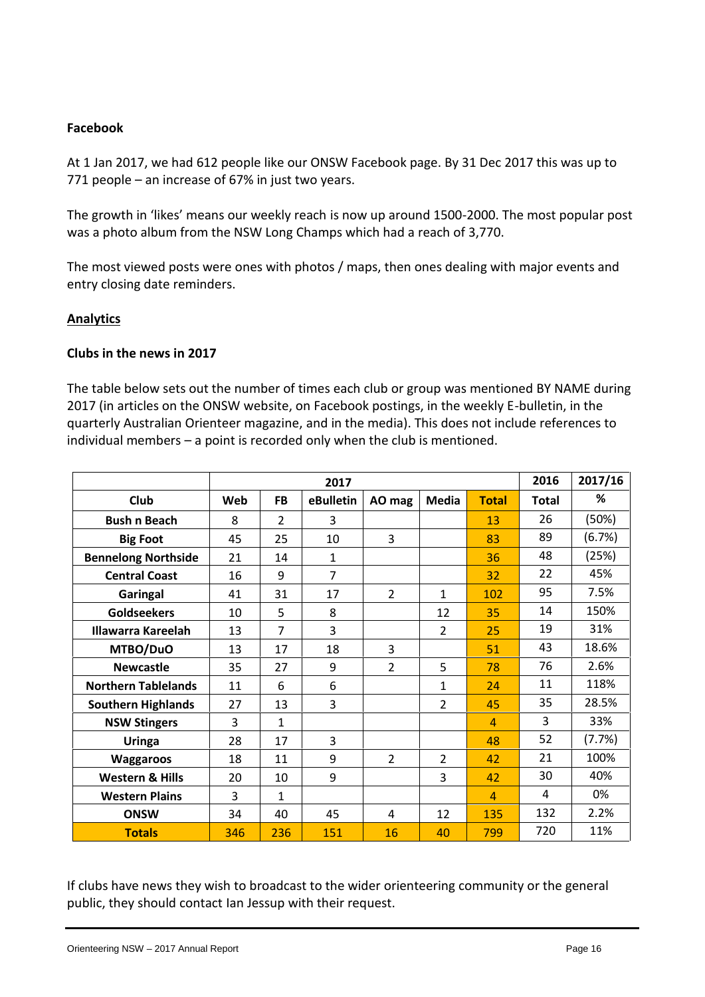#### **Facebook**

At 1 Jan 2017, we had 612 people like our ONSW Facebook page. By 31 Dec 2017 this was up to 771 people – an increase of 67% in just two years.

The growth in 'likes' means our weekly reach is now up around 1500-2000. The most popular post was a photo album from the NSW Long Champs which had a reach of 3,770.

The most viewed posts were ones with photos / maps, then ones dealing with major events and entry closing date reminders.

#### **Analytics**

#### **Clubs in the news in 2017**

The table below sets out the number of times each club or group was mentioned BY NAME during 2017 (in articles on the ONSW website, on Facebook postings, in the weekly E-bulletin, in the quarterly Australian Orienteer magazine, and in the media). This does not include references to individual members – a point is recorded only when the club is mentioned.

|                            |     |                | 2016           | 2017/16        |                |                |              |        |
|----------------------------|-----|----------------|----------------|----------------|----------------|----------------|--------------|--------|
| Club                       | Web | <b>FB</b>      | eBulletin      | AO mag         | <b>Media</b>   | <b>Total</b>   | <b>Total</b> | %      |
| <b>Bush n Beach</b>        | 8   | $\overline{2}$ | 3              |                |                | 13             | 26           | (50%)  |
| <b>Big Foot</b>            | 45  | 25             | 10             | 3              |                | 83             | 89           | (6.7%) |
| <b>Bennelong Northside</b> | 21  | 14             | $\mathbf{1}$   |                |                | 36             | 48           | (25%)  |
| <b>Central Coast</b>       | 16  | 9              | $\overline{7}$ |                |                | 32             | 22           | 45%    |
| Garingal                   | 41  | 31             | 17             | $\overline{2}$ | 1              | 102            | 95           | 7.5%   |
| <b>Goldseekers</b>         | 10  | 5              | 8              |                | 12             | 35             | 14           | 150%   |
| <b>Illawarra Kareelah</b>  | 13  | 7              | 3              |                | $\overline{2}$ | 25             | 19           | 31%    |
| MTBO/DuO                   | 13  | 17             | 18             | 3              |                | 51             | 43           | 18.6%  |
| <b>Newcastle</b>           | 35  | 27             | 9              | $\overline{2}$ | 5              | 78             | 76           | 2.6%   |
| <b>Northern Tablelands</b> | 11  | 6              | 6              |                | $\mathbf{1}$   | 24             | 11           | 118%   |
| <b>Southern Highlands</b>  | 27  | 13             | 3              |                | 2              | 45             | 35           | 28.5%  |
| <b>NSW Stingers</b>        | 3   | $\mathbf{1}$   |                |                |                | $\overline{4}$ | 3            | 33%    |
| Uringa                     | 28  | 17             | 3              |                |                | 48             | 52           | (7.7%) |
| <b>Waggaroos</b>           | 18  | 11             | 9              | $\overline{2}$ | $\overline{2}$ | 42             | 21           | 100%   |
| <b>Western &amp; Hills</b> | 20  | 10             | 9              |                | 3              | 42             | 30           | 40%    |
| <b>Western Plains</b>      | 3   | $\mathbf{1}$   |                |                |                | $\overline{4}$ | 4            | 0%     |
| <b>ONSW</b>                | 34  | 40             | 45             | 4              | 12             | 135            | 132          | 2.2%   |
| <b>Totals</b>              | 346 | 236            | 151            | 16             | 40             | 799            | 720          | 11%    |

If clubs have news they wish to broadcast to the wider orienteering community or the general public, they should contact Ian Jessup with their request.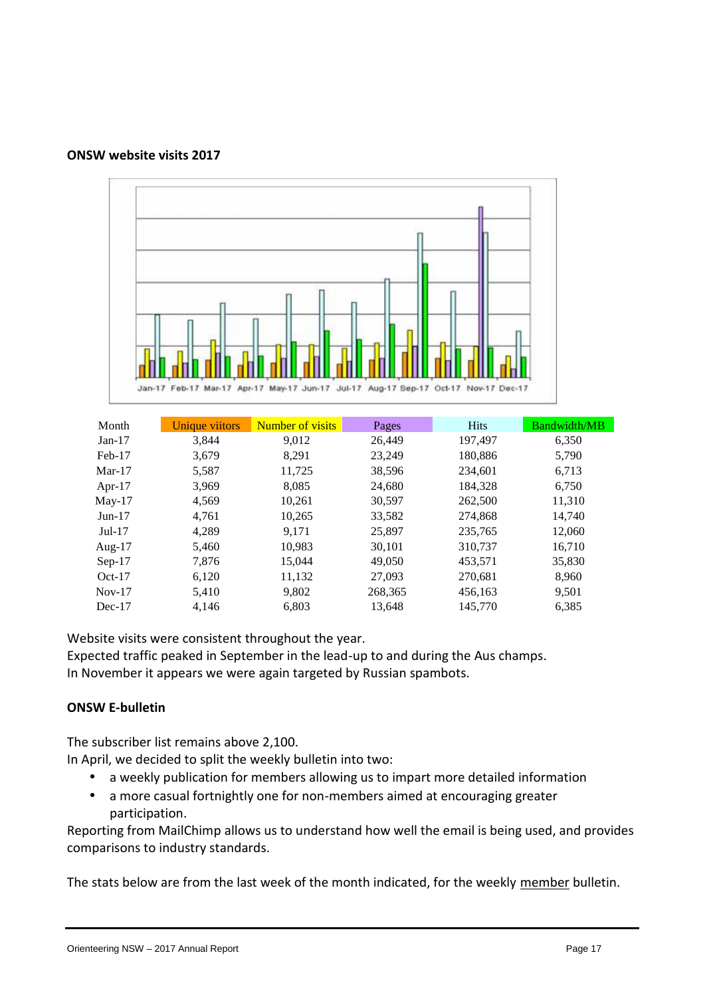



| Month     | Unique viitors | Number of visits | Pages   | <b>Hits</b> | <b>Bandwidth/MB</b> |
|-----------|----------------|------------------|---------|-------------|---------------------|
| $Jan-17$  | 3,844          | 9.012            | 26,449  | 197,497     | 6,350               |
| Feb-17    | 3,679          | 8,291            | 23,249  | 180,886     | 5,790               |
| $Mar-17$  | 5,587          | 11,725           | 38,596  | 234,601     | 6,713               |
| Apr- $17$ | 3,969          | 8,085            | 24,680  | 184,328     | 6,750               |
| $May-17$  | 4,569          | 10,261           | 30,597  | 262,500     | 11,310              |
| $Jun-17$  | 4,761          | 10,265           | 33,582  | 274,868     | 14,740              |
| $Jul-17$  | 4,289          | 9.171            | 25,897  | 235,765     | 12,060              |
| Aug- $17$ | 5,460          | 10,983           | 30,101  | 310,737     | 16,710              |
| $Sep-17$  | 7,876          | 15,044           | 49,050  | 453,571     | 35,830              |
| $Oct-17$  | 6,120          | 11,132           | 27,093  | 270,681     | 8,960               |
| $Nov-17$  | 5,410          | 9,802            | 268,365 | 456,163     | 9,501               |
| $Dec-17$  | 4,146          | 6,803            | 13,648  | 145,770     | 6,385               |

Website visits were consistent throughout the year.

Expected traffic peaked in September in the lead-up to and during the Aus champs.

In November it appears we were again targeted by Russian spambots.

#### **ONSW E-bulletin**

The subscriber list remains above 2,100.

In April, we decided to split the weekly bulletin into two:

- a weekly publication for members allowing us to impart more detailed information
- a more casual fortnightly one for non-members aimed at encouraging greater participation.

Reporting from MailChimp allows us to understand how well the email is being used, and provides comparisons to industry standards.

The stats below are from the last week of the month indicated, for the weekly member bulletin.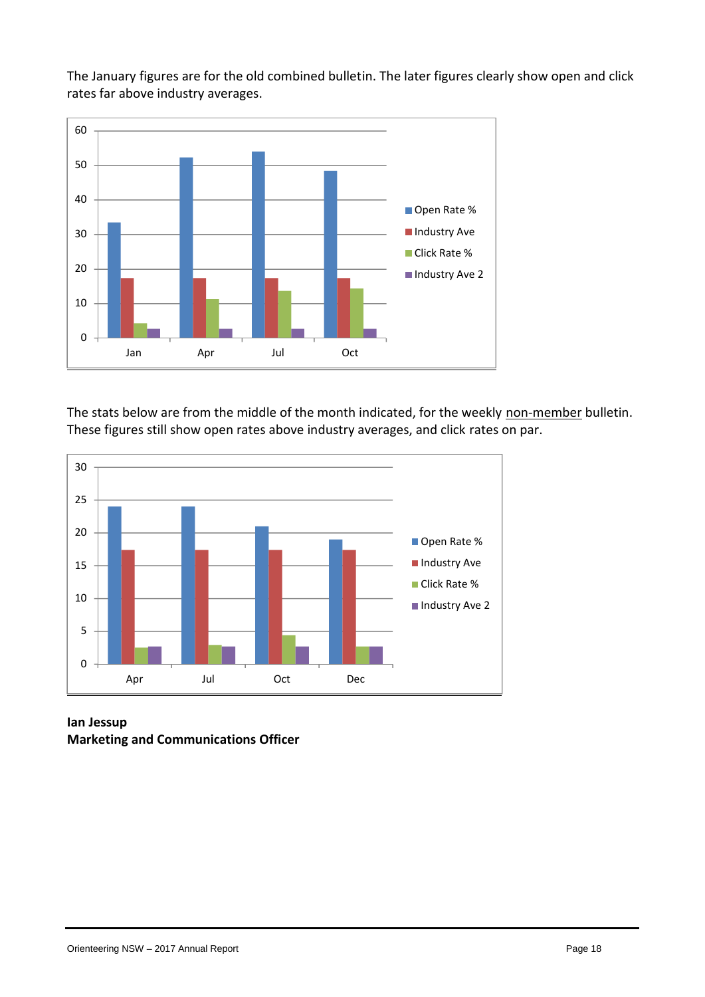The January figures are for the old combined bulletin. The later figures clearly show open and click rates far above industry averages.



The stats below are from the middle of the month indicated, for the weekly non-member bulletin. These figures still show open rates above industry averages, and click rates on par.



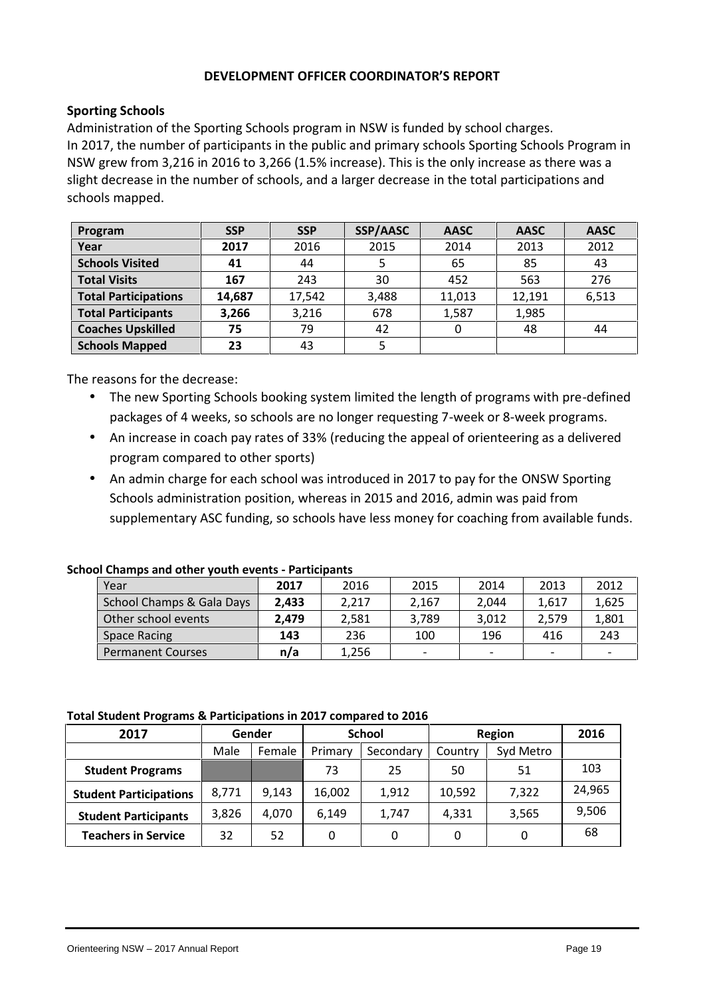#### **DEVELOPMENT OFFICER COORDINATOR'S REPORT**

#### **Sporting Schools**

Administration of the Sporting Schools program in NSW is funded by school charges. In 2017, the number of participants in the public and primary schools Sporting Schools Program in NSW grew from 3,216 in 2016 to 3,266 (1.5% increase). This is the only increase as there was a slight decrease in the number of schools, and a larger decrease in the total participations and schools mapped.

| Program                     | <b>SSP</b> | <b>SSP</b> | SSP/AASC | <b>AASC</b> | <b>AASC</b> | <b>AASC</b> |
|-----------------------------|------------|------------|----------|-------------|-------------|-------------|
| Year                        | 2017       | 2016       | 2015     | 2014        | 2013        | 2012        |
| <b>Schools Visited</b>      | 41         | 44         |          | 65          | 85          | 43          |
| <b>Total Visits</b>         | 167        | 243        | 30       | 452         | 563         | 276         |
| <b>Total Participations</b> | 14,687     | 17,542     | 3,488    | 11,013      | 12,191      | 6,513       |
| <b>Total Participants</b>   | 3,266      | 3,216      | 678      | 1,587       | 1,985       |             |
| <b>Coaches Upskilled</b>    | 75         | 79         | 42       |             | 48          | 44          |
| <b>Schools Mapped</b>       | 23         | 43         |          |             |             |             |

The reasons for the decrease:

- The new Sporting Schools booking system limited the length of programs with pre-defined packages of 4 weeks, so schools are no longer requesting 7-week or 8-week programs.
- An increase in coach pay rates of 33% (reducing the appeal of orienteering as a delivered program compared to other sports)
- An admin charge for each school was introduced in 2017 to pay for the ONSW Sporting Schools administration position, whereas in 2015 and 2016, admin was paid from supplementary ASC funding, so schools have less money for coaching from available funds.

| <b>School Champs and other youth events - Participants</b> |  |
|------------------------------------------------------------|--|
|------------------------------------------------------------|--|

| Year                      | 2017  | 2016  | 2015                     | 2014                     | 2013                     | 2012                     |
|---------------------------|-------|-------|--------------------------|--------------------------|--------------------------|--------------------------|
| School Champs & Gala Days | 2.433 | 2,217 | 2,167                    | 2.044                    | 1.617                    | 1,625                    |
| Other school events       | 2.479 | 2,581 | 3,789                    | 3.012                    | 2,579                    | 1,801                    |
| Space Racing              | 143   | 236   | 100                      | 196                      | 416                      | 243                      |
| <b>Permanent Courses</b>  | n/a   | 1,256 | $\overline{\phantom{0}}$ | $\overline{\phantom{0}}$ | $\overline{\phantom{0}}$ | $\overline{\phantom{0}}$ |

#### **Total Student Programs & Participations in 2017 compared to 2016**

| 2017                          |       | Gender |         | <b>School</b> | Region  |           | 2016   |
|-------------------------------|-------|--------|---------|---------------|---------|-----------|--------|
|                               | Male  | Female | Primary | Secondary     | Country | Syd Metro |        |
| <b>Student Programs</b>       |       |        | 73      | 25            | 50      | 51        | 103    |
| <b>Student Participations</b> | 8.771 | 9.143  | 16,002  | 1,912         | 10,592  | 7,322     | 24,965 |
| <b>Student Participants</b>   | 3.826 | 4,070  | 6,149   | 1,747         | 4,331   | 3,565     | 9,506  |
| <b>Teachers in Service</b>    | 32    | 52     | 0       | 0             | 0       | 0         | 68     |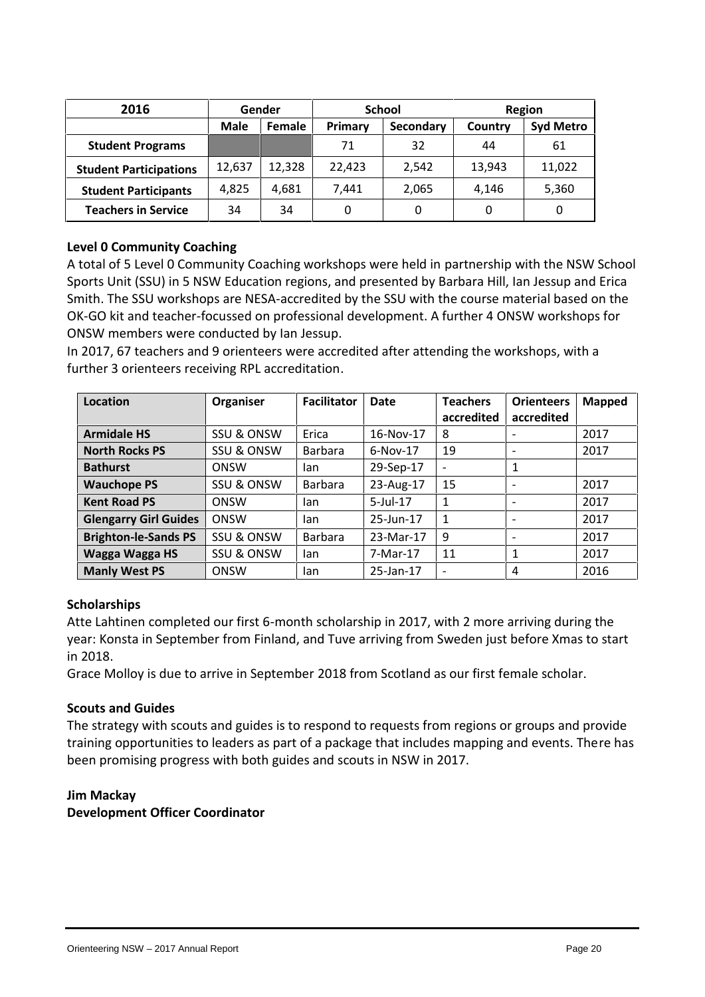| 2016                          |             | Gender        |         | <b>School</b> | Region  |                  |  |  |  |
|-------------------------------|-------------|---------------|---------|---------------|---------|------------------|--|--|--|
|                               | <b>Male</b> | <b>Female</b> | Primary | Secondary     | Country | <b>Syd Metro</b> |  |  |  |
| <b>Student Programs</b>       |             |               | 71      | 32            | 44      | 61               |  |  |  |
| <b>Student Participations</b> | 12,637      | 12,328        | 22.423  | 2,542         | 13.943  | 11,022           |  |  |  |
| <b>Student Participants</b>   | 4,825       | 4,681         | 7,441   | 2,065         | 4,146   | 5,360            |  |  |  |
| <b>Teachers in Service</b>    | 34          | 34            |         | 0             | 0       | 0                |  |  |  |

#### **Level 0 Community Coaching**

A total of 5 Level 0 Community Coaching workshops were held in partnership with the NSW School Sports Unit (SSU) in 5 NSW Education regions, and presented by Barbara Hill, Ian Jessup and Erica Smith. The SSU workshops are NESA-accredited by the SSU with the course material based on the OK-GO kit and teacher-focussed on professional development. A further 4 ONSW workshops for ONSW members were conducted by Ian Jessup.

In 2017, 67 teachers and 9 orienteers were accredited after attending the workshops, with a further 3 orienteers receiving RPL accreditation.

| Location                     | Organiser             | <b>Facilitator</b> | <b>Date</b> | <b>Teachers</b><br>accredited | <b>Orienteers</b><br>accredited | <b>Mapped</b> |
|------------------------------|-----------------------|--------------------|-------------|-------------------------------|---------------------------------|---------------|
| <b>Armidale HS</b>           | <b>SSU &amp; ONSW</b> | Erica              | 16-Nov-17   | 8                             | $\overline{\phantom{a}}$        | 2017          |
| <b>North Rocks PS</b>        | <b>SSU &amp; ONSW</b> | Barbara            | $6-Nov-17$  | 19                            | -                               | 2017          |
| <b>Bathurst</b>              | ONSW                  | lan                | 29-Sep-17   | $\overline{\phantom{a}}$      | 1                               |               |
| <b>Wauchope PS</b>           | SSU & ONSW            | <b>Barbara</b>     | 23-Aug-17   | 15                            | $\qquad \qquad \blacksquare$    | 2017          |
| <b>Kent Road PS</b>          | <b>ONSW</b>           | lan                | $5$ -Jul-17 | 1                             | $\qquad \qquad \blacksquare$    | 2017          |
| <b>Glengarry Girl Guides</b> | ONSW                  | lan                | 25-Jun-17   | 1                             | $\overline{\phantom{a}}$        | 2017          |
| <b>Brighton-le-Sands PS</b>  | SSU & ONSW            | <b>Barbara</b>     | 23-Mar-17   | 9                             | $\qquad \qquad \blacksquare$    | 2017          |
| Wagga Wagga HS               | SSU & ONSW            | lan                | 7-Mar-17    | 11                            | 1                               | 2017          |
| <b>Manly West PS</b>         | ONSW                  | lan                | 25-Jan-17   | $\overline{\phantom{a}}$      | 4                               | 2016          |

#### **Scholarships**

Atte Lahtinen completed our first 6-month scholarship in 2017, with 2 more arriving during the year: Konsta in September from Finland, and Tuve arriving from Sweden just before Xmas to start in 2018.

Grace Molloy is due to arrive in September 2018 from Scotland as our first female scholar.

#### **Scouts and Guides**

The strategy with scouts and guides is to respond to requests from regions or groups and provide training opportunities to leaders as part of a package that includes mapping and events. There has been promising progress with both guides and scouts in NSW in 2017.

### **Jim Mackay**

**Development Officer Coordinator**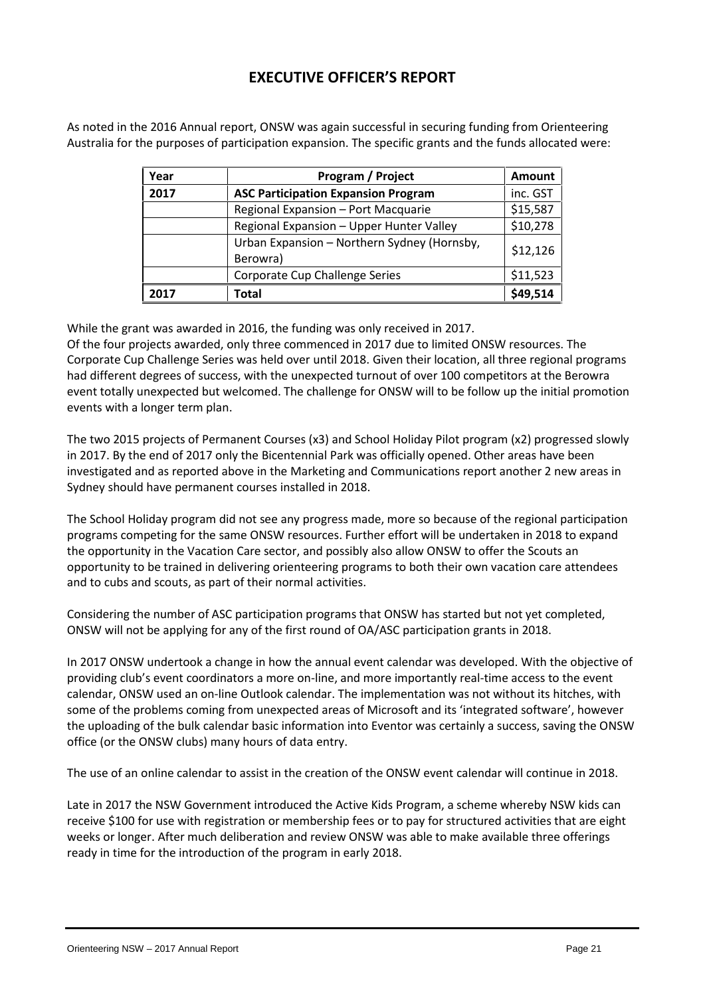# **EXECUTIVE OFFICER'S REPORT**

As noted in the 2016 Annual report, ONSW was again successful in securing funding from Orienteering Australia for the purposes of participation expansion. The specific grants and the funds allocated were:

| Year | <b>Program / Project</b>                                | <b>Amount</b> |
|------|---------------------------------------------------------|---------------|
| 2017 | <b>ASC Participation Expansion Program</b>              | inc. GST      |
|      | Regional Expansion - Port Macquarie                     | \$15,587      |
|      | Regional Expansion - Upper Hunter Valley                | \$10,278      |
|      | Urban Expansion - Northern Sydney (Hornsby,<br>Berowra) | \$12,126      |
|      | Corporate Cup Challenge Series                          | \$11,523      |
| 2017 | <b>Total</b>                                            | \$49,514      |

While the grant was awarded in 2016, the funding was only received in 2017.

Of the four projects awarded, only three commenced in 2017 due to limited ONSW resources. The Corporate Cup Challenge Series was held over until 2018. Given their location, all three regional programs had different degrees of success, with the unexpected turnout of over 100 competitors at the Berowra event totally unexpected but welcomed. The challenge for ONSW will to be follow up the initial promotion events with a longer term plan.

The two 2015 projects of Permanent Courses (x3) and School Holiday Pilot program (x2) progressed slowly in 2017. By the end of 2017 only the Bicentennial Park was officially opened. Other areas have been investigated and as reported above in the Marketing and Communications report another 2 new areas in Sydney should have permanent courses installed in 2018.

The School Holiday program did not see any progress made, more so because of the regional participation programs competing for the same ONSW resources. Further effort will be undertaken in 2018 to expand the opportunity in the Vacation Care sector, and possibly also allow ONSW to offer the Scouts an opportunity to be trained in delivering orienteering programs to both their own vacation care attendees and to cubs and scouts, as part of their normal activities.

Considering the number of ASC participation programs that ONSW has started but not yet completed, ONSW will not be applying for any of the first round of OA/ASC participation grants in 2018.

In 2017 ONSW undertook a change in how the annual event calendar was developed. With the objective of providing club's event coordinators a more on-line, and more importantly real-time access to the event calendar, ONSW used an on-line Outlook calendar. The implementation was not without its hitches, with some of the problems coming from unexpected areas of Microsoft and its 'integrated software', however the uploading of the bulk calendar basic information into Eventor was certainly a success, saving the ONSW office (or the ONSW clubs) many hours of data entry.

The use of an online calendar to assist in the creation of the ONSW event calendar will continue in 2018.

Late in 2017 the NSW Government introduced the Active Kids Program, a scheme whereby NSW kids can receive \$100 for use with registration or membership fees or to pay for structured activities that are eight weeks or longer. After much deliberation and review ONSW was able to make available three offerings ready in time for the introduction of the program in early 2018.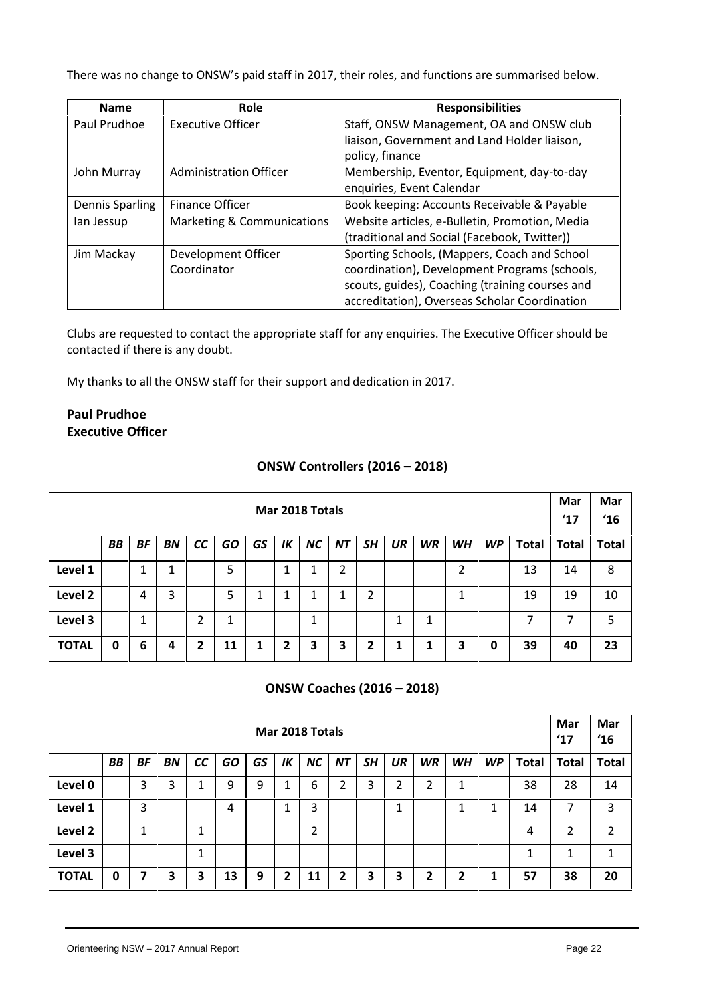There was no change to ONSW's paid staff in 2017, their roles, and functions are summarised below.

| <b>Name</b>            | <b>Role</b>                | <b>Responsibilities</b>                         |
|------------------------|----------------------------|-------------------------------------------------|
| Paul Prudhoe           | Executive Officer          | Staff, ONSW Management, OA and ONSW club        |
|                        |                            | liaison, Government and Land Holder liaison,    |
|                        |                            | policy, finance                                 |
| John Murray            | Administration Officer     | Membership, Eventor, Equipment, day-to-day      |
|                        |                            | enquiries, Event Calendar                       |
| <b>Dennis Sparling</b> | <b>Finance Officer</b>     | Book keeping: Accounts Receivable & Payable     |
| lan Jessup             | Marketing & Communications | Website articles, e-Bulletin, Promotion, Media  |
|                        |                            | (traditional and Social (Facebook, Twitter))    |
| Jim Mackay             | Development Officer        | Sporting Schools, (Mappers, Coach and School    |
|                        | Coordinator                | coordination), Development Programs (schools,   |
|                        |                            | scouts, guides), Coaching (training courses and |
|                        |                            | accreditation), Overseas Scholar Coordination   |

Clubs are requested to contact the appropriate staff for any enquiries. The Executive Officer should be contacted if there is any doubt.

My thanks to all the ONSW staff for their support and dedication in 2017.

### **Paul Prudhoe Executive Officer**

#### **ONSW Controllers (2016 – 2018)**

|              | Mar 2018 Totals                                                                                                                                          |   |   |   |    |  |   |   |   |   |  |   |    |              |              | Mar<br>$^{\prime}17$ | Mar<br>$^{\prime}16$ |
|--------------|----------------------------------------------------------------------------------------------------------------------------------------------------------|---|---|---|----|--|---|---|---|---|--|---|----|--------------|--------------|----------------------|----------------------|
|              | <b>GO</b><br>BB<br><b>BF</b><br>SH<br><b>UR</b><br><b>WR</b><br><b>WH</b><br><b>WP</b><br><b>Total</b><br>cc<br>GS<br>IK<br><b>NC</b><br><b>NT</b><br>BN |   |   |   |    |  |   |   |   |   |  |   |    | <b>Total</b> | <b>Total</b> |                      |                      |
| Level 1      | 5<br>2<br>13<br>2<br>1<br>1                                                                                                                              |   |   |   |    |  |   |   |   |   |  |   | 14 | 8            |              |                      |                      |
| Level 2      |                                                                                                                                                          | 4 | 3 |   | 5  |  |   | 1 |   | າ |  |   |    |              | 19           | 19                   | 10                   |
| Level 3      | ำ<br>7<br>1<br>◢<br>1<br>1<br>┸<br>┻<br>┻<br>∠                                                                                                           |   |   |   |    |  |   |   |   |   |  |   |    | ⇁            | 5            |                      |                      |
| <b>TOTAL</b> | 0                                                                                                                                                        | 6 | 4 | 2 | 11 |  | 2 | 3 | 3 |   |  | 1 | 3  | 0            | 39           | 40                   | 23                   |

#### **ONSW Coaches (2016 – 2018)**

|              | Mar 2018 Totals                                                                                                                                                 |   |   |        |    |   |   |    |   |   |   |   |        |   | Mar<br>$^{\prime}17$ | Mar<br>16    |                |
|--------------|-----------------------------------------------------------------------------------------------------------------------------------------------------------------|---|---|--------|----|---|---|----|---|---|---|---|--------|---|----------------------|--------------|----------------|
|              | cc<br><b>GO</b><br>GS<br>UR<br><b>BF</b><br>IK<br><b>NC</b><br><b>NT</b><br>SΗ<br><b>WR</b><br><b>WP</b><br><b>Total</b><br><b>BB</b><br><b>BN</b><br><b>WH</b> |   |   |        |    |   |   |    |   |   |   |   |        |   | <b>Total</b>         | <b>Total</b> |                |
| Level 0      |                                                                                                                                                                 | 3 | 3 |        | 9  | 9 |   | 6  | າ | 3 | 2 | 2 | 4<br>┻ |   | 38                   | 28           | 14             |
| Level 1      |                                                                                                                                                                 | 3 |   |        | 4  |   |   | 3  |   |   | 1 |   | ◢      | 1 | 14                   | ⇁            | $\overline{3}$ |
| Level 2      |                                                                                                                                                                 | 1 |   | 1<br>┻ |    |   |   | 2  |   |   |   |   |        |   | 4                    | 2            | 2              |
| Level 3      |                                                                                                                                                                 |   |   | 1<br>┻ |    |   |   |    |   |   |   |   |        |   |                      |              | 1              |
| <b>TOTAL</b> | 0                                                                                                                                                               |   | 3 | 3      | 13 | 9 | 2 | 11 | 2 | 3 | З | 2 | 2      | 1 | 57                   | 38           | 20             |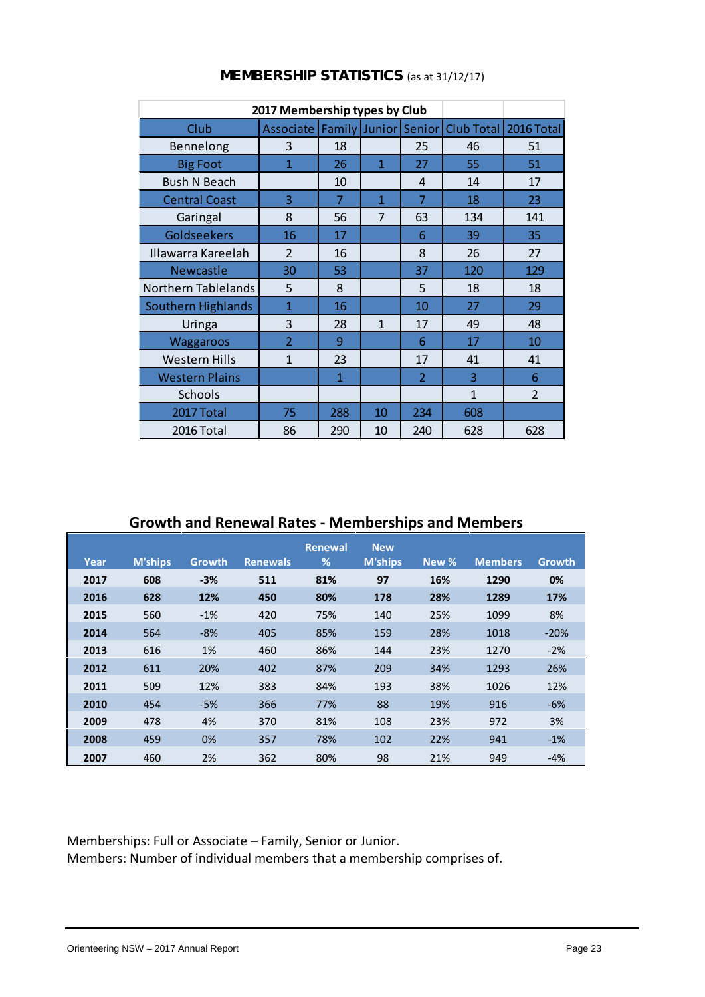|                            | 2017 Membership types by Club        |                |              |                |                         |                |
|----------------------------|--------------------------------------|----------------|--------------|----------------|-------------------------|----------------|
| Club                       | Associate   Family   Junior   Senior |                |              |                | Club Total   2016 Total |                |
| Bennelong                  | 3                                    | 18             |              | 25             | 46                      | 51             |
| <b>Big Foot</b>            | $\overline{1}$                       | 26             | $\mathbf{1}$ | 27             | 55                      | 51             |
| <b>Bush N Beach</b>        |                                      | 10             |              | $\overline{4}$ | 14                      | 17             |
| <b>Central Coast</b>       | 3                                    | $\overline{7}$ | $\mathbf{1}$ | $\overline{7}$ | 18                      | 23             |
| Garingal                   | 8                                    | 56             | 7            | 63             | 134                     | 141            |
| Goldseekers                | 16                                   | 17             |              | 6              | 39                      | 35             |
| Illawarra Kareelah         | $\overline{2}$                       | 16             |              | 8              | 26                      | 27             |
| <b>Newcastle</b>           | 30                                   | 53             |              | 37             | 120                     | 129            |
| <b>Northern Tablelands</b> | 5                                    | 8              |              | 5              | 18                      | 18             |
| <b>Southern Highlands</b>  | $\mathbf{1}$                         | 16             |              | 10             | 27                      | 29             |
| Uringa                     | 3                                    | 28             | $\mathbf{1}$ | 17             | 49                      | 48             |
| <b>Waggaroos</b>           | $\overline{2}$                       | 9              |              | 6              | 17                      | 10             |
| <b>Western Hills</b>       | 1                                    | 23             |              | 17             | 41                      | 41             |
| <b>Western Plains</b>      |                                      | 1              |              | $\overline{2}$ | 3                       | 6              |
| Schools                    |                                      |                |              |                | $\mathbf{1}$            | $\overline{2}$ |
| 2017 Total                 | 75                                   | 288            | 10           | 234            | 608                     |                |
| 2016 Total                 | 86                                   | 290            | 10           | 240            | 628                     | 628            |

### **MEMBERSHIP STATISTICS** (as at 31/12/17)

# **Growth and Renewal Rates - Memberships and Members**

|      |                |               |                 | <b>Renewal</b> | <b>New</b>     |       |                |               |
|------|----------------|---------------|-----------------|----------------|----------------|-------|----------------|---------------|
| Year | <b>M'ships</b> | <b>Growth</b> | <b>Renewals</b> | %              | <b>M'ships</b> | New % | <b>Members</b> | <b>Growth</b> |
| 2017 | 608            | $-3%$         | 511             | 81%            | 97             | 16%   | 1290           | 0%            |
| 2016 | 628            | 12%           | 450             | 80%            | 178            | 28%   | 1289           | 17%           |
| 2015 | 560            | $-1%$         | 420             | 75%            | 140            | 25%   | 1099           | 8%            |
| 2014 | 564            | $-8%$         | 405             | 85%            | 159            | 28%   | 1018           | $-20%$        |
| 2013 | 616            | 1%            | 460             | 86%            | 144            | 23%   | 1270           | $-2%$         |
| 2012 | 611            | 20%           | 402             | 87%            | 209            | 34%   | 1293           | 26%           |
| 2011 | 509            | 12%           | 383             | 84%            | 193            | 38%   | 1026           | 12%           |
| 2010 | 454            | $-5%$         | 366             | 77%            | 88             | 19%   | 916            | $-6%$         |
| 2009 | 478            | 4%            | 370             | 81%            | 108            | 23%   | 972            | 3%            |
| 2008 | 459            | 0%            | 357             | 78%            | 102            | 22%   | 941            | $-1%$         |
| 2007 | 460            | 2%            | 362             | 80%            | 98             | 21%   | 949            | $-4%$         |

Memberships: Full or Associate – Family, Senior or Junior.

Members: Number of individual members that a membership comprises of.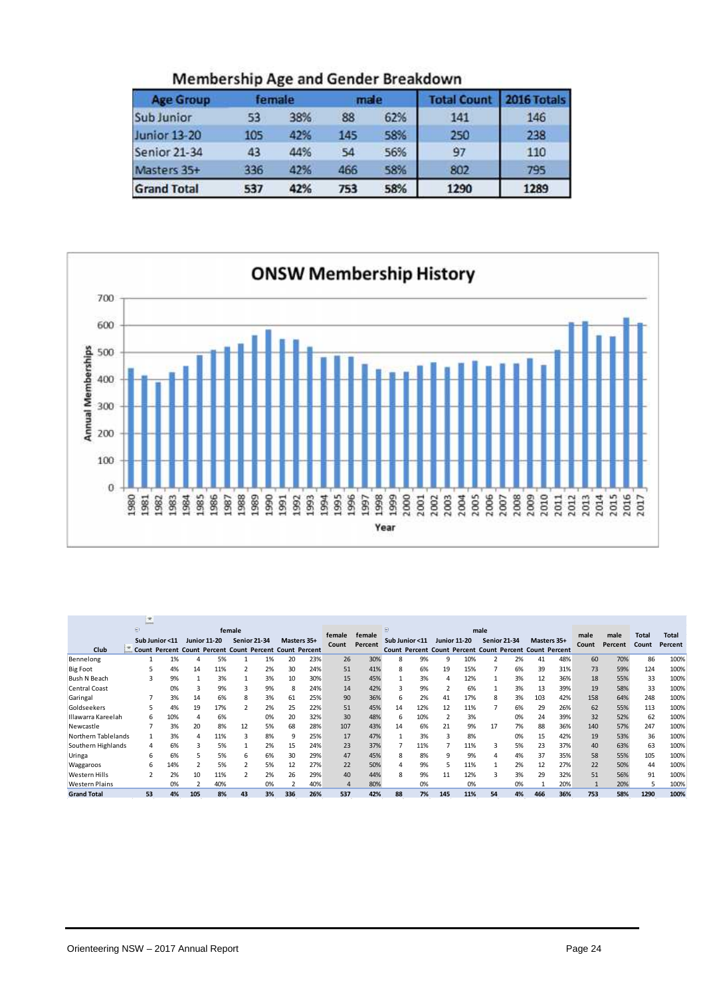| <b>Age Group</b>    |     | female | male |     | <b>Total Count</b> | 2016 Totals |
|---------------------|-----|--------|------|-----|--------------------|-------------|
| <b>Sub Junior</b>   | 53  | 38%    | 88   | 62% | 141                | 146         |
| Junior 13-20        | 105 | 42%    | 145  | 58% | 250                | 238         |
| <b>Senior 21-34</b> | 43  | 44%    | 54   | 56% | 97                 | 110         |
| Masters 35+         | 336 | 42%    | 466  | 58% | 802                | 795         |
| <b>Grand Total</b>  | 537 | 42%    | 753  | 58% | 1290               | 1289        |

Membership Age and Gender Breakdown



|                       | <b>SEC</b><br><b>Description</b> |                |     |                     |                                                         |    |             |     |        |         |                |     |     |                     |                     |    |                                                         |     |       |         |       |              |
|-----------------------|----------------------------------|----------------|-----|---------------------|---------------------------------------------------------|----|-------------|-----|--------|---------|----------------|-----|-----|---------------------|---------------------|----|---------------------------------------------------------|-----|-------|---------|-------|--------------|
|                       | Θ                                |                |     |                     | female                                                  |    |             |     | female | female  | 日              |     |     |                     | male                |    |                                                         |     | male  | male    | Total | <b>Total</b> |
|                       |                                  | Sub Junior <11 |     | <b>Junior 11-20</b> | <b>Senior 21-34</b>                                     |    | Masters 35+ |     | Count  | Percent | Sub Junior <11 |     |     | <b>Junior 11-20</b> | <b>Senior 21-34</b> |    | Masters 35+                                             |     | Count | Percent | Count | Percent      |
| Club                  |                                  |                |     |                     | Count Percent Count Percent Count Percent Count Percent |    |             |     |        |         |                |     |     |                     |                     |    | Count Percent Count Percent Count Percent Count Percent |     |       |         |       |              |
| Bennelong             |                                  | 1%             |     | 5%                  |                                                         | 1% | 20          | 23% | 26     | 30%     | 8              | 9%  | q   | 10%                 |                     | 2% | 41                                                      | 48% | 60    | 70%     | 86    | 100%         |
| <b>Big Foot</b>       |                                  | 4%             | 14  | 11%                 |                                                         | 2% | 30          | 24% | 51     | 41%     | 8              | 6%  | 19  | 15%                 |                     | 6% | 39                                                      | 31% | 73    | 59%     | 124   | 100%         |
| <b>Bush N Beach</b>   |                                  | 9%             |     | 3%                  |                                                         | 3% | 10          | 30% | 15     | 45%     |                | 3%  | Δ   | 12%                 |                     | 3% | 12                                                      | 36% | 18    | 55%     | 33    | 100%         |
| <b>Central Coast</b>  |                                  | 0%             | 3   | 9%                  | 3                                                       | 9% | 8           | 24% | 14     | 42%     |                | 9%  |     | 6%                  |                     | 3% | 13                                                      | 39% | 19    | 58%     | 33    | 100%         |
| Garingal              |                                  | 3%             | 14  | 6%                  | 8                                                       | 3% | 61          | 25% | 90     | 36%     | 6              | 2%  | 41  | 17%                 | 8                   | 3% | 103                                                     | 42% | 158   | 64%     | 248   | 100%         |
| Goldseekers           |                                  | 4%             | 19  | 17%                 |                                                         | 2% | 25          | 22% | 51     | 45%     | 14             | 12% | 12  | 11%                 |                     | 6% | 29                                                      | 26% | 62    | 55%     | 113   | 100%         |
| Illawarra Kareelah    | 6                                | 10%            | 4   | 6%                  |                                                         | 0% | 20          | 32% | 30     | 48%     | 6              | 10% |     | 3%                  |                     | 0% | 24                                                      | 39% | 32    | 52%     | 62    | 100%         |
| Newcastle             |                                  | 3%             | 20  | 8%                  | 12                                                      | 5% | 68          | 28% | 107    | 43%     | 14             | 6%  | 21  | 9%                  | 17                  | 7% | 88                                                      | 36% | 140   | 57%     | 247   | 100%         |
| Northern Tablelands   |                                  | 3%             |     | 11%                 | 3                                                       | 8% | 9           | 25% | 17     | 47%     |                | 3%  | 3   | 8%                  |                     | 0% | 15                                                      | 42% | 19    | 53%     | 36    | 100%         |
| Southern Highlands    | 4                                | 6%             |     | 5%                  |                                                         | 2% | 15          | 24% | 23     | 37%     |                | 11% |     | 11%                 | 3                   | 5% | 23                                                      | 37% | 40    | 63%     | 63    | 100%         |
| Uringa                | 6                                | 6%             |     | 5%                  | 6                                                       | 6% | 30          | 29% | 47     | 45%     | 8              | 8%  | 9   | 9%                  |                     | 4% | 37                                                      | 35% | 58    | 55%     | 105   | 100%         |
| Waggaroos             | h                                | 14%            |     | 5%                  |                                                         | 5% | 12          | 27% | 22     | 50%     |                | 9%  |     | 11%                 |                     | 2% | 12                                                      | 27% | 22    | 50%     | 44    | 100%         |
| Western Hills         |                                  | 2%             | 10  | 11%                 |                                                         | 2% | 26          | 29% | 40     | 44%     | 8              | 9%  | 11  | 12%                 |                     | 3% | 29                                                      | 32% | 51    | 56%     | 91    | 100%         |
| <b>Western Plains</b> |                                  | 0%             |     | 40%                 |                                                         | 0% |             | 40% | Δ      | 80%     |                | 0%  |     | 0%                  |                     | 0% |                                                         | 20% |       | 20%     | 5     | 100%         |
| <b>Grand Total</b>    | 53                               | 4%             | 105 | 8%                  | 43                                                      | 3% | 336         | 26% | 537    | 42%     | 88             | 7%  | 145 | 11%                 | 54                  | 4% | 466                                                     | 36% | 753   | 58%     | 1290  | 100%         |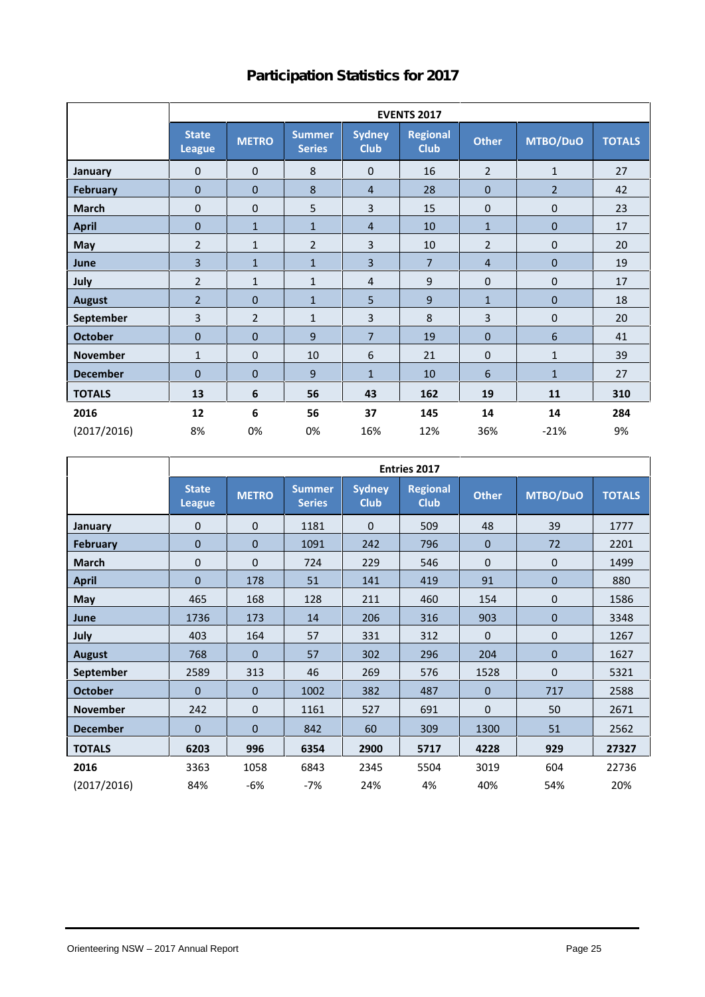# **Participation Statistics for 2017**

|                 |                               | <b>EVENTS 2017</b> |                                |                              |                                |                  |                  |               |  |  |  |  |  |  |  |
|-----------------|-------------------------------|--------------------|--------------------------------|------------------------------|--------------------------------|------------------|------------------|---------------|--|--|--|--|--|--|--|
|                 | <b>State</b><br><b>League</b> | <b>METRO</b>       | <b>Summer</b><br><b>Series</b> | <b>Sydney</b><br><b>Club</b> | <b>Regional</b><br><b>Club</b> | <b>Other</b>     | MTBO/DuO         | <b>TOTALS</b> |  |  |  |  |  |  |  |
| <b>January</b>  | $\mathbf{0}$                  | $\mathbf 0$        | 8                              | $\boldsymbol{0}$             | 16                             | $\overline{2}$   | $\mathbf{1}$     | 27            |  |  |  |  |  |  |  |
| <b>February</b> | $\mathbf 0$                   | $\boldsymbol{0}$   | 8                              | $\overline{4}$               | 28                             | $\bf{0}$         | $\overline{2}$   | 42            |  |  |  |  |  |  |  |
| <b>March</b>    | $\mathbf 0$                   | $\mathbf{0}$       | 5                              | 3                            | 15                             | $\pmb{0}$        | 0                | 23            |  |  |  |  |  |  |  |
| <b>April</b>    | $\mathbf{0}$                  | $\mathbf{1}$       | $\mathbf{1}$                   | $\overline{4}$               | 10                             | $\mathbf{1}$     | $\boldsymbol{0}$ | 17            |  |  |  |  |  |  |  |
| May             | $\overline{2}$                | $\mathbf{1}$       | $\overline{2}$                 | 3                            | 10                             | $\overline{2}$   | 0                | 20            |  |  |  |  |  |  |  |
| June            | 3                             | $\mathbf{1}$       | $\mathbf{1}$                   | 3                            | $\overline{7}$                 | $\overline{4}$   | $\overline{0}$   | 19            |  |  |  |  |  |  |  |
| July            | $\overline{2}$                | $\mathbf{1}$       | $\mathbf{1}$                   | 4                            | 9                              | $\boldsymbol{0}$ | 0                | 17            |  |  |  |  |  |  |  |
| <b>August</b>   | $\overline{2}$                | $\mathbf 0$        | $\mathbf{1}$                   | 5                            | 9                              | $\mathbf{1}$     | $\boldsymbol{0}$ | 18            |  |  |  |  |  |  |  |
| September       | 3                             | $\overline{2}$     | $\mathbf{1}$                   | 3                            | 8                              | 3                | 0                | 20            |  |  |  |  |  |  |  |
| <b>October</b>  | $\mathbf{0}$                  | $\mathbf{0}$       | 9                              | $\overline{7}$               | 19                             | $\mathbf{0}$     | 6                | 41            |  |  |  |  |  |  |  |
| <b>November</b> | $\mathbf{1}$                  | $\pmb{0}$          | 10                             | 6                            | 21                             | $\pmb{0}$        | $\mathbf{1}$     | 39            |  |  |  |  |  |  |  |
| <b>December</b> | $\mathbf{0}$                  | $\mathbf{0}$       | 9                              | $\mathbf{1}$                 | 10                             | 6                | $\mathbf{1}$     | 27            |  |  |  |  |  |  |  |
| <b>TOTALS</b>   | 13                            | 6                  | 56                             | 43                           | 162                            | 19               | 11               | 310           |  |  |  |  |  |  |  |
| 2016            | 12                            | 6                  | 56                             | 37                           | 145                            | 14               | 14               | 284           |  |  |  |  |  |  |  |
| (2017/2016)     | 8%                            | 0%                 | 0%                             | 16%                          | 12%                            | 36%              | $-21%$           | 9%            |  |  |  |  |  |  |  |

|                 |                               | <b>Entries 2017</b> |                                |                              |                                |                |                |               |  |  |  |  |  |  |
|-----------------|-------------------------------|---------------------|--------------------------------|------------------------------|--------------------------------|----------------|----------------|---------------|--|--|--|--|--|--|
|                 | <b>State</b><br><b>League</b> | <b>METRO</b>        | <b>Summer</b><br><b>Series</b> | <b>Sydney</b><br><b>Club</b> | <b>Regional</b><br><b>Club</b> | <b>Other</b>   | MTBO/DuO       | <b>TOTALS</b> |  |  |  |  |  |  |
| January         | $\mathbf{0}$                  | $\Omega$            | 1181                           | $\Omega$                     | 509                            | 48             | 39             | 1777          |  |  |  |  |  |  |
| <b>February</b> | 0                             | $\overline{0}$      | 1091                           | 242                          | 796                            | $\mathbf 0$    | 72             | 2201          |  |  |  |  |  |  |
| <b>March</b>    | 0                             | $\mathbf{0}$        | 724                            | 229                          | 546                            | $\mathbf 0$    | 0              | 1499          |  |  |  |  |  |  |
| <b>April</b>    | 0                             | 178                 | 51                             | 141                          | 419                            | 91             | $\overline{0}$ | 880           |  |  |  |  |  |  |
| May             | 465                           | 168                 | 128                            | 211                          | 460                            | 154            | $\mathbf 0$    | 1586          |  |  |  |  |  |  |
| June            | 1736                          | 173                 | 14                             | 206                          | 316                            | 903            | $\pmb{0}$      | 3348          |  |  |  |  |  |  |
| July            | 403                           | 164                 | 57                             | 331                          | 312                            | $\mathbf 0$    | $\mathbf{0}$   | 1267          |  |  |  |  |  |  |
| <b>August</b>   | 768                           | $\mathbf{0}$        | 57                             | 302                          | 296                            | 204            | $\mathbf{0}$   | 1627          |  |  |  |  |  |  |
| September       | 2589                          | 313                 | 46                             | 269                          | 576                            | 1528           | $\mathbf{0}$   | 5321          |  |  |  |  |  |  |
| <b>October</b>  | $\overline{0}$                | $\mathbf{0}$        | 1002                           | 382                          | 487                            | $\overline{0}$ | 717            | 2588          |  |  |  |  |  |  |
| <b>November</b> | 242                           | $\mathbf{0}$        | 1161                           | 527                          | 691                            | $\mathbf 0$    | 50             | 2671          |  |  |  |  |  |  |
| <b>December</b> | $\mathbf{0}$                  | $\mathbf{0}$        | 842                            | 60                           | 309                            | 1300           | 51             | 2562          |  |  |  |  |  |  |
| <b>TOTALS</b>   | 6203                          | 996                 | 6354                           | 2900                         | 5717                           | 4228           | 929            | 27327         |  |  |  |  |  |  |
| 2016            | 3363                          | 1058                | 6843                           | 2345                         | 5504                           | 3019           | 604            | 22736         |  |  |  |  |  |  |
| (2017/2016)     | 84%                           | -6%                 | -7%                            | 24%                          | 4%                             | 40%            | 54%            | 20%           |  |  |  |  |  |  |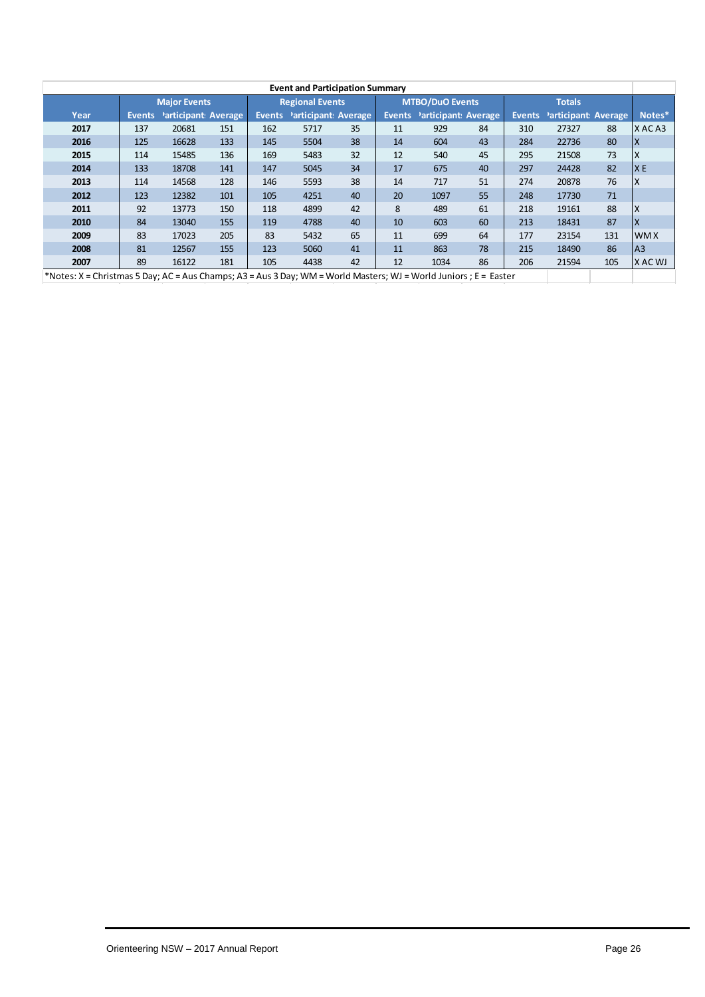|                                                                                                                   |               |                      |     |               | <b>Event and Participation Summary</b> |    |        |                        |    |               |                             |     |                |
|-------------------------------------------------------------------------------------------------------------------|---------------|----------------------|-----|---------------|----------------------------------------|----|--------|------------------------|----|---------------|-----------------------------|-----|----------------|
|                                                                                                                   |               | <b>Major Events</b>  |     |               | <b>Regional Events</b>                 |    |        | <b>MTBO/DuO Events</b> |    |               | <b>Totals</b>               |     |                |
| Year                                                                                                              | <b>Events</b> | Participant: Average |     | <b>Events</b> | Participant: Average                   |    | Events | Participant: Average   |    | <b>Events</b> | <b>Participant: Average</b> |     | Notes*         |
| 2017                                                                                                              | 137           | 20681                | 151 | 162           | 5717                                   | 35 | 11     | 929                    | 84 | 310           | 27327                       | 88  | XACA3          |
| 2016                                                                                                              | 125           | 16628                | 133 | 145           | 5504                                   | 38 | 14     | 604                    | 43 | 284           | 22736                       | 80  | ΙX             |
| 2015                                                                                                              | 114           | 15485                | 136 | 169           | 5483                                   | 32 | 12     | 540                    | 45 | 295           | 21508                       | 73  | X              |
| 2014                                                                                                              | 133           | 18708                | 141 | 147           | 5045                                   | 34 | 17     | 675                    | 40 | 297           | 24428                       | 82  | X E            |
| 2013                                                                                                              | 114           | 14568                | 128 | 146           | 5593                                   | 38 | 14     | 717                    | 51 | 274           | 20878                       | 76  | X              |
| 2012                                                                                                              | 123           | 12382                | 101 | 105           | 4251                                   | 40 | 20     | 1097                   | 55 | 248           | 17730                       | 71  |                |
| 2011                                                                                                              | 92            | 13773                | 150 | 118           | 4899                                   | 42 | 8      | 489                    | 61 | 218           | 19161                       | 88  | X              |
| 2010                                                                                                              | 84            | 13040                | 155 | 119           | 4788                                   | 40 | 10     | 603                    | 60 | 213           | 18431                       | 87  | X              |
| 2009                                                                                                              | 83            | 17023                | 205 | 83            | 5432                                   | 65 | 11     | 699                    | 64 | 177           | 23154                       | 131 | <b>WMX</b>     |
| 2008                                                                                                              | 81            | 12567                | 155 | 123           | 5060                                   | 41 | 11     | 863                    | 78 | 215           | 18490                       | 86  | A <sub>3</sub> |
| 2007                                                                                                              | 89            | 16122                | 181 | 105           | 4438                                   | 42 | 12     | 1034                   | 86 | 206           | 21594                       | 105 | X AC WJ        |
| *Notes: X = Christmas 5 Day; AC = Aus Champs; A3 = Aus 3 Day; WM = World Masters; WJ = World Juniors ; E = Easter |               |                      |     |               |                                        |    |        |                        |    |               |                             |     |                |

Orienteering NSW - 2017 Annual Report **Page 26** Page 26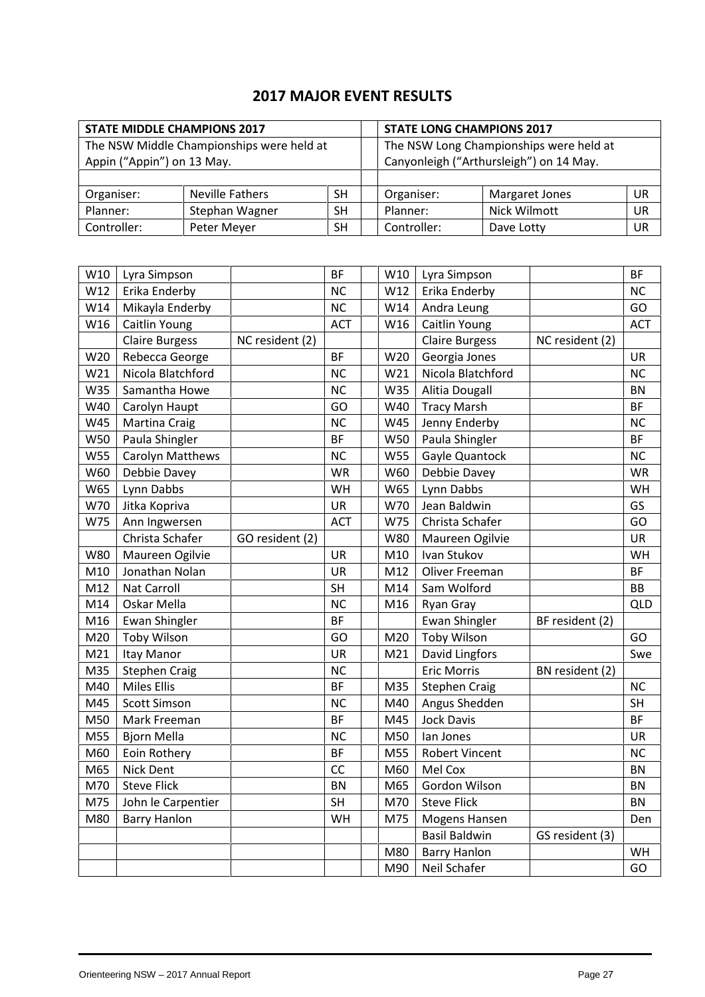# **2017 MAJOR EVENT RESULTS**

|                            | <b>STATE MIDDLE CHAMPIONS 2017</b>        |                                         |             | <b>STATE LONG CHAMPIONS 2017</b>        |           |  |  |
|----------------------------|-------------------------------------------|-----------------------------------------|-------------|-----------------------------------------|-----------|--|--|
|                            | The NSW Middle Championships were held at | The NSW Long Championships were held at |             |                                         |           |  |  |
| Appin ("Appin") on 13 May. |                                           |                                         |             | Canyonleigh ("Arthursleigh") on 14 May. |           |  |  |
|                            |                                           |                                         |             |                                         |           |  |  |
| Organiser:                 | Neville Fathers                           | SH.                                     | Organiser:  | <b>Margaret Jones</b>                   | UR        |  |  |
| Planner:                   | Stephan Wagner                            | SH                                      | Planner:    | Nick Wilmott                            | UR        |  |  |
| Controller:                | Peter Meyer                               | SН                                      | Controller: | Dave Lotty                              | <b>UR</b> |  |  |

| W10             | Lyra Simpson            |                 | <b>BF</b>  | W10             | Lyra Simpson          |                 | <b>BF</b>  |
|-----------------|-------------------------|-----------------|------------|-----------------|-----------------------|-----------------|------------|
| W12             | Erika Enderby           |                 | <b>NC</b>  | W12             | Erika Enderby         |                 | NC         |
| W14             | Mikayla Enderby         |                 | <b>NC</b>  | W14             | Andra Leung           |                 | GO         |
| W16             | Caitlin Young           |                 | ACT        | W16             | Caitlin Young         |                 | <b>ACT</b> |
|                 | <b>Claire Burgess</b>   | NC resident (2) |            |                 | <b>Claire Burgess</b> | NC resident (2) |            |
| W20             | Rebecca George          |                 | <b>BF</b>  | W20             | Georgia Jones         |                 | <b>UR</b>  |
| W <sub>21</sub> | Nicola Blatchford       |                 | <b>NC</b>  | W21             | Nicola Blatchford     |                 | NC         |
| W35             | Samantha Howe           |                 | <b>NC</b>  | W35             | Alitia Dougall        |                 | <b>BN</b>  |
| W40             | Carolyn Haupt           |                 | GO         | W40             | <b>Tracy Marsh</b>    |                 | <b>BF</b>  |
| W45             | <b>Martina Craig</b>    |                 | <b>NC</b>  | W45             | Jenny Enderby         |                 | NC         |
| W50             | Paula Shingler          |                 | <b>BF</b>  | W50             | Paula Shingler        |                 | BF         |
| <b>W55</b>      | <b>Carolyn Matthews</b> |                 | <b>NC</b>  | W55             | Gayle Quantock        |                 | <b>NC</b>  |
| W60             | Debbie Davey            |                 | <b>WR</b>  | W60             | Debbie Davey          |                 | <b>WR</b>  |
| W65             | Lynn Dabbs              |                 | WH         | W65             | Lynn Dabbs            |                 | WH         |
| W70             | Jitka Kopriva           |                 | UR         | W70             | Jean Baldwin          |                 | GS         |
| W75             | Ann Ingwersen           |                 | <b>ACT</b> | W75             | Christa Schafer       |                 | GO         |
|                 | Christa Schafer         | GO resident (2) |            | W80             | Maureen Ogilvie       |                 | <b>UR</b>  |
| <b>W80</b>      | Maureen Ogilvie         |                 | UR         | M10             | Ivan Stukov           |                 | WH         |
| M10             | Jonathan Nolan          |                 | <b>UR</b>  | M12             | Oliver Freeman        |                 | BF         |
| M12             | Nat Carroll             |                 | SH         | M14             | Sam Wolford           |                 | BB         |
| M14             | Oskar Mella             |                 | <b>NC</b>  | M16             | <b>Ryan Gray</b>      |                 | <b>QLD</b> |
| M16             | <b>Ewan Shingler</b>    |                 | <b>BF</b>  |                 | <b>Ewan Shingler</b>  | BF resident (2) |            |
| M20             | <b>Toby Wilson</b>      |                 | GO         | M20             | <b>Toby Wilson</b>    |                 | GO         |
| M <sub>21</sub> | Itay Manor              |                 | UR         | M <sub>21</sub> | <b>David Lingfors</b> |                 | Swe        |
| M35             | <b>Stephen Craig</b>    |                 | <b>NC</b>  |                 | <b>Eric Morris</b>    | BN resident (2) |            |
| M40             | <b>Miles Ellis</b>      |                 | <b>BF</b>  | M35             | <b>Stephen Craig</b>  |                 | <b>NC</b>  |
| M45             | <b>Scott Simson</b>     |                 | <b>NC</b>  | M40             | Angus Shedden         |                 | <b>SH</b>  |
| M50             | Mark Freeman            |                 | <b>BF</b>  | M45             | <b>Jock Davis</b>     |                 | BF         |
| M55             | <b>Bjorn Mella</b>      |                 | <b>NC</b>  | M50             | lan Jones             |                 | <b>UR</b>  |
| M60             | Eoin Rothery            |                 | <b>BF</b>  | M55             | Robert Vincent        |                 | NC         |
| M65             | Nick Dent               |                 | CC         | M60             | Mel Cox               |                 | <b>BN</b>  |
| M70             | <b>Steve Flick</b>      |                 | <b>BN</b>  | M65             | Gordon Wilson         |                 | BN         |
| M75             | John le Carpentier      |                 | SH         | M70             | <b>Steve Flick</b>    |                 | <b>BN</b>  |
| M80             | <b>Barry Hanlon</b>     |                 | WH         | M75             | Mogens Hansen         |                 | Den        |
|                 |                         |                 |            |                 | <b>Basil Baldwin</b>  | GS resident (3) |            |
|                 |                         |                 |            | M80             | <b>Barry Hanlon</b>   |                 | WH         |
|                 |                         |                 |            | M90             | Neil Schafer          |                 | GO         |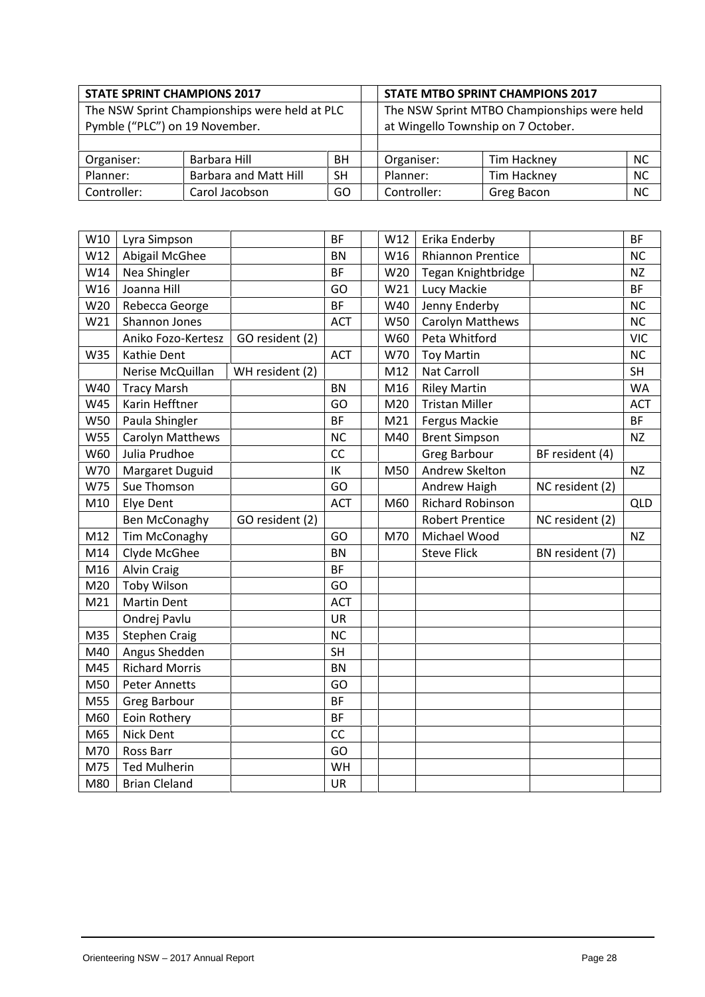| <b>STATE SPRINT CHAMPIONS 2017</b>            |                                |           |             | <b>STATE MTBO SPRINT CHAMPIONS 2017</b>     |           |  |  |  |
|-----------------------------------------------|--------------------------------|-----------|-------------|---------------------------------------------|-----------|--|--|--|
| The NSW Sprint Championships were held at PLC |                                |           |             | The NSW Sprint MTBO Championships were held |           |  |  |  |
|                                               | Pymble ("PLC") on 19 November. |           |             | at Wingello Township on 7 October.          |           |  |  |  |
|                                               |                                |           |             |                                             |           |  |  |  |
| Organiser:                                    | Barbara Hill                   | BH        | Organiser:  | Tim Hackney                                 | <b>NC</b> |  |  |  |
| Planner:                                      | <b>Barbara and Matt Hill</b>   | <b>SH</b> | Planner:    | Tim Hackney                                 | <b>NC</b> |  |  |  |
| Controller:                                   | Carol Jacobson                 | GO        | Controller: | Greg Bacon                                  | <b>NC</b> |  |  |  |

| W10             | Lyra Simpson            |                 | <b>BF</b>  | W12 | Erika Enderby            |                 | <b>BF</b>  |
|-----------------|-------------------------|-----------------|------------|-----|--------------------------|-----------------|------------|
| W12             | Abigail McGhee          |                 | <b>BN</b>  | W16 | <b>Rhiannon Prentice</b> |                 | <b>NC</b>  |
| W14             | Nea Shingler            |                 | <b>BF</b>  | W20 | Tegan Knightbridge       |                 | <b>NZ</b>  |
| W16             | Joanna Hill             |                 | GO         | W21 | Lucy Mackie              |                 | <b>BF</b>  |
| W20             | Rebecca George          |                 | <b>BF</b>  | W40 | Jenny Enderby            |                 | <b>NC</b>  |
| W21             | Shannon Jones           |                 | <b>ACT</b> | W50 | Carolyn Matthews         |                 | NC         |
|                 | Aniko Fozo-Kertesz      | GO resident (2) |            | W60 | Peta Whitford            |                 | <b>VIC</b> |
| W35             | Kathie Dent             |                 | <b>ACT</b> | W70 | <b>Toy Martin</b>        |                 | <b>NC</b>  |
|                 | Nerise McQuillan        | WH resident (2) |            | M12 | Nat Carroll              |                 | <b>SH</b>  |
| W40             | <b>Tracy Marsh</b>      |                 | <b>BN</b>  | M16 | <b>Riley Martin</b>      |                 | <b>WA</b>  |
| W45             | Karin Hefftner          |                 | GO         | M20 | <b>Tristan Miller</b>    |                 | <b>ACT</b> |
| <b>W50</b>      | Paula Shingler          |                 | <b>BF</b>  | M21 | Fergus Mackie            |                 | BF         |
| <b>W55</b>      | <b>Carolyn Matthews</b> |                 | <b>NC</b>  | M40 | <b>Brent Simpson</b>     |                 | <b>NZ</b>  |
| W60             | Julia Prudhoe           |                 | CC         |     | <b>Greg Barbour</b>      | BF resident (4) |            |
| W70             | Margaret Duguid         |                 | IK         | M50 | Andrew Skelton           |                 | <b>NZ</b>  |
| W75             | Sue Thomson             |                 | GO         |     | Andrew Haigh             | NC resident (2) |            |
| M10             | Elye Dent               |                 | <b>ACT</b> | M60 | <b>Richard Robinson</b>  |                 | <b>QLD</b> |
|                 | <b>Ben McConaghy</b>    | GO resident (2) |            |     | <b>Robert Prentice</b>   | NC resident (2) |            |
| M12             | Tim McConaghy           |                 | GO         | M70 | Michael Wood             |                 | <b>NZ</b>  |
| M14             | Clyde McGhee            |                 | <b>BN</b>  |     | <b>Steve Flick</b>       | BN resident (7) |            |
| M16             | <b>Alvin Craig</b>      |                 | <b>BF</b>  |     |                          |                 |            |
| M <sub>20</sub> | <b>Toby Wilson</b>      |                 | GO         |     |                          |                 |            |
| M <sub>21</sub> | <b>Martin Dent</b>      |                 | <b>ACT</b> |     |                          |                 |            |
|                 | Ondrej Pavlu            |                 | <b>UR</b>  |     |                          |                 |            |
| M35             | <b>Stephen Craig</b>    |                 | <b>NC</b>  |     |                          |                 |            |
| M40             | Angus Shedden           |                 | <b>SH</b>  |     |                          |                 |            |
| M45             | <b>Richard Morris</b>   |                 | <b>BN</b>  |     |                          |                 |            |
| M50             | <b>Peter Annetts</b>    |                 | GO         |     |                          |                 |            |
| M55             | Greg Barbour            |                 | <b>BF</b>  |     |                          |                 |            |
| M60             | Eoin Rothery            |                 | <b>BF</b>  |     |                          |                 |            |
| M65             | <b>Nick Dent</b>        |                 | cc         |     |                          |                 |            |
| M70             | Ross Barr               |                 | GO         |     |                          |                 |            |
| M75             | <b>Ted Mulherin</b>     |                 | WH         |     |                          |                 |            |
| M80             | <b>Brian Cleland</b>    |                 | UR         |     |                          |                 |            |
|                 |                         |                 |            |     |                          |                 |            |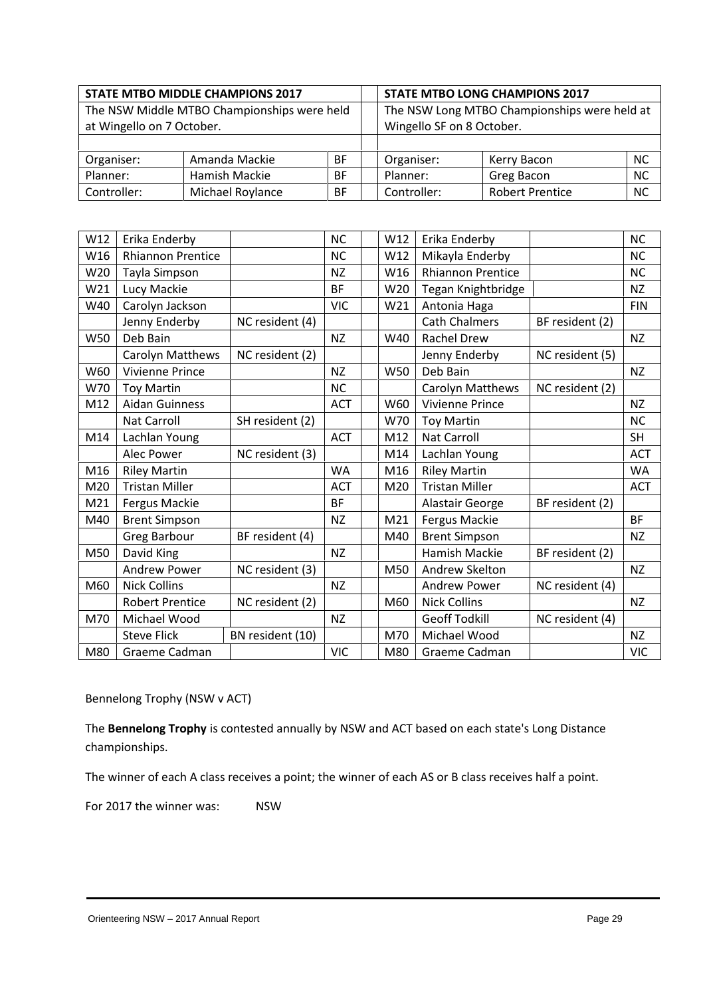|                                             | <b>STATE MTBO MIDDLE CHAMPIONS 2017</b><br><b>STATE MTBO LONG CHAMPIONS 2017</b> |           |             |                                              |           |  |  |
|---------------------------------------------|----------------------------------------------------------------------------------|-----------|-------------|----------------------------------------------|-----------|--|--|
| The NSW Middle MTBO Championships were held |                                                                                  |           |             | The NSW Long MTBO Championships were held at |           |  |  |
|                                             | at Wingello on 7 October.                                                        |           |             | Wingello SF on 8 October.                    |           |  |  |
|                                             |                                                                                  |           |             |                                              |           |  |  |
| Organiser:                                  | Amanda Mackie                                                                    | <b>BF</b> | Organiser:  | Kerry Bacon                                  | <b>NC</b> |  |  |
| Planner:                                    | Hamish Mackie                                                                    | <b>BF</b> | Planner:    | Greg Bacon                                   | <b>NC</b> |  |  |
| Controller:                                 | Michael Roylance                                                                 | BF        | Controller: | <b>Robert Prentice</b>                       | <b>NC</b> |  |  |

| W12 | Erika Enderby            |                  | <b>NC</b>  | W12        | Erika Enderby            |                 | <b>NC</b>  |
|-----|--------------------------|------------------|------------|------------|--------------------------|-----------------|------------|
| W16 | <b>Rhiannon Prentice</b> |                  | <b>NC</b>  | W12        | Mikayla Enderby          |                 | <b>NC</b>  |
| W20 | Tayla Simpson            |                  | <b>NZ</b>  | W16        | <b>Rhiannon Prentice</b> |                 | <b>NC</b>  |
| W21 | Lucy Mackie              |                  | <b>BF</b>  | W20        | Tegan Knightbridge       |                 | <b>NZ</b>  |
| W40 | Carolyn Jackson          |                  | <b>VIC</b> | W21        | Antonia Haga             |                 | <b>FIN</b> |
|     | Jenny Enderby            | NC resident (4)  |            |            | <b>Cath Chalmers</b>     | BF resident (2) |            |
| W50 | Deb Bain                 |                  | <b>NZ</b>  | W40        | <b>Rachel Drew</b>       |                 | <b>NZ</b>  |
|     | Carolyn Matthews         | NC resident (2)  |            |            | Jenny Enderby            | NC resident (5) |            |
| W60 | <b>Vivienne Prince</b>   |                  | <b>NZ</b>  | <b>W50</b> | Deb Bain                 |                 | <b>NZ</b>  |
| W70 | <b>Toy Martin</b>        |                  | <b>NC</b>  |            | Carolyn Matthews         | NC resident (2) |            |
| M12 | <b>Aidan Guinness</b>    |                  | <b>ACT</b> | W60        | Vivienne Prince          |                 | NZ         |
|     | <b>Nat Carroll</b>       | SH resident (2)  |            | W70        | <b>Toy Martin</b>        |                 | <b>NC</b>  |
| M14 | Lachlan Young            |                  | <b>ACT</b> | M12        | <b>Nat Carroll</b>       |                 | <b>SH</b>  |
|     | Alec Power               | NC resident (3)  |            | M14        | Lachlan Young            |                 | <b>ACT</b> |
| M16 | <b>Riley Martin</b>      |                  | <b>WA</b>  | M16        | <b>Riley Martin</b>      |                 | <b>WA</b>  |
| M20 | <b>Tristan Miller</b>    |                  | <b>ACT</b> | M20        | <b>Tristan Miller</b>    |                 | <b>ACT</b> |
| M21 | Fergus Mackie            |                  | <b>BF</b>  |            | Alastair George          | BF resident (2) |            |
| M40 | <b>Brent Simpson</b>     |                  | <b>NZ</b>  | M21        | Fergus Mackie            |                 | <b>BF</b>  |
|     | <b>Greg Barbour</b>      | BF resident (4)  |            | M40        | <b>Brent Simpson</b>     |                 | <b>NZ</b>  |
| M50 | David King               |                  | <b>NZ</b>  |            | Hamish Mackie            | BF resident (2) |            |
|     | <b>Andrew Power</b>      | NC resident (3)  |            | M50        | Andrew Skelton           |                 | <b>NZ</b>  |
| M60 | <b>Nick Collins</b>      |                  | <b>NZ</b>  |            | <b>Andrew Power</b>      | NC resident (4) |            |
|     | <b>Robert Prentice</b>   | NC resident (2)  |            | M60        | <b>Nick Collins</b>      |                 | <b>NZ</b>  |
| M70 | Michael Wood             |                  | <b>NZ</b>  |            | <b>Geoff Todkill</b>     | NC resident (4) |            |
|     | <b>Steve Flick</b>       | BN resident (10) |            | M70        | Michael Wood             |                 | NZ         |
| M80 | Graeme Cadman            |                  | <b>VIC</b> | M80        | Graeme Cadman            |                 | <b>VIC</b> |
|     |                          |                  |            |            |                          |                 |            |

Bennelong Trophy (NSW v ACT)

The **Bennelong Trophy** is contested annually by NSW and ACT based on each state's Long Distance championships.

The winner of each A class receives a point; the winner of each AS or B class receives half a point.

For 2017 the winner was: NSW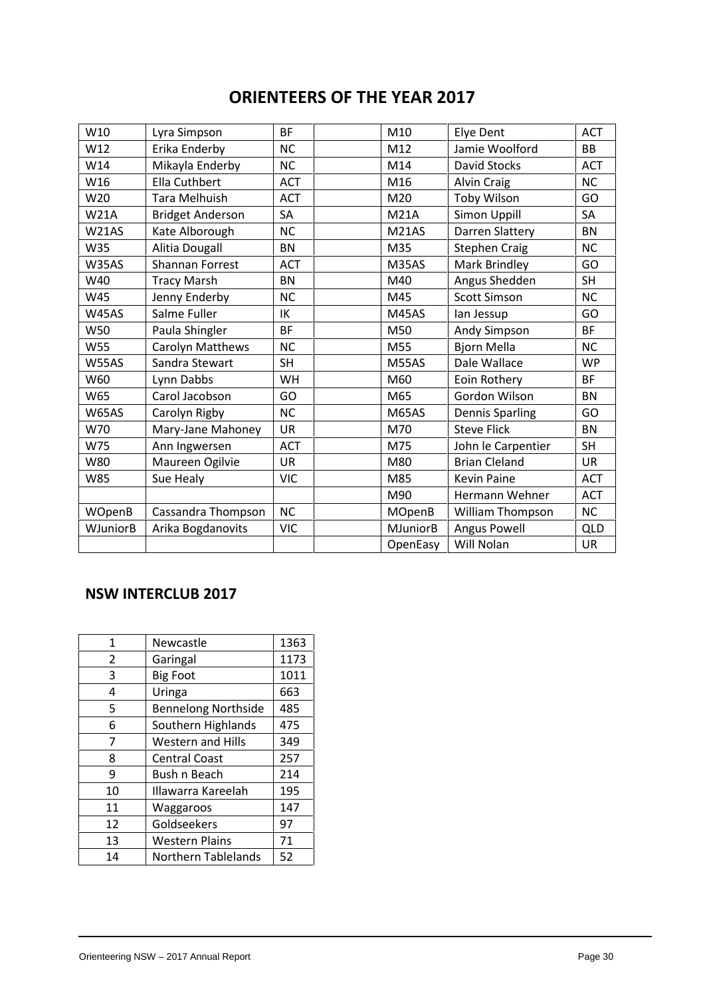# **ORIENTEERS OF THE YEAR 2017**

| W10           | Lyra Simpson            | <b>BF</b>  | M10             | Elye Dent              | <b>ACT</b> |
|---------------|-------------------------|------------|-----------------|------------------------|------------|
| W12           | Erika Enderby           | <b>NC</b>  | M12             | Jamie Woolford         | <b>BB</b>  |
| W14           | Mikayla Enderby         | <b>NC</b>  | M14             | David Stocks           | <b>ACT</b> |
| W16           | Ella Cuthbert           | <b>ACT</b> | M16             | Alvin Craig            | <b>NC</b>  |
| W20           | Tara Melhuish           | <b>ACT</b> | M20             | Toby Wilson            | GO         |
| <b>W21A</b>   | <b>Bridget Anderson</b> | SA         | <b>M21A</b>     | Simon Uppill           | SA         |
| W21AS         | Kate Alborough          | <b>NC</b>  | <b>M21AS</b>    | Darren Slattery        | <b>BN</b>  |
| W35           | Alitia Dougall          | <b>BN</b>  | M35             | <b>Stephen Craig</b>   | NC         |
| W35AS         | <b>Shannan Forrest</b>  | <b>ACT</b> | M35AS           | Mark Brindley          | GO         |
| W40           | <b>Tracy Marsh</b>      | <b>BN</b>  | M40             | Angus Shedden          | SH         |
| W45           | Jenny Enderby           | <b>NC</b>  | M45             | <b>Scott Simson</b>    | <b>NC</b>  |
| <b>W45AS</b>  | Salme Fuller            | IK         | <b>M45AS</b>    | lan Jessup             | GO         |
| W50           | Paula Shingler          | <b>BF</b>  | M50             | Andy Simpson           | <b>BF</b>  |
| <b>W55</b>    | Carolyn Matthews        | <b>NC</b>  | M55             | <b>Bjorn Mella</b>     | <b>NC</b>  |
| <b>W55AS</b>  | Sandra Stewart          | <b>SH</b>  | M55AS           | Dale Wallace           | <b>WP</b>  |
| W60           | Lynn Dabbs              | <b>WH</b>  | M60             | Eoin Rothery           | <b>BF</b>  |
| W65           | Carol Jacobson          | GO         | M65             | Gordon Wilson          | <b>BN</b>  |
| <b>W65AS</b>  | Carolyn Rigby           | <b>NC</b>  | <b>M65AS</b>    | <b>Dennis Sparling</b> | GO         |
| W70           | Mary-Jane Mahoney       | <b>UR</b>  | M70             | <b>Steve Flick</b>     | <b>BN</b>  |
| W75           | Ann Ingwersen           | <b>ACT</b> | M75             | John le Carpentier     | <b>SH</b>  |
| W80           | Maureen Ogilvie         | <b>UR</b>  | M80             | <b>Brian Cleland</b>   | <b>UR</b>  |
| <b>W85</b>    | Sue Healy               | <b>VIC</b> | M85             | <b>Kevin Paine</b>     | <b>ACT</b> |
|               |                         |            | M90             | Hermann Wehner         | <b>ACT</b> |
| <b>WOpenB</b> | Cassandra Thompson      | NC         | <b>MOpenB</b>   | William Thompson       | NC         |
| WJuniorB      | Arika Bogdanovits       | <b>VIC</b> | <b>MJuniorB</b> | <b>Angus Powell</b>    | <b>QLD</b> |
|               |                         |            | OpenEasy        | Will Nolan             | <b>UR</b>  |

# **NSW INTERCLUB 2017**

| 1  | <b>Newcastle</b>           | 1363 |
|----|----------------------------|------|
| 2  | Garingal                   | 1173 |
| 3  | <b>Big Foot</b>            | 1011 |
| 4  | Uringa                     | 663  |
| 5  | <b>Bennelong Northside</b> | 485  |
| 6  | Southern Highlands         | 475  |
| 7  | <b>Western and Hills</b>   | 349  |
| 8  | <b>Central Coast</b>       | 257  |
| 9  | Bush n Beach               | 214  |
| 10 | Illawarra Kareelah         | 195  |
| 11 | Waggaroos                  | 147  |
| 12 | Goldseekers                | 97   |
| 13 | <b>Western Plains</b>      | 71   |
| 14 | <b>Northern Tablelands</b> | 52   |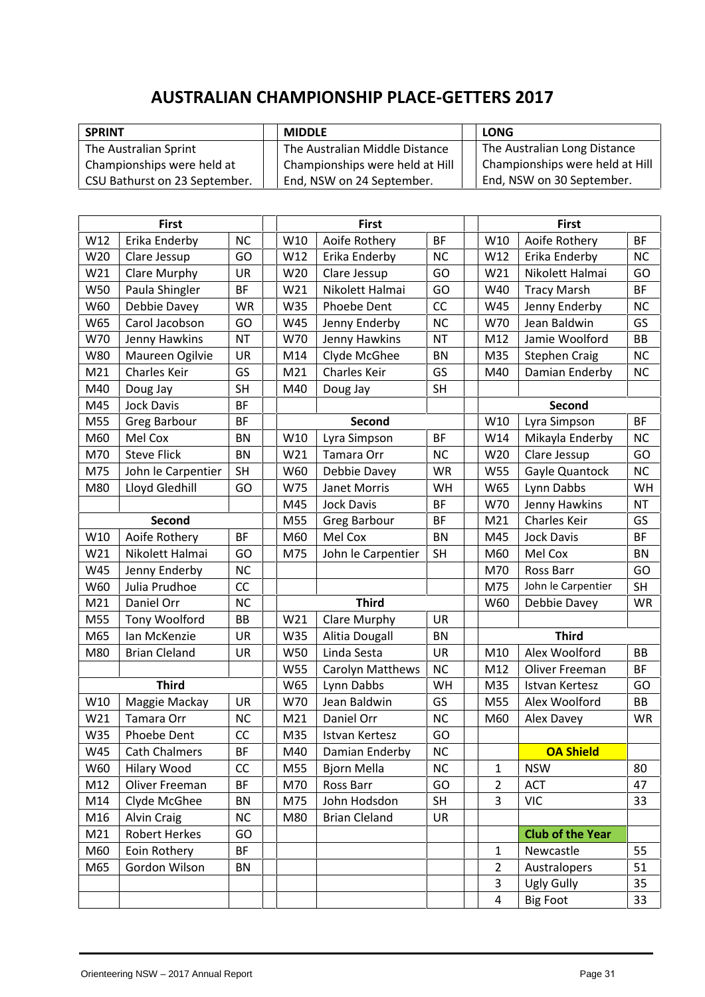# **AUSTRALIAN CHAMPIONSHIP PLACE-GETTERS 2017**

| <b>SPRINT</b>                 | <b>MIDDLE</b>                   | LONG                            |
|-------------------------------|---------------------------------|---------------------------------|
| The Australian Sprint         | The Australian Middle Distance  | The Australian Long Distance    |
| Championships were held at    | Championships were held at Hill | Championships were held at Hill |
| CSU Bathurst on 23 September. | End, NSW on 24 September.       | End, NSW on 30 September.       |

| Erika Enderby<br><b>NC</b><br>W10<br>Aoife Rothery<br><b>BF</b><br>W10<br>Aoife Rothery<br>W12<br><b>BF</b><br>GO<br>NC<br>W20<br>Clare Jessup<br>W12<br>Erika Enderby<br>W12<br>Erika Enderby<br><b>NC</b><br>W21<br>Clare Murphy<br>W20<br>GO<br>W21<br>Nikolett Halmai<br>GO<br><b>UR</b><br>Clare Jessup<br>Paula Shingler<br><b>BF</b><br>W21<br>GO<br><b>BF</b><br>W50<br>Nikolett Halmai<br>W40<br><b>Tracy Marsh</b><br>cc<br>W60<br>Debbie Davey<br><b>WR</b><br>W35<br>Phoebe Dent<br>W45<br>Jenny Enderby<br><b>NC</b><br>W65<br>Carol Jacobson<br>GO<br>W45<br><b>NC</b><br>W70<br>Jean Baldwin<br>GS<br>Jenny Enderby<br><b>NT</b><br>W70<br>Jenny Hawkins<br><b>NT</b><br>W70<br>Jenny Hawkins<br>M12<br>Jamie Woolford<br><b>BB</b><br><b>W80</b><br>Maureen Ogilvie<br>Clyde McGhee<br>M35<br><b>NC</b><br><b>UR</b><br>M14<br><b>BN</b><br><b>Stephen Craig</b><br>M <sub>21</sub><br>Charles Keir<br>GS<br>M <sub>21</sub><br><b>Charles Keir</b><br>GS<br>M40<br>Damian Enderby<br><b>NC</b><br><b>SH</b><br>SH<br>M40<br>M40<br>Doug Jay<br>Doug Jay<br>M45<br><b>Jock Davis</b><br><b>BF</b><br>Second<br>M55<br><b>BF</b><br>Second<br>W10<br>Lyra Simpson<br><b>BF</b><br><b>Greg Barbour</b><br><b>BF</b><br>M60<br>Mel Cox<br><b>BN</b><br>W10<br>Lyra Simpson<br><b>NC</b><br>W14<br>Mikayla Enderby<br><b>Steve Flick</b><br><b>BN</b><br>Tamara Orr<br>NC<br>GO<br>M70<br>W21<br>W20<br>Clare Jessup<br>M75<br>John le Carpentier<br><b>SH</b><br>W60<br>Debbie Davey<br><b>WR</b><br>W55<br>Gayle Quantock<br><b>NC</b><br>Lloyd Gledhill<br>GO<br>W65<br>Lynn Dabbs<br>M80<br>W75<br>Janet Morris<br>WH<br>WH<br><b>BF</b><br>W70<br>Jenny Hawkins<br>M45<br><b>Jock Davis</b><br><b>NT</b><br><b>Second</b><br>BF<br>Charles Keir<br>M55<br>Greg Barbour<br>M21<br>GS<br>W10<br>Aoife Rothery<br>BF<br>Mel Cox<br><b>BN</b><br>M45<br><b>Jock Davis</b><br>BF<br>M60<br>Nikolett Halmai<br>W21<br>GO<br>M75<br>John le Carpentier<br><b>SH</b><br>M60<br>Mel Cox<br><b>BN</b><br><b>NC</b><br>W45<br>Jenny Enderby<br>M70<br>Ross Barr<br>GO<br>Julia Prudhoe<br>CC<br>W60<br>M75<br>John le Carpentier<br><b>SH</b><br><b>Third</b><br>M <sub>21</sub><br>NC<br>Daniel Orr<br>W60<br>Debbie Davey<br>WR<br>Tony Woolford<br>W21<br>Clare Murphy<br><b>UR</b><br>M55<br>BB<br>M65<br>Alitia Dougall<br><b>Third</b><br>Ian McKenzie<br><b>UR</b><br>W35<br><b>BN</b><br>Linda Sesta<br>UR<br>Alex Woolford<br>M80<br><b>Brian Cleland</b><br>UR<br>W50<br>M10<br>BB<br><b>NC</b><br>Oliver Freeman<br>W55<br>Carolyn Matthews<br>M12<br><b>BF</b><br><b>Third</b><br>W65<br>Lynn Dabbs<br>WH<br>M35<br>GO<br>Istvan Kertesz<br>W70<br>Jean Baldwin<br>W10<br>Maggie Mackay<br><b>UR</b><br>GS<br>M55<br>Alex Woolford<br>BB<br>W21<br>Tamara Orr<br>Daniel Orr<br>NC<br><b>NC</b><br>M21<br>M60<br>Alex Davey<br>WR<br>CC<br>W35<br>M35<br>GO<br>Phoebe Dent<br>Istvan Kertesz<br>BF<br><b>OA Shield</b><br>W45<br><b>Cath Chalmers</b><br>NC<br>M40<br>Damian Enderby<br>CC<br>NC<br>W60<br>Hilary Wood<br>M55<br><b>Bjorn Mella</b><br><b>NSW</b><br>80<br>1<br>GO<br>M12<br>Oliver Freeman<br>BF<br>M70<br><b>ACT</b><br>47<br>Ross Barr<br>$\overline{2}$<br>$\overline{3}$<br>M14<br>Clyde McGhee<br>BN<br>John Hodsdon<br><b>SH</b><br><b>VIC</b><br>33<br>M75<br>M16<br><b>Alvin Craig</b><br><b>NC</b><br>M80<br><b>Brian Cleland</b><br>UR<br>M <sub>21</sub><br><b>Robert Herkes</b><br><b>Club of the Year</b><br>GO<br>M60<br>Eoin Rothery<br><b>BF</b><br>$\mathbf{1}$<br>Newcastle<br>55<br>Gordon Wilson<br>M65<br>BN<br>Australopers<br>51<br>$\overline{2}$<br>3<br><b>Ugly Gully</b><br>35<br><b>Big Foot</b><br>33<br>4 | <b>First</b> |  | <b>First</b> |  | <b>First</b> |  |
|---------------------------------------------------------------------------------------------------------------------------------------------------------------------------------------------------------------------------------------------------------------------------------------------------------------------------------------------------------------------------------------------------------------------------------------------------------------------------------------------------------------------------------------------------------------------------------------------------------------------------------------------------------------------------------------------------------------------------------------------------------------------------------------------------------------------------------------------------------------------------------------------------------------------------------------------------------------------------------------------------------------------------------------------------------------------------------------------------------------------------------------------------------------------------------------------------------------------------------------------------------------------------------------------------------------------------------------------------------------------------------------------------------------------------------------------------------------------------------------------------------------------------------------------------------------------------------------------------------------------------------------------------------------------------------------------------------------------------------------------------------------------------------------------------------------------------------------------------------------------------------------------------------------------------------------------------------------------------------------------------------------------------------------------------------------------------------------------------------------------------------------------------------------------------------------------------------------------------------------------------------------------------------------------------------------------------------------------------------------------------------------------------------------------------------------------------------------------------------------------------------------------------------------------------------------------------------------------------------------------------------------------------------------------------------------------------------------------------------------------------------------------------------------------------------------------------------------------------------------------------------------------------------------------------------------------------------------------------------------------------------------------------------------------------------------------------------------------------------------------------------------------------------------------------------------------------------------------------------------------------------------------------------------------------------------------------------------------------------------------------------------------------------------------------------------------------------------------------------------------------------------------------------------------------------------------------------------------------------------------------------------------------------------------------|--------------|--|--------------|--|--------------|--|
|                                                                                                                                                                                                                                                                                                                                                                                                                                                                                                                                                                                                                                                                                                                                                                                                                                                                                                                                                                                                                                                                                                                                                                                                                                                                                                                                                                                                                                                                                                                                                                                                                                                                                                                                                                                                                                                                                                                                                                                                                                                                                                                                                                                                                                                                                                                                                                                                                                                                                                                                                                                                                                                                                                                                                                                                                                                                                                                                                                                                                                                                                                                                                                                                                                                                                                                                                                                                                                                                                                                                                                                                                                                                           |              |  |              |  |              |  |
|                                                                                                                                                                                                                                                                                                                                                                                                                                                                                                                                                                                                                                                                                                                                                                                                                                                                                                                                                                                                                                                                                                                                                                                                                                                                                                                                                                                                                                                                                                                                                                                                                                                                                                                                                                                                                                                                                                                                                                                                                                                                                                                                                                                                                                                                                                                                                                                                                                                                                                                                                                                                                                                                                                                                                                                                                                                                                                                                                                                                                                                                                                                                                                                                                                                                                                                                                                                                                                                                                                                                                                                                                                                                           |              |  |              |  |              |  |
|                                                                                                                                                                                                                                                                                                                                                                                                                                                                                                                                                                                                                                                                                                                                                                                                                                                                                                                                                                                                                                                                                                                                                                                                                                                                                                                                                                                                                                                                                                                                                                                                                                                                                                                                                                                                                                                                                                                                                                                                                                                                                                                                                                                                                                                                                                                                                                                                                                                                                                                                                                                                                                                                                                                                                                                                                                                                                                                                                                                                                                                                                                                                                                                                                                                                                                                                                                                                                                                                                                                                                                                                                                                                           |              |  |              |  |              |  |
|                                                                                                                                                                                                                                                                                                                                                                                                                                                                                                                                                                                                                                                                                                                                                                                                                                                                                                                                                                                                                                                                                                                                                                                                                                                                                                                                                                                                                                                                                                                                                                                                                                                                                                                                                                                                                                                                                                                                                                                                                                                                                                                                                                                                                                                                                                                                                                                                                                                                                                                                                                                                                                                                                                                                                                                                                                                                                                                                                                                                                                                                                                                                                                                                                                                                                                                                                                                                                                                                                                                                                                                                                                                                           |              |  |              |  |              |  |
|                                                                                                                                                                                                                                                                                                                                                                                                                                                                                                                                                                                                                                                                                                                                                                                                                                                                                                                                                                                                                                                                                                                                                                                                                                                                                                                                                                                                                                                                                                                                                                                                                                                                                                                                                                                                                                                                                                                                                                                                                                                                                                                                                                                                                                                                                                                                                                                                                                                                                                                                                                                                                                                                                                                                                                                                                                                                                                                                                                                                                                                                                                                                                                                                                                                                                                                                                                                                                                                                                                                                                                                                                                                                           |              |  |              |  |              |  |
|                                                                                                                                                                                                                                                                                                                                                                                                                                                                                                                                                                                                                                                                                                                                                                                                                                                                                                                                                                                                                                                                                                                                                                                                                                                                                                                                                                                                                                                                                                                                                                                                                                                                                                                                                                                                                                                                                                                                                                                                                                                                                                                                                                                                                                                                                                                                                                                                                                                                                                                                                                                                                                                                                                                                                                                                                                                                                                                                                                                                                                                                                                                                                                                                                                                                                                                                                                                                                                                                                                                                                                                                                                                                           |              |  |              |  |              |  |
|                                                                                                                                                                                                                                                                                                                                                                                                                                                                                                                                                                                                                                                                                                                                                                                                                                                                                                                                                                                                                                                                                                                                                                                                                                                                                                                                                                                                                                                                                                                                                                                                                                                                                                                                                                                                                                                                                                                                                                                                                                                                                                                                                                                                                                                                                                                                                                                                                                                                                                                                                                                                                                                                                                                                                                                                                                                                                                                                                                                                                                                                                                                                                                                                                                                                                                                                                                                                                                                                                                                                                                                                                                                                           |              |  |              |  |              |  |
|                                                                                                                                                                                                                                                                                                                                                                                                                                                                                                                                                                                                                                                                                                                                                                                                                                                                                                                                                                                                                                                                                                                                                                                                                                                                                                                                                                                                                                                                                                                                                                                                                                                                                                                                                                                                                                                                                                                                                                                                                                                                                                                                                                                                                                                                                                                                                                                                                                                                                                                                                                                                                                                                                                                                                                                                                                                                                                                                                                                                                                                                                                                                                                                                                                                                                                                                                                                                                                                                                                                                                                                                                                                                           |              |  |              |  |              |  |
|                                                                                                                                                                                                                                                                                                                                                                                                                                                                                                                                                                                                                                                                                                                                                                                                                                                                                                                                                                                                                                                                                                                                                                                                                                                                                                                                                                                                                                                                                                                                                                                                                                                                                                                                                                                                                                                                                                                                                                                                                                                                                                                                                                                                                                                                                                                                                                                                                                                                                                                                                                                                                                                                                                                                                                                                                                                                                                                                                                                                                                                                                                                                                                                                                                                                                                                                                                                                                                                                                                                                                                                                                                                                           |              |  |              |  |              |  |
|                                                                                                                                                                                                                                                                                                                                                                                                                                                                                                                                                                                                                                                                                                                                                                                                                                                                                                                                                                                                                                                                                                                                                                                                                                                                                                                                                                                                                                                                                                                                                                                                                                                                                                                                                                                                                                                                                                                                                                                                                                                                                                                                                                                                                                                                                                                                                                                                                                                                                                                                                                                                                                                                                                                                                                                                                                                                                                                                                                                                                                                                                                                                                                                                                                                                                                                                                                                                                                                                                                                                                                                                                                                                           |              |  |              |  |              |  |
|                                                                                                                                                                                                                                                                                                                                                                                                                                                                                                                                                                                                                                                                                                                                                                                                                                                                                                                                                                                                                                                                                                                                                                                                                                                                                                                                                                                                                                                                                                                                                                                                                                                                                                                                                                                                                                                                                                                                                                                                                                                                                                                                                                                                                                                                                                                                                                                                                                                                                                                                                                                                                                                                                                                                                                                                                                                                                                                                                                                                                                                                                                                                                                                                                                                                                                                                                                                                                                                                                                                                                                                                                                                                           |              |  |              |  |              |  |
|                                                                                                                                                                                                                                                                                                                                                                                                                                                                                                                                                                                                                                                                                                                                                                                                                                                                                                                                                                                                                                                                                                                                                                                                                                                                                                                                                                                                                                                                                                                                                                                                                                                                                                                                                                                                                                                                                                                                                                                                                                                                                                                                                                                                                                                                                                                                                                                                                                                                                                                                                                                                                                                                                                                                                                                                                                                                                                                                                                                                                                                                                                                                                                                                                                                                                                                                                                                                                                                                                                                                                                                                                                                                           |              |  |              |  |              |  |
|                                                                                                                                                                                                                                                                                                                                                                                                                                                                                                                                                                                                                                                                                                                                                                                                                                                                                                                                                                                                                                                                                                                                                                                                                                                                                                                                                                                                                                                                                                                                                                                                                                                                                                                                                                                                                                                                                                                                                                                                                                                                                                                                                                                                                                                                                                                                                                                                                                                                                                                                                                                                                                                                                                                                                                                                                                                                                                                                                                                                                                                                                                                                                                                                                                                                                                                                                                                                                                                                                                                                                                                                                                                                           |              |  |              |  |              |  |
|                                                                                                                                                                                                                                                                                                                                                                                                                                                                                                                                                                                                                                                                                                                                                                                                                                                                                                                                                                                                                                                                                                                                                                                                                                                                                                                                                                                                                                                                                                                                                                                                                                                                                                                                                                                                                                                                                                                                                                                                                                                                                                                                                                                                                                                                                                                                                                                                                                                                                                                                                                                                                                                                                                                                                                                                                                                                                                                                                                                                                                                                                                                                                                                                                                                                                                                                                                                                                                                                                                                                                                                                                                                                           |              |  |              |  |              |  |
|                                                                                                                                                                                                                                                                                                                                                                                                                                                                                                                                                                                                                                                                                                                                                                                                                                                                                                                                                                                                                                                                                                                                                                                                                                                                                                                                                                                                                                                                                                                                                                                                                                                                                                                                                                                                                                                                                                                                                                                                                                                                                                                                                                                                                                                                                                                                                                                                                                                                                                                                                                                                                                                                                                                                                                                                                                                                                                                                                                                                                                                                                                                                                                                                                                                                                                                                                                                                                                                                                                                                                                                                                                                                           |              |  |              |  |              |  |
|                                                                                                                                                                                                                                                                                                                                                                                                                                                                                                                                                                                                                                                                                                                                                                                                                                                                                                                                                                                                                                                                                                                                                                                                                                                                                                                                                                                                                                                                                                                                                                                                                                                                                                                                                                                                                                                                                                                                                                                                                                                                                                                                                                                                                                                                                                                                                                                                                                                                                                                                                                                                                                                                                                                                                                                                                                                                                                                                                                                                                                                                                                                                                                                                                                                                                                                                                                                                                                                                                                                                                                                                                                                                           |              |  |              |  |              |  |
|                                                                                                                                                                                                                                                                                                                                                                                                                                                                                                                                                                                                                                                                                                                                                                                                                                                                                                                                                                                                                                                                                                                                                                                                                                                                                                                                                                                                                                                                                                                                                                                                                                                                                                                                                                                                                                                                                                                                                                                                                                                                                                                                                                                                                                                                                                                                                                                                                                                                                                                                                                                                                                                                                                                                                                                                                                                                                                                                                                                                                                                                                                                                                                                                                                                                                                                                                                                                                                                                                                                                                                                                                                                                           |              |  |              |  |              |  |
|                                                                                                                                                                                                                                                                                                                                                                                                                                                                                                                                                                                                                                                                                                                                                                                                                                                                                                                                                                                                                                                                                                                                                                                                                                                                                                                                                                                                                                                                                                                                                                                                                                                                                                                                                                                                                                                                                                                                                                                                                                                                                                                                                                                                                                                                                                                                                                                                                                                                                                                                                                                                                                                                                                                                                                                                                                                                                                                                                                                                                                                                                                                                                                                                                                                                                                                                                                                                                                                                                                                                                                                                                                                                           |              |  |              |  |              |  |
|                                                                                                                                                                                                                                                                                                                                                                                                                                                                                                                                                                                                                                                                                                                                                                                                                                                                                                                                                                                                                                                                                                                                                                                                                                                                                                                                                                                                                                                                                                                                                                                                                                                                                                                                                                                                                                                                                                                                                                                                                                                                                                                                                                                                                                                                                                                                                                                                                                                                                                                                                                                                                                                                                                                                                                                                                                                                                                                                                                                                                                                                                                                                                                                                                                                                                                                                                                                                                                                                                                                                                                                                                                                                           |              |  |              |  |              |  |
|                                                                                                                                                                                                                                                                                                                                                                                                                                                                                                                                                                                                                                                                                                                                                                                                                                                                                                                                                                                                                                                                                                                                                                                                                                                                                                                                                                                                                                                                                                                                                                                                                                                                                                                                                                                                                                                                                                                                                                                                                                                                                                                                                                                                                                                                                                                                                                                                                                                                                                                                                                                                                                                                                                                                                                                                                                                                                                                                                                                                                                                                                                                                                                                                                                                                                                                                                                                                                                                                                                                                                                                                                                                                           |              |  |              |  |              |  |
|                                                                                                                                                                                                                                                                                                                                                                                                                                                                                                                                                                                                                                                                                                                                                                                                                                                                                                                                                                                                                                                                                                                                                                                                                                                                                                                                                                                                                                                                                                                                                                                                                                                                                                                                                                                                                                                                                                                                                                                                                                                                                                                                                                                                                                                                                                                                                                                                                                                                                                                                                                                                                                                                                                                                                                                                                                                                                                                                                                                                                                                                                                                                                                                                                                                                                                                                                                                                                                                                                                                                                                                                                                                                           |              |  |              |  |              |  |
|                                                                                                                                                                                                                                                                                                                                                                                                                                                                                                                                                                                                                                                                                                                                                                                                                                                                                                                                                                                                                                                                                                                                                                                                                                                                                                                                                                                                                                                                                                                                                                                                                                                                                                                                                                                                                                                                                                                                                                                                                                                                                                                                                                                                                                                                                                                                                                                                                                                                                                                                                                                                                                                                                                                                                                                                                                                                                                                                                                                                                                                                                                                                                                                                                                                                                                                                                                                                                                                                                                                                                                                                                                                                           |              |  |              |  |              |  |
|                                                                                                                                                                                                                                                                                                                                                                                                                                                                                                                                                                                                                                                                                                                                                                                                                                                                                                                                                                                                                                                                                                                                                                                                                                                                                                                                                                                                                                                                                                                                                                                                                                                                                                                                                                                                                                                                                                                                                                                                                                                                                                                                                                                                                                                                                                                                                                                                                                                                                                                                                                                                                                                                                                                                                                                                                                                                                                                                                                                                                                                                                                                                                                                                                                                                                                                                                                                                                                                                                                                                                                                                                                                                           |              |  |              |  |              |  |
|                                                                                                                                                                                                                                                                                                                                                                                                                                                                                                                                                                                                                                                                                                                                                                                                                                                                                                                                                                                                                                                                                                                                                                                                                                                                                                                                                                                                                                                                                                                                                                                                                                                                                                                                                                                                                                                                                                                                                                                                                                                                                                                                                                                                                                                                                                                                                                                                                                                                                                                                                                                                                                                                                                                                                                                                                                                                                                                                                                                                                                                                                                                                                                                                                                                                                                                                                                                                                                                                                                                                                                                                                                                                           |              |  |              |  |              |  |
|                                                                                                                                                                                                                                                                                                                                                                                                                                                                                                                                                                                                                                                                                                                                                                                                                                                                                                                                                                                                                                                                                                                                                                                                                                                                                                                                                                                                                                                                                                                                                                                                                                                                                                                                                                                                                                                                                                                                                                                                                                                                                                                                                                                                                                                                                                                                                                                                                                                                                                                                                                                                                                                                                                                                                                                                                                                                                                                                                                                                                                                                                                                                                                                                                                                                                                                                                                                                                                                                                                                                                                                                                                                                           |              |  |              |  |              |  |
|                                                                                                                                                                                                                                                                                                                                                                                                                                                                                                                                                                                                                                                                                                                                                                                                                                                                                                                                                                                                                                                                                                                                                                                                                                                                                                                                                                                                                                                                                                                                                                                                                                                                                                                                                                                                                                                                                                                                                                                                                                                                                                                                                                                                                                                                                                                                                                                                                                                                                                                                                                                                                                                                                                                                                                                                                                                                                                                                                                                                                                                                                                                                                                                                                                                                                                                                                                                                                                                                                                                                                                                                                                                                           |              |  |              |  |              |  |
|                                                                                                                                                                                                                                                                                                                                                                                                                                                                                                                                                                                                                                                                                                                                                                                                                                                                                                                                                                                                                                                                                                                                                                                                                                                                                                                                                                                                                                                                                                                                                                                                                                                                                                                                                                                                                                                                                                                                                                                                                                                                                                                                                                                                                                                                                                                                                                                                                                                                                                                                                                                                                                                                                                                                                                                                                                                                                                                                                                                                                                                                                                                                                                                                                                                                                                                                                                                                                                                                                                                                                                                                                                                                           |              |  |              |  |              |  |
|                                                                                                                                                                                                                                                                                                                                                                                                                                                                                                                                                                                                                                                                                                                                                                                                                                                                                                                                                                                                                                                                                                                                                                                                                                                                                                                                                                                                                                                                                                                                                                                                                                                                                                                                                                                                                                                                                                                                                                                                                                                                                                                                                                                                                                                                                                                                                                                                                                                                                                                                                                                                                                                                                                                                                                                                                                                                                                                                                                                                                                                                                                                                                                                                                                                                                                                                                                                                                                                                                                                                                                                                                                                                           |              |  |              |  |              |  |
|                                                                                                                                                                                                                                                                                                                                                                                                                                                                                                                                                                                                                                                                                                                                                                                                                                                                                                                                                                                                                                                                                                                                                                                                                                                                                                                                                                                                                                                                                                                                                                                                                                                                                                                                                                                                                                                                                                                                                                                                                                                                                                                                                                                                                                                                                                                                                                                                                                                                                                                                                                                                                                                                                                                                                                                                                                                                                                                                                                                                                                                                                                                                                                                                                                                                                                                                                                                                                                                                                                                                                                                                                                                                           |              |  |              |  |              |  |
|                                                                                                                                                                                                                                                                                                                                                                                                                                                                                                                                                                                                                                                                                                                                                                                                                                                                                                                                                                                                                                                                                                                                                                                                                                                                                                                                                                                                                                                                                                                                                                                                                                                                                                                                                                                                                                                                                                                                                                                                                                                                                                                                                                                                                                                                                                                                                                                                                                                                                                                                                                                                                                                                                                                                                                                                                                                                                                                                                                                                                                                                                                                                                                                                                                                                                                                                                                                                                                                                                                                                                                                                                                                                           |              |  |              |  |              |  |
|                                                                                                                                                                                                                                                                                                                                                                                                                                                                                                                                                                                                                                                                                                                                                                                                                                                                                                                                                                                                                                                                                                                                                                                                                                                                                                                                                                                                                                                                                                                                                                                                                                                                                                                                                                                                                                                                                                                                                                                                                                                                                                                                                                                                                                                                                                                                                                                                                                                                                                                                                                                                                                                                                                                                                                                                                                                                                                                                                                                                                                                                                                                                                                                                                                                                                                                                                                                                                                                                                                                                                                                                                                                                           |              |  |              |  |              |  |
|                                                                                                                                                                                                                                                                                                                                                                                                                                                                                                                                                                                                                                                                                                                                                                                                                                                                                                                                                                                                                                                                                                                                                                                                                                                                                                                                                                                                                                                                                                                                                                                                                                                                                                                                                                                                                                                                                                                                                                                                                                                                                                                                                                                                                                                                                                                                                                                                                                                                                                                                                                                                                                                                                                                                                                                                                                                                                                                                                                                                                                                                                                                                                                                                                                                                                                                                                                                                                                                                                                                                                                                                                                                                           |              |  |              |  |              |  |
|                                                                                                                                                                                                                                                                                                                                                                                                                                                                                                                                                                                                                                                                                                                                                                                                                                                                                                                                                                                                                                                                                                                                                                                                                                                                                                                                                                                                                                                                                                                                                                                                                                                                                                                                                                                                                                                                                                                                                                                                                                                                                                                                                                                                                                                                                                                                                                                                                                                                                                                                                                                                                                                                                                                                                                                                                                                                                                                                                                                                                                                                                                                                                                                                                                                                                                                                                                                                                                                                                                                                                                                                                                                                           |              |  |              |  |              |  |
|                                                                                                                                                                                                                                                                                                                                                                                                                                                                                                                                                                                                                                                                                                                                                                                                                                                                                                                                                                                                                                                                                                                                                                                                                                                                                                                                                                                                                                                                                                                                                                                                                                                                                                                                                                                                                                                                                                                                                                                                                                                                                                                                                                                                                                                                                                                                                                                                                                                                                                                                                                                                                                                                                                                                                                                                                                                                                                                                                                                                                                                                                                                                                                                                                                                                                                                                                                                                                                                                                                                                                                                                                                                                           |              |  |              |  |              |  |
|                                                                                                                                                                                                                                                                                                                                                                                                                                                                                                                                                                                                                                                                                                                                                                                                                                                                                                                                                                                                                                                                                                                                                                                                                                                                                                                                                                                                                                                                                                                                                                                                                                                                                                                                                                                                                                                                                                                                                                                                                                                                                                                                                                                                                                                                                                                                                                                                                                                                                                                                                                                                                                                                                                                                                                                                                                                                                                                                                                                                                                                                                                                                                                                                                                                                                                                                                                                                                                                                                                                                                                                                                                                                           |              |  |              |  |              |  |
|                                                                                                                                                                                                                                                                                                                                                                                                                                                                                                                                                                                                                                                                                                                                                                                                                                                                                                                                                                                                                                                                                                                                                                                                                                                                                                                                                                                                                                                                                                                                                                                                                                                                                                                                                                                                                                                                                                                                                                                                                                                                                                                                                                                                                                                                                                                                                                                                                                                                                                                                                                                                                                                                                                                                                                                                                                                                                                                                                                                                                                                                                                                                                                                                                                                                                                                                                                                                                                                                                                                                                                                                                                                                           |              |  |              |  |              |  |
|                                                                                                                                                                                                                                                                                                                                                                                                                                                                                                                                                                                                                                                                                                                                                                                                                                                                                                                                                                                                                                                                                                                                                                                                                                                                                                                                                                                                                                                                                                                                                                                                                                                                                                                                                                                                                                                                                                                                                                                                                                                                                                                                                                                                                                                                                                                                                                                                                                                                                                                                                                                                                                                                                                                                                                                                                                                                                                                                                                                                                                                                                                                                                                                                                                                                                                                                                                                                                                                                                                                                                                                                                                                                           |              |  |              |  |              |  |
|                                                                                                                                                                                                                                                                                                                                                                                                                                                                                                                                                                                                                                                                                                                                                                                                                                                                                                                                                                                                                                                                                                                                                                                                                                                                                                                                                                                                                                                                                                                                                                                                                                                                                                                                                                                                                                                                                                                                                                                                                                                                                                                                                                                                                                                                                                                                                                                                                                                                                                                                                                                                                                                                                                                                                                                                                                                                                                                                                                                                                                                                                                                                                                                                                                                                                                                                                                                                                                                                                                                                                                                                                                                                           |              |  |              |  |              |  |
|                                                                                                                                                                                                                                                                                                                                                                                                                                                                                                                                                                                                                                                                                                                                                                                                                                                                                                                                                                                                                                                                                                                                                                                                                                                                                                                                                                                                                                                                                                                                                                                                                                                                                                                                                                                                                                                                                                                                                                                                                                                                                                                                                                                                                                                                                                                                                                                                                                                                                                                                                                                                                                                                                                                                                                                                                                                                                                                                                                                                                                                                                                                                                                                                                                                                                                                                                                                                                                                                                                                                                                                                                                                                           |              |  |              |  |              |  |
|                                                                                                                                                                                                                                                                                                                                                                                                                                                                                                                                                                                                                                                                                                                                                                                                                                                                                                                                                                                                                                                                                                                                                                                                                                                                                                                                                                                                                                                                                                                                                                                                                                                                                                                                                                                                                                                                                                                                                                                                                                                                                                                                                                                                                                                                                                                                                                                                                                                                                                                                                                                                                                                                                                                                                                                                                                                                                                                                                                                                                                                                                                                                                                                                                                                                                                                                                                                                                                                                                                                                                                                                                                                                           |              |  |              |  |              |  |
|                                                                                                                                                                                                                                                                                                                                                                                                                                                                                                                                                                                                                                                                                                                                                                                                                                                                                                                                                                                                                                                                                                                                                                                                                                                                                                                                                                                                                                                                                                                                                                                                                                                                                                                                                                                                                                                                                                                                                                                                                                                                                                                                                                                                                                                                                                                                                                                                                                                                                                                                                                                                                                                                                                                                                                                                                                                                                                                                                                                                                                                                                                                                                                                                                                                                                                                                                                                                                                                                                                                                                                                                                                                                           |              |  |              |  |              |  |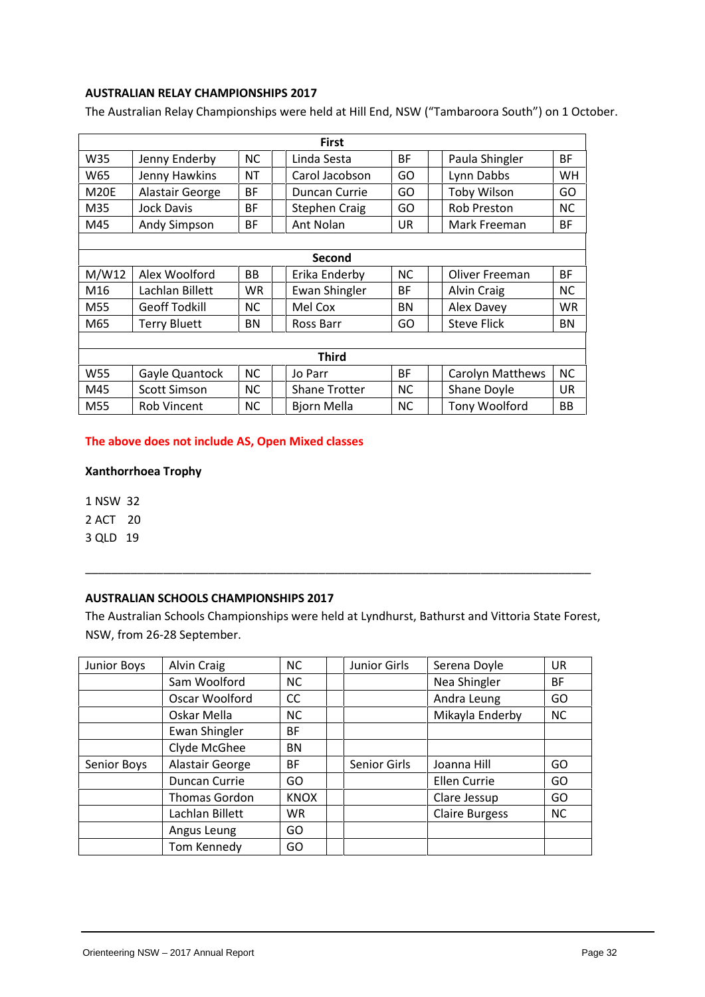#### **AUSTRALIAN RELAY CHAMPIONSHIPS 2017**

The Australian Relay Championships were held at Hill End, NSW ("Tambaroora South") on 1 October.

|                   |                      |           | <b>First</b>         |           |                      |           |
|-------------------|----------------------|-----------|----------------------|-----------|----------------------|-----------|
| W35               | Jenny Enderby        | NC.       | Linda Sesta          | <b>BF</b> | Paula Shingler       | <b>BF</b> |
| W65               | Jenny Hawkins        | <b>NT</b> | Carol Jacobson       | GO        | Lynn Dabbs           | WН        |
| M <sub>20</sub> E | Alastair George      | <b>BF</b> | Duncan Currie        | GO        | Toby Wilson          | GO        |
| M35               | Jock Davis           | <b>BF</b> | <b>Stephen Craig</b> | GO        | <b>Rob Preston</b>   | <b>NC</b> |
| M45               | <b>Andy Simpson</b>  | <b>BF</b> | Ant Nolan            | UR        | Mark Freeman         | <b>BF</b> |
|                   |                      |           |                      |           |                      |           |
|                   |                      |           | Second               |           |                      |           |
| M/W12             | Alex Woolford        | BB.       | Erika Enderby        | <b>NC</b> | Oliver Freeman       | <b>BF</b> |
| M16               | Lachlan Billett      | WR.       | <b>Ewan Shingler</b> | <b>BF</b> | <b>Alvin Craig</b>   | <b>NC</b> |
| M55               | <b>Geoff Todkill</b> | NC.       | Mel Cox              | <b>BN</b> | Alex Davey           | WR.       |
| M65               | <b>Terry Bluett</b>  | BN        | Ross Barr            | GO        | <b>Steve Flick</b>   | <b>BN</b> |
|                   |                      |           |                      |           |                      |           |
|                   |                      |           | <b>Third</b>         |           |                      |           |
| W55               | Gayle Quantock       | <b>NC</b> | Jo Parr              | <b>BF</b> | Carolyn Matthews     | <b>NC</b> |
| M45               | <b>Scott Simson</b>  | NC.       | <b>Shane Trotter</b> | <b>NC</b> | Shane Doyle          | <b>UR</b> |
| M55               | Rob Vincent          | NC.       | Bjorn Mella          | <b>NC</b> | <b>Tony Woolford</b> | BB        |

#### **The above does not include AS, Open Mixed classes**

#### **Xanthorrhoea Trophy**

1 NSW 32

2 ACT 20

3 QLD 19

#### **AUSTRALIAN SCHOOLS CHAMPIONSHIPS 2017**

The Australian Schools Championships were held at Lyndhurst, Bathurst and Vittoria State Forest, NSW, from 26-28 September.

\_\_\_\_\_\_\_\_\_\_\_\_\_\_\_\_\_\_\_\_\_\_\_\_\_\_\_\_\_\_\_\_\_\_\_\_\_\_\_\_\_\_\_\_\_\_\_\_\_\_\_\_\_\_\_\_\_\_\_\_\_\_\_\_\_\_\_\_\_\_\_\_\_\_\_\_\_\_

| Junior Boys | Alvin Craig          | <b>NC</b>     | <b>Junior Girls</b> | Serena Doyle          | <b>UR</b> |
|-------------|----------------------|---------------|---------------------|-----------------------|-----------|
|             | Sam Woolford         | <b>NC</b>     |                     | Nea Shingler          | <b>BF</b> |
|             | Oscar Woolford       | <sub>CC</sub> |                     | Andra Leung           | GO        |
|             | Oskar Mella          | <b>NC</b>     |                     | Mikayla Enderby       | <b>NC</b> |
|             | Ewan Shingler        | <b>BF</b>     |                     |                       |           |
|             | Clyde McGhee         | BN            |                     |                       |           |
| Senior Boys | Alastair George      | <b>BF</b>     | <b>Senior Girls</b> | Joanna Hill           | GO        |
|             | Duncan Currie        | GO            |                     | Ellen Currie          | GO        |
|             | <b>Thomas Gordon</b> | <b>KNOX</b>   |                     | Clare Jessup          | GO        |
|             | Lachlan Billett      | <b>WR</b>     |                     | <b>Claire Burgess</b> | <b>NC</b> |
|             | Angus Leung          | GO            |                     |                       |           |
|             | Tom Kennedy          | GO            |                     |                       |           |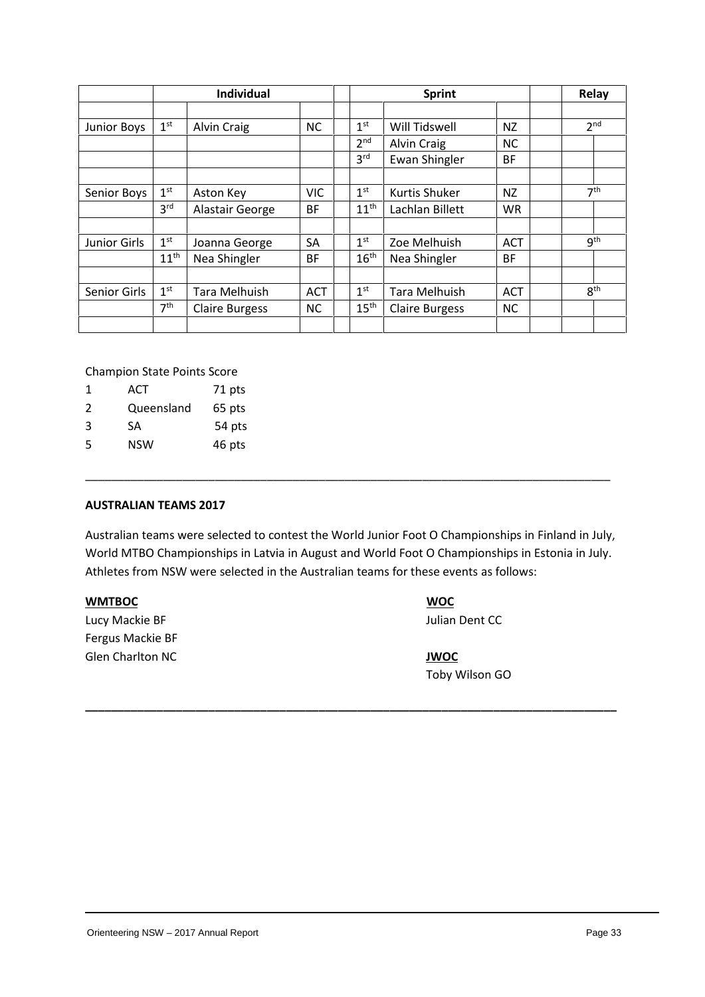|                    |                  | <b>Individual</b>     |            |                  | Sprint                |            | Relay           |
|--------------------|------------------|-----------------------|------------|------------------|-----------------------|------------|-----------------|
|                    |                  |                       |            |                  |                       |            |                 |
| <b>Junior Boys</b> | 1 <sup>st</sup>  | <b>Alvin Craig</b>    | <b>NC</b>  | 1 <sup>st</sup>  | Will Tidswell         | NZ         | 2 <sup>nd</sup> |
|                    |                  |                       |            | 2 <sup>nd</sup>  | <b>Alvin Craig</b>    | NC.        |                 |
|                    |                  |                       |            | 3 <sup>rd</sup>  | <b>Ewan Shingler</b>  | BF         |                 |
|                    |                  |                       |            |                  |                       |            |                 |
| Senior Boys        | 1 <sup>st</sup>  | Aston Key             | <b>VIC</b> | 1 <sup>st</sup>  | Kurtis Shuker         | NZ         | 7 <sup>th</sup> |
|                    | 3 <sup>rd</sup>  | Alastair George       | <b>BF</b>  | 11 <sup>th</sup> | Lachlan Billett       | <b>WR</b>  |                 |
|                    |                  |                       |            |                  |                       |            |                 |
| Junior Girls       | 1 <sup>st</sup>  | Joanna George         | SA         | 1 <sup>st</sup>  | Zoe Melhuish          | <b>ACT</b> | <b>gth</b>      |
|                    | 11 <sup>th</sup> | Nea Shingler          | BF         | $16^{\text{th}}$ | Nea Shingler          | <b>BF</b>  |                 |
|                    |                  |                       |            |                  |                       |            |                 |
| Senior Girls       | 1 <sup>st</sup>  | Tara Melhuish         | <b>ACT</b> | 1 <sup>st</sup>  | Tara Melhuish         | <b>ACT</b> | 8 <sup>th</sup> |
|                    | 7 <sup>th</sup>  | <b>Claire Burgess</b> | <b>NC</b>  | $15^{\text{th}}$ | <b>Claire Burgess</b> | NC.        |                 |
|                    |                  |                       |            |                  |                       |            |                 |

Champion State Points Score

- 1 ACT 71 pts
- 2 Queensland 65 pts
- 3 SA 54 pts
- 5 NSW 46 pts

#### **AUSTRALIAN TEAMS 2017**

Australian teams were selected to contest the World Junior Foot O Championships in Finland in July, World MTBO Championships in Latvia in August and World Foot O Championships in Estonia in July.<br>Athletes from NSW were selected in the Australian teams for these events as follows:

\_\_\_\_\_\_\_\_\_\_\_\_\_\_\_\_\_\_\_\_\_\_\_\_\_\_\_\_\_\_\_\_\_\_\_\_\_\_\_\_\_\_\_\_\_\_\_\_\_\_\_\_\_\_\_\_\_\_\_\_\_\_\_\_\_\_\_\_\_\_\_\_\_\_\_\_\_\_\_\_\_

**\_\_\_\_\_\_\_\_\_\_\_\_\_\_\_\_\_\_\_\_\_\_\_\_\_\_\_\_\_\_\_\_\_\_\_\_\_\_\_\_\_\_\_\_\_\_\_\_\_\_\_\_\_\_\_\_\_\_\_\_\_\_\_\_\_\_\_\_\_\_\_\_\_\_\_\_\_\_\_\_\_\_**

#### **WMTBOC WOC**

Lucy Mackie BF **Julian Dent CC** Fergus Mackie BF Glen Charlton NC **JWOC**

Toby Wilson GO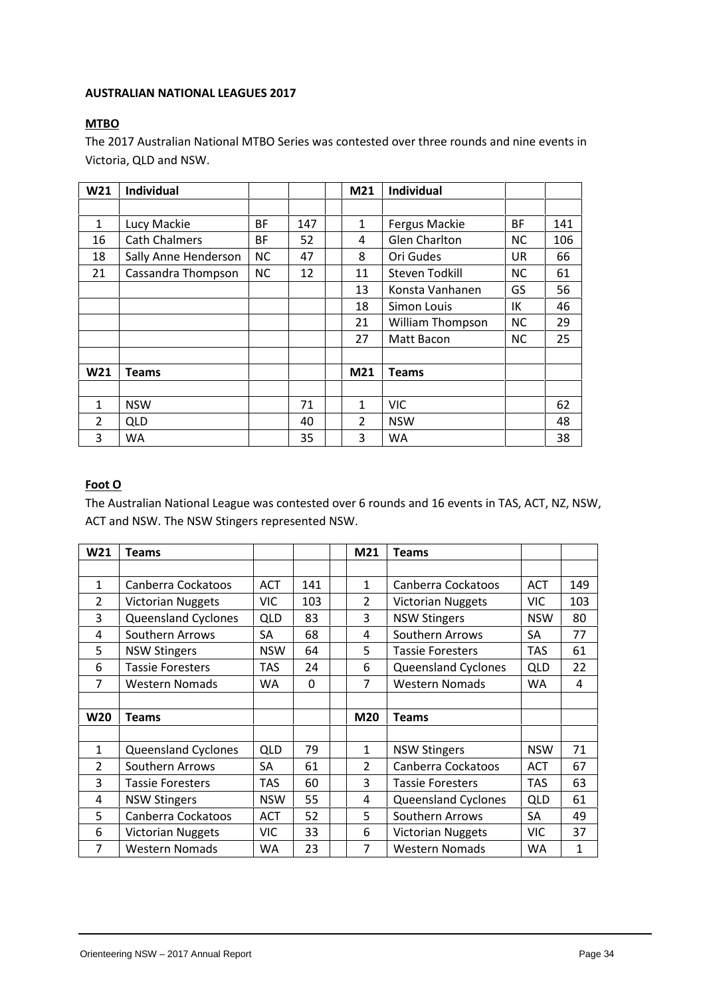#### **AUSTRALIAN NATIONAL LEAGUES 2017**

#### **MTBO**

The 2017 Australian National MTBO Series was contested over three rounds and nine events in Victoria, QLD and NSW.

| W21            | <b>Individual</b>    |           |     | M21            | Individual              |           |     |
|----------------|----------------------|-----------|-----|----------------|-------------------------|-----------|-----|
|                |                      |           |     |                |                         |           |     |
| 1              | Lucy Mackie          | BF        | 147 | 1              | Fergus Mackie           | ВF        | 141 |
| 16             | <b>Cath Chalmers</b> | BF        | 52  | 4              | <b>Glen Charlton</b>    | ΝC        | 106 |
| 18             | Sally Anne Henderson | <b>NC</b> | 47  | 8              | Ori Gudes               | UR.       | 66  |
| 21             | Cassandra Thompson   | NC        | 12  | 11             | Steven Todkill          | ΝC        | 61  |
|                |                      |           |     | 13             | Konsta Vanhanen         | GS        | 56  |
|                |                      |           |     | 18             | Simon Louis             | ΙK        | 46  |
|                |                      |           |     | 21             | <b>William Thompson</b> | <b>NC</b> | 29  |
|                |                      |           |     | 27             | Matt Bacon              | NC.       | 25  |
|                |                      |           |     |                |                         |           |     |
| W21            | <b>Teams</b>         |           |     | M21            | <b>Teams</b>            |           |     |
|                |                      |           |     |                |                         |           |     |
| 1              | <b>NSW</b>           |           | 71  | 1              | <b>VIC</b>              |           | 62  |
| $\overline{2}$ | <b>QLD</b>           |           | 40  | $\overline{2}$ | <b>NSW</b>              |           | 48  |
| 3              | WA                   |           | 35  | 3              | <b>WA</b>               |           | 38  |

#### **Foot O**

The Australian National League was contested over 6 rounds and 16 events in TAS, ACT, NZ, NSW, ACT and NSW. The NSW Stingers represented NSW.

| W21            | <b>Teams</b>               |            |     | M21            | <b>Teams</b>               |            |     |
|----------------|----------------------------|------------|-----|----------------|----------------------------|------------|-----|
|                |                            |            |     |                |                            |            |     |
| 1              | Canberra Cockatoos         | <b>ACT</b> | 141 | 1              | Canberra Cockatoos         | <b>ACT</b> | 149 |
| 2              | <b>Victorian Nuggets</b>   | <b>VIC</b> | 103 | $\overline{2}$ | <b>Victorian Nuggets</b>   | <b>VIC</b> | 103 |
| 3              | <b>Queensland Cyclones</b> | <b>QLD</b> | 83  | 3              | <b>NSW Stingers</b>        | <b>NSW</b> | 80  |
| 4              | Southern Arrows            | <b>SA</b>  | 68  | 4              | Southern Arrows            | <b>SA</b>  | 77  |
| 5              | <b>NSW Stingers</b>        | <b>NSW</b> | 64  | 5              | <b>Tassie Foresters</b>    | <b>TAS</b> | 61  |
| 6              | <b>Tassie Foresters</b>    | <b>TAS</b> | 24  | 6              | <b>Queensland Cyclones</b> | <b>QLD</b> | 22  |
| 7              | <b>Western Nomads</b>      | <b>WA</b>  | 0   | 7              | <b>Western Nomads</b>      | <b>WA</b>  | 4   |
|                |                            |            |     |                |                            |            |     |
| <b>W20</b>     | Teams                      |            |     | <b>M20</b>     | <b>Teams</b>               |            |     |
|                |                            |            |     |                |                            |            |     |
| $\mathbf{1}$   | <b>Queensland Cyclones</b> | <b>QLD</b> | 79  | 1              | <b>NSW Stingers</b>        | <b>NSW</b> | 71  |
| $\overline{2}$ | Southern Arrows            | SА         | 61  | $\overline{2}$ | Canberra Cockatoos         | <b>ACT</b> | 67  |
| 3              | Tassie Foresters           | <b>TAS</b> | 60  | 3              | <b>Tassie Foresters</b>    | <b>TAS</b> | 63  |
| 4              | <b>NSW Stingers</b>        | <b>NSW</b> | 55  | 4              | Queensland Cyclones        | <b>QLD</b> | 61  |
| 5              | Canberra Cockatoos         | <b>ACT</b> | 52  | 5              | Southern Arrows            | SA         | 49  |
| 6              | <b>Victorian Nuggets</b>   | <b>VIC</b> | 33  | 6              | <b>Victorian Nuggets</b>   | <b>VIC</b> | 37  |
| 7              | <b>Western Nomads</b>      | <b>WA</b>  | 23  | $\overline{7}$ | <b>Western Nomads</b>      | <b>WA</b>  | 1   |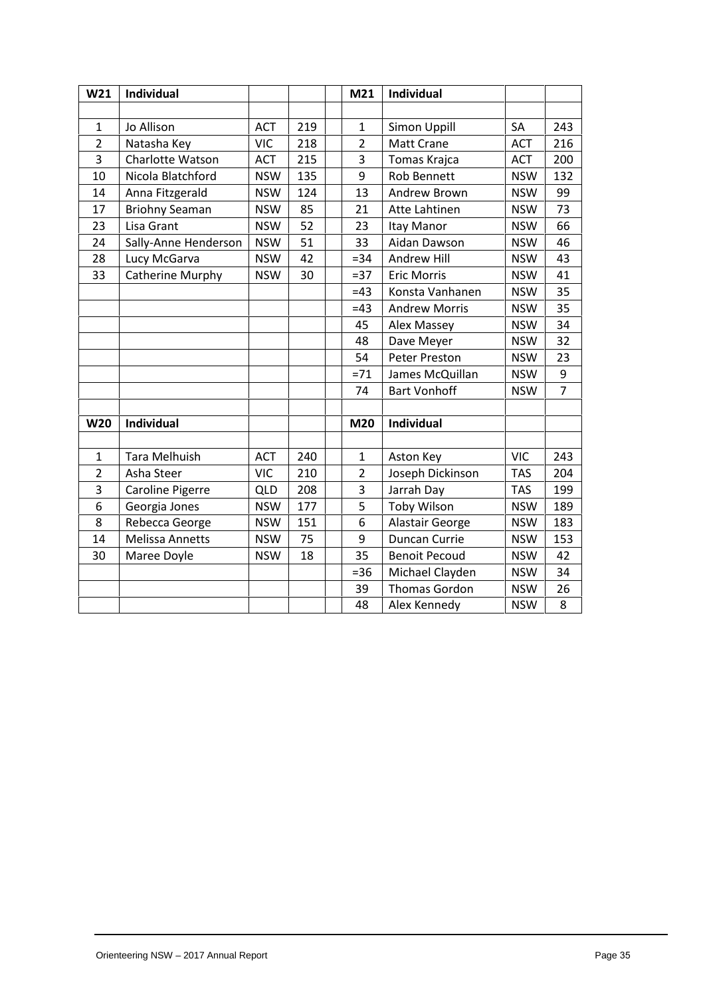| W <sub>21</sub> | Individual             |            |     | M21            | Individual           |            |                |
|-----------------|------------------------|------------|-----|----------------|----------------------|------------|----------------|
|                 |                        |            |     |                |                      |            |                |
| $\mathbf{1}$    | Jo Allison             | <b>ACT</b> | 219 | $\mathbf{1}$   | Simon Uppill         | SA         | 243            |
| $\overline{2}$  | Natasha Key            | <b>VIC</b> | 218 | $\overline{2}$ | <b>Matt Crane</b>    | <b>ACT</b> | 216            |
| $\overline{3}$  | Charlotte Watson       | <b>ACT</b> | 215 | 3              | Tomas Krajca         | <b>ACT</b> | 200            |
| 10              | Nicola Blatchford      | <b>NSW</b> | 135 | 9              | <b>Rob Bennett</b>   | <b>NSW</b> | 132            |
| 14              | Anna Fitzgerald        | <b>NSW</b> | 124 | 13             | Andrew Brown         | <b>NSW</b> | 99             |
| 17              | <b>Briohny Seaman</b>  | <b>NSW</b> | 85  | 21             | Atte Lahtinen        | <b>NSW</b> | 73             |
| 23              | Lisa Grant             | <b>NSW</b> | 52  | 23             | Itay Manor           | <b>NSW</b> | 66             |
| 24              | Sally-Anne Henderson   | <b>NSW</b> | 51  | 33             | Aidan Dawson         | <b>NSW</b> | 46             |
| 28              | Lucy McGarva           | <b>NSW</b> | 42  | $= 34$         | <b>Andrew Hill</b>   | <b>NSW</b> | 43             |
| 33              | Catherine Murphy       | <b>NSW</b> | 30  | $=37$          | <b>Eric Morris</b>   | <b>NSW</b> | 41             |
|                 |                        |            |     | $=43$          | Konsta Vanhanen      | <b>NSW</b> | 35             |
|                 |                        |            |     | $=43$          | <b>Andrew Morris</b> | <b>NSW</b> | 35             |
|                 |                        |            |     | 45             | Alex Massey          | <b>NSW</b> | 34             |
|                 |                        |            |     | 48             | Dave Meyer           | <b>NSW</b> | 32             |
|                 |                        |            |     | 54             | <b>Peter Preston</b> | <b>NSW</b> | 23             |
|                 |                        |            |     | $= 71$         | James McQuillan      | <b>NSW</b> | 9              |
|                 |                        |            |     | 74             | <b>Bart Vonhoff</b>  | <b>NSW</b> | $\overline{7}$ |
|                 |                        |            |     |                |                      |            |                |
| <b>W20</b>      | Individual             |            |     | M20            | Individual           |            |                |
|                 |                        |            |     |                |                      |            |                |
| $\mathbf{1}$    | <b>Tara Melhuish</b>   | <b>ACT</b> | 240 | $\mathbf{1}$   | Aston Key            | <b>VIC</b> | 243            |
| $\overline{2}$  | Asha Steer             | <b>VIC</b> | 210 | $\overline{2}$ | Joseph Dickinson     | <b>TAS</b> | 204            |
| 3               | Caroline Pigerre       | QLD        | 208 | 3              | Jarrah Day           | <b>TAS</b> | 199            |
| 6               | Georgia Jones          | <b>NSW</b> | 177 | 5              | <b>Toby Wilson</b>   | <b>NSW</b> | 189            |
| 8               | Rebecca George         | <b>NSW</b> | 151 | 6              | Alastair George      | <b>NSW</b> | 183            |
| 14              | <b>Melissa Annetts</b> | <b>NSW</b> | 75  | 9              | Duncan Currie        | <b>NSW</b> | 153            |
| 30              | Maree Doyle            | <b>NSW</b> | 18  | 35             | <b>Benoit Pecoud</b> | <b>NSW</b> | 42             |
|                 |                        |            |     | $= 36$         | Michael Clayden      | <b>NSW</b> | 34             |
|                 |                        |            |     | 39             | Thomas Gordon        | <b>NSW</b> | 26             |
|                 |                        |            |     | 48             | Alex Kennedy         | <b>NSW</b> | 8              |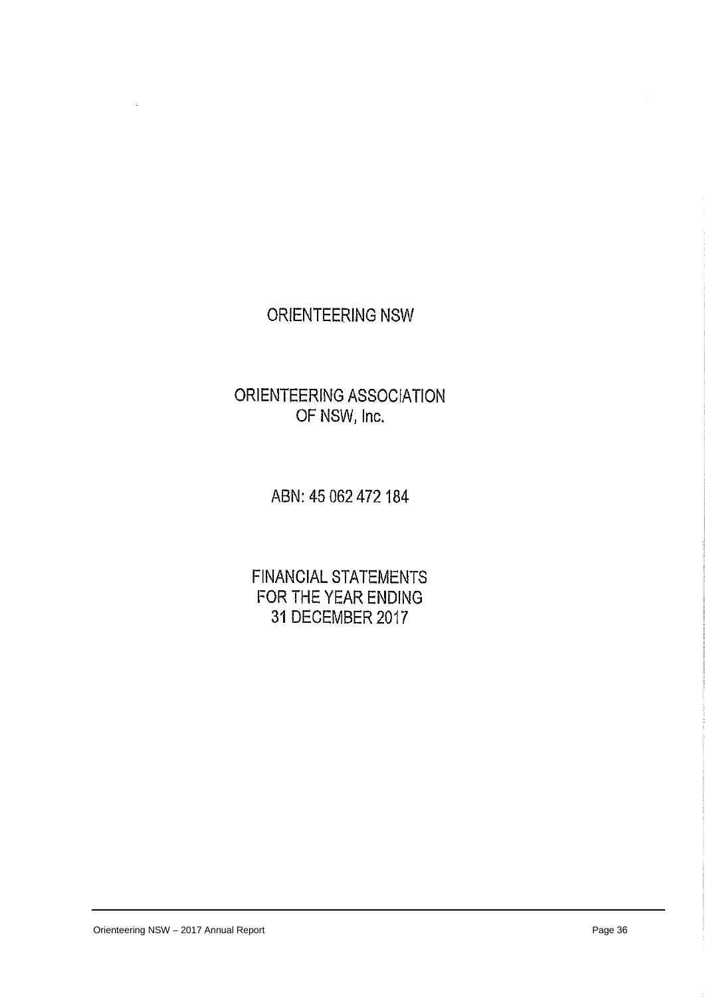# ORIENTEERING NSW

# ORIENTEERING ASSOCIATION OF NSW, Inc.

ABN: 45 062 472 184

**FINANCIAL STATEMENTS** FOR THE YEAR ENDING 31 DECEMBER 2017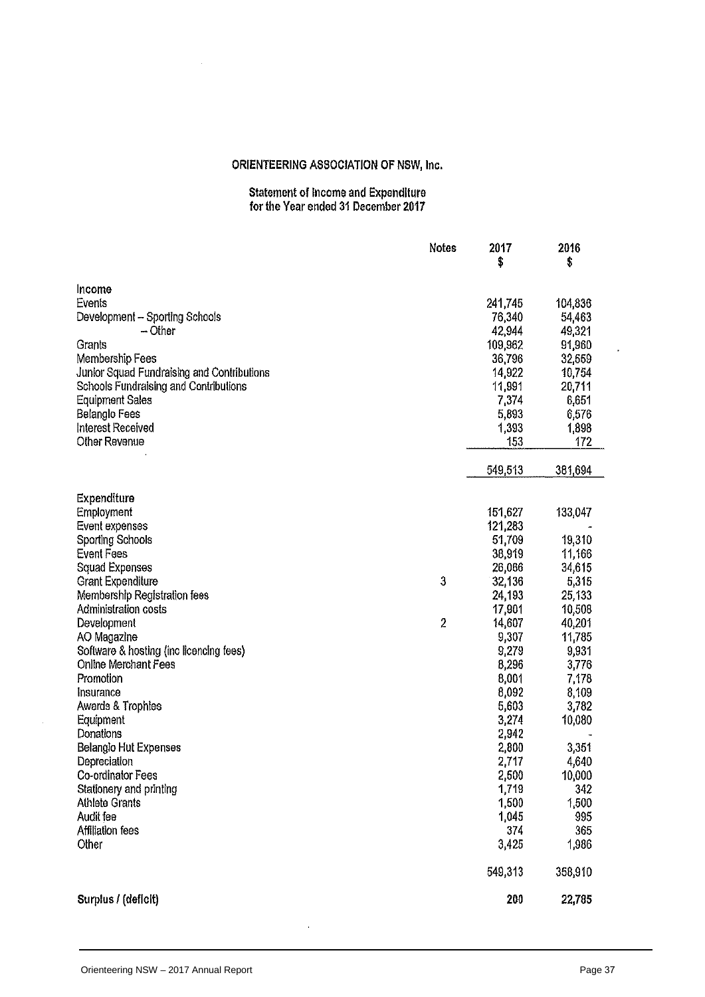# Statement of Income and Expenditure<br>for the Year ended 31 December 2017

|                                            | <b>Notes</b>   | 2017<br>\$ | 2016<br>\$ |
|--------------------------------------------|----------------|------------|------------|
|                                            |                |            |            |
| Income                                     |                |            |            |
| Events                                     |                | 241,745    | 104,836    |
| Development - Sporting Schools             |                | 76,340     | 54,463     |
| - Other                                    |                | 42,944     | 49,321     |
| Grants                                     |                | 109,962    | 91,960     |
| Membership Fees                            |                | 36,796     | 32,559     |
| Junior Squad Fundraising and Contributions |                | 14,922     | 10,754     |
| Schools Fundraising and Contributions      |                | 11,991     | 20,711     |
| <b>Equipment Sales</b>                     |                | 7,374      | 6,651      |
| <b>Belanglo Fees</b>                       |                | 5,893      | 6,576      |
| <b>Interest Received</b>                   |                | 1,393      | 1,898      |
| <b>Other Revenue</b>                       |                | 153        | 172        |
|                                            |                | 549,513    | 381,694    |
| Expenditure                                |                |            |            |
| Employment                                 |                | 151,627    | 133,047    |
| Event expenses                             |                | 121,283    |            |
| <b>Sporting Schools</b>                    |                | 51,709     | 19,310     |
| <b>Event Fees</b>                          |                | 38,919     | 11,166     |
| <b>Squad Expenses</b>                      |                | 26,066     | 34,615     |
| <b>Grant Expenditure</b>                   | 3              | 32,136     | 5,315      |
| Membership Registration fees               |                | 24,193     | 25,133     |
| Administration costs                       |                | 17,901     | 10,508     |
| Development                                | $\overline{2}$ | 14,607     | 40,201     |
| AO Magazine                                |                | 9,307      | 11,785     |
| Software & hosting (inc licencing fees)    |                | 9,279      | 9,931      |
| Online Merchant Fees                       |                | 8,296      | 3,776      |
| Promotion                                  |                | 8,001      | 7,178      |
| Insurance                                  |                | 8,092      | 8,109      |
| Awards & Trophies                          |                | 5,603      | 3,782      |
| Equipment                                  |                | 3,274      | 10,080     |
| Donations                                  |                | 2,942      |            |
| <b>Belanglo Hut Expenses</b>               |                | 2,800      | 3,351      |
| Depreciation                               |                | 2,717      | 4,640      |
| Co-ordinator Fees                          |                | 2,500      | 10,000     |
| Stationery and printing                    |                | 1,719      | 342        |
| <b>Athlete Grants</b>                      |                | 1,500      | 1,500      |
| Audit fee                                  |                | 1,045      | 995        |
| Affiliation fees                           |                | 374        | 365        |
| Other                                      |                | 3,425      | 1,986      |
|                                            |                | 549,313    | 358,910    |
| Surplus / (deficit)                        |                | 200        | 22,785     |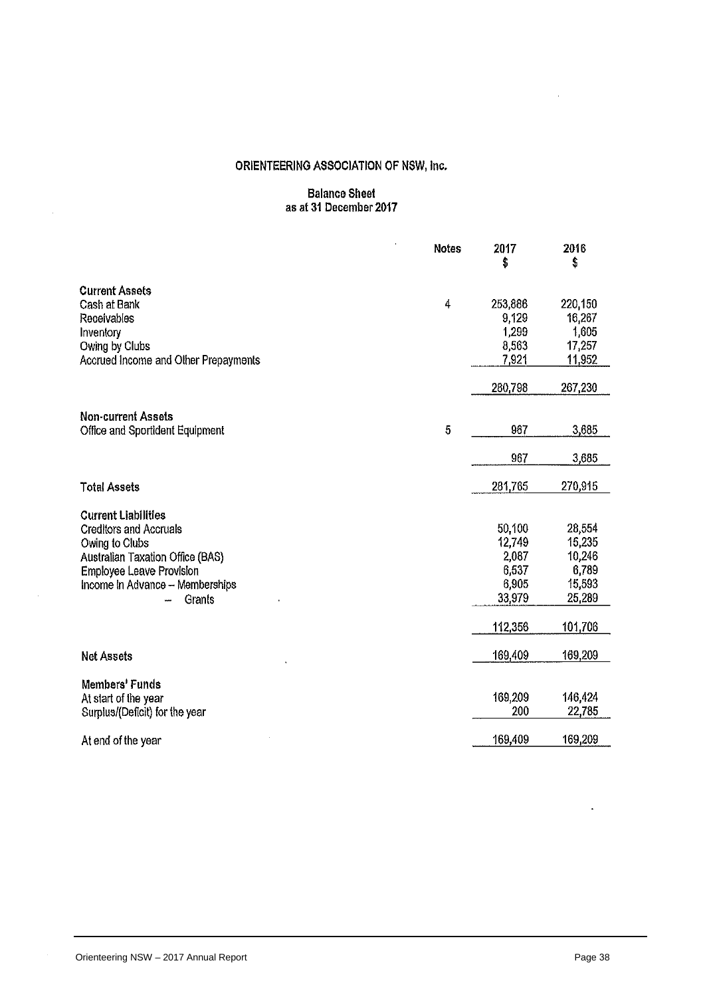# Balance Sheet<br>as at 31 December 2017

|                                                                                                                                                                                            | <b>Notes</b> | 2017<br>\$                                            | 2016<br>\$                                              |
|--------------------------------------------------------------------------------------------------------------------------------------------------------------------------------------------|--------------|-------------------------------------------------------|---------------------------------------------------------|
| <b>Current Assets</b><br>Cash at Bank<br>Receivables<br>Inventory                                                                                                                          | 4            | 253,886<br>9,129<br>1,299                             | 220,150<br>16,267<br>1,605                              |
| Owing by Clubs<br>Accrued Income and Other Prepayments                                                                                                                                     |              | 8,563<br>7,921                                        | 17,257<br>11,952                                        |
|                                                                                                                                                                                            |              | 280,798                                               | 267,230                                                 |
| <b>Non-current Assets</b><br>Office and Sportident Equipment                                                                                                                               | 5            | 967                                                   | 3,685                                                   |
|                                                                                                                                                                                            |              | 967                                                   | 3,685                                                   |
| <b>Total Assets</b>                                                                                                                                                                        |              | 281,765                                               | 270,915                                                 |
| <b>Current Liabilities</b><br><b>Creditors and Accruals</b><br>Owing to Clubs<br>Australian Taxation Office (BAS)<br>Employee Leave Provision<br>Income in Advance - Memberships<br>Grants |              | 50,100<br>12,749<br>2,087<br>6,537<br>6,905<br>33,979 | 28,554<br>15,235<br>10,246<br>6,789<br>15,593<br>25,289 |
|                                                                                                                                                                                            |              | 112,356                                               | 101,706                                                 |
| <b>Net Assets</b>                                                                                                                                                                          |              | 169,409                                               | 169,209                                                 |
| Members' Funds<br>At start of the year<br>Surplus/(Deficit) for the year                                                                                                                   |              | 169,209<br>200                                        | 146,424<br>22,785                                       |
| At end of the year                                                                                                                                                                         |              | 169,409                                               | 169,209                                                 |

 $\ddot{\phantom{0}}$ 

 $\mathcal{A}$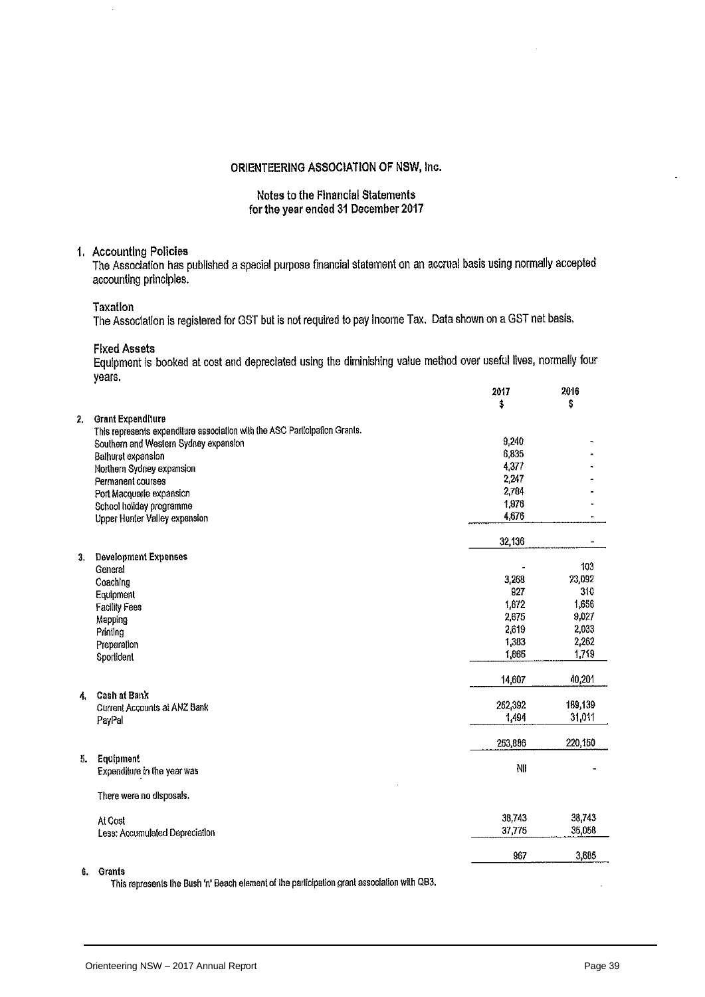#### **Notes to the Financial Statements** for the year ended 31 December 2017

#### 1. Accounting Policies

The Association has published a special purpose financial statement on an accrual basis using normally accepted accounting principles.

Taxation

The Association is registered for GST but is not required to pay Income Tax. Data shown on a GST net basis.

**Fixed Assets** 

Equipment is booked at cost and depreciated using the diminishing value method over useful lives, normally four years.

|    |                                                                            | 2017<br>\$ | 2016<br>\$ |
|----|----------------------------------------------------------------------------|------------|------------|
| 2, | <b>Grant Expenditure</b>                                                   |            |            |
|    | This represents expenditure association with the ASC Participation Grants. |            |            |
|    | Southern and Western Sydney expansion                                      | 9,240      |            |
|    | Bathurst expansion                                                         | 6,835      |            |
|    | Northern Sydney expansion                                                  | 4,377      |            |
|    | Permanent courses                                                          | 2,247      |            |
|    | Port Macquarle expansion                                                   | 2,784      |            |
|    | School holiday programme                                                   | 1,976      |            |
|    | Upper Hunter Valley expansion                                              | 4,676      |            |
|    |                                                                            | 32,136     |            |
| 3. | <b>Development Expenses</b><br>General                                     |            | 103        |
|    | Coaching                                                                   | 3,268      | 23,092     |
|    | Equipment                                                                  | 927        | 310        |
|    | <b>Facility Fees</b>                                                       | 1,872      | 1,656      |
|    | Mapping                                                                    | 2,675      | 9,027      |
|    | Printing                                                                   | 2,619      | 2,033      |
|    | Preparation                                                                | 1,383      | 2,262      |
|    | Sportident                                                                 | 1,865      | 1,719      |
|    |                                                                            | 14,607     | 40,201     |
| 4. | <b>Cash at Bank</b>                                                        | 252,392    | 189,139    |
|    | Current Accounts at ANZ Bank                                               | 1,494      | 31,011     |
|    | PayPal                                                                     |            |            |
|    |                                                                            | 253,886    | 220,150    |
| 5. | Equipment<br>Expenditure in the year was                                   | NII        |            |
|    | There were no disposals.                                                   |            |            |
|    | At Cost                                                                    | 38,743     | 38,743     |
|    | Less: Accumulated Depreciation                                             | 37,775     | 35,058     |
|    |                                                                            | 967        | 3,685      |
|    |                                                                            |            |            |

6. Grants

This represents the Bush 'n' Beach element of the participation grant association with QB3.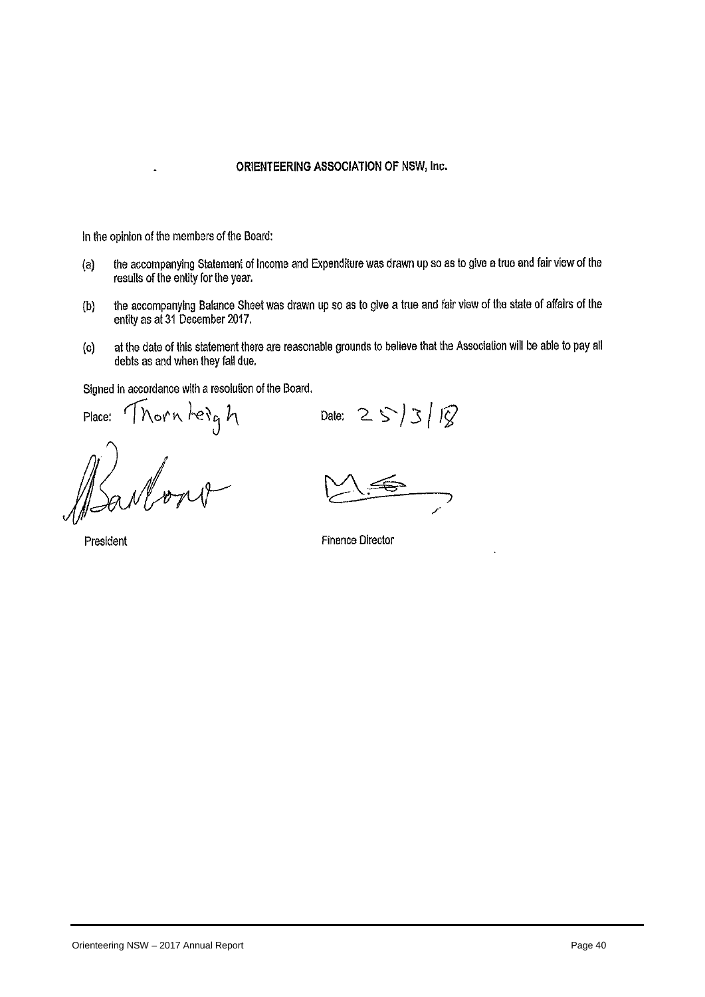In the opinion of the members of the Board:

- the accompanying Statement of Income and Expenditure was drawn up so as to give a true and fair view of the  $(a)$ results of the entity for the year.
- the accompanying Balance Sheet was drawn up so as to give a true and fair view of the state of affairs of the  $(b)$ entity as at 31 December 2017.
- at the date of this statement there are reasonable grounds to believe that the Association will be able to pay all  $(c)$ debts as and when they fall due.

Signed in accordance with a resolution of the Board.

Place:

Thorn heigh

President

Date:  $25/3/18$ 

**Finance Director**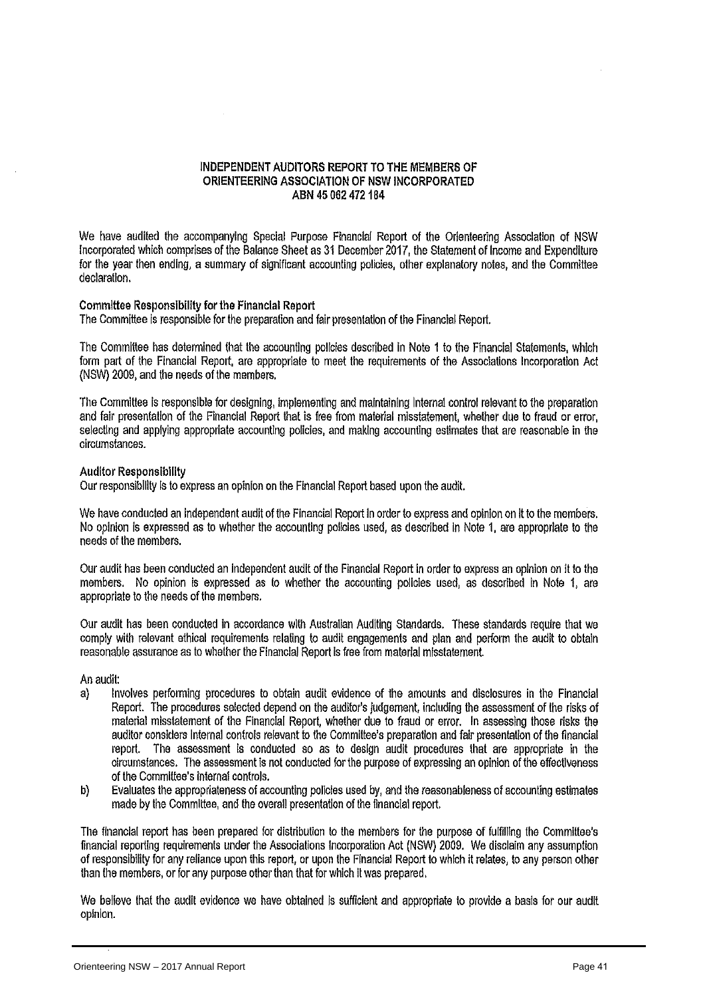#### INDEPENDENT AUDITORS REPORT TO THE MEMBERS OF ORIENTEERING ASSOCIATION OF NSW INCORPORATED ABN 45 062 472 184

We have audited the accompanying Special Purpose Financial Report of the Orienteering Association of NSW Incorporated which comprises of the Balance Sheet as 31 December 2017, the Statement of Income and Expenditure for the year then ending, a summary of significant accounting policies, other explanatory notes, and the Committee declaration.

#### Committee Responsibility for the Financial Report

The Committee is responsible for the preparation and fair presentation of the Financial Report.

The Committee has determined that the accounting policies described in Note 1 to the Financial Statements, which form part of the Financial Report, are appropriate to meet the requirements of the Associations Incorporation Act (NSW) 2009, and the needs of the members.

The Committee is responsible for designing, implementing and maintaining Internal control relevant to the preparation and fair presentation of the Financial Report that is free from material misstatement, whether due to fraud or error, selecting and applying appropriate accounting policies, and making accounting estimates that are reasonable in the circumstances.

#### **Auditor Responsibility**

Our responsibility is to express an opinion on the Financial Report based upon the audit.

We have conducted an independent audit of the Financial Report in order to express and opinion on it to the members. No opinion is expressed as to whether the accounting policies used, as described in Note 1, are appropriate to the needs of the members.

Our audit has been conducted an independent audit of the Financial Report in order to express an opinion on it to the members. No opinion is expressed as to whether the accounting policies used, as described in Note 1, are appropriate to the needs of the members.

Our audit has been conducted in accordance with Australian Auditing Standards. These standards require that we comply with relevant ethical requirements relating to audit engagements and plan and perform the audit to obtain reasonable assurance as to whether the Financial Report is free from material misstatement.

An audit:

- $a)$ Involves performing procedures to obtain audit evidence of the amounts and disclosures in the Financial Report. The procedures selected depend on the auditor's judgement, including the assessment of the risks of material misstatement of the Financial Report, whether due to fraud or error. In assessing those risks the auditor considers internal controls relevant to the Committee's preparation and fair presentation of the financial report. The assessment is conducted so as to design audit procedures that are appropriate in the circumstances. The assessment is not conducted for the purpose of expressing an opinion of the effectiveness of the Committee's internal controls.
- Evaluates the appropriateness of accounting policies used by, and the reasonableness of accounting estimates b) made by the Committee, and the overall presentation of the financial report.

The financial report has been prepared for distribution to the members for the purpose of fulfilling the Committee's financial reporting requirements under the Associations Incorporation Act (NSW) 2009. We disclaim any assumption of responsibility for any reliance upon this report, or upon the Financial Report to which it relates, to any person other than the members, or for any purpose other than that for which it was prepared.

We believe that the audit evidence we have obtained is sufficient and appropriate to provide a basis for our audit opinion.<br>
Orienteering NSW – 2017 Annual Report Page 41